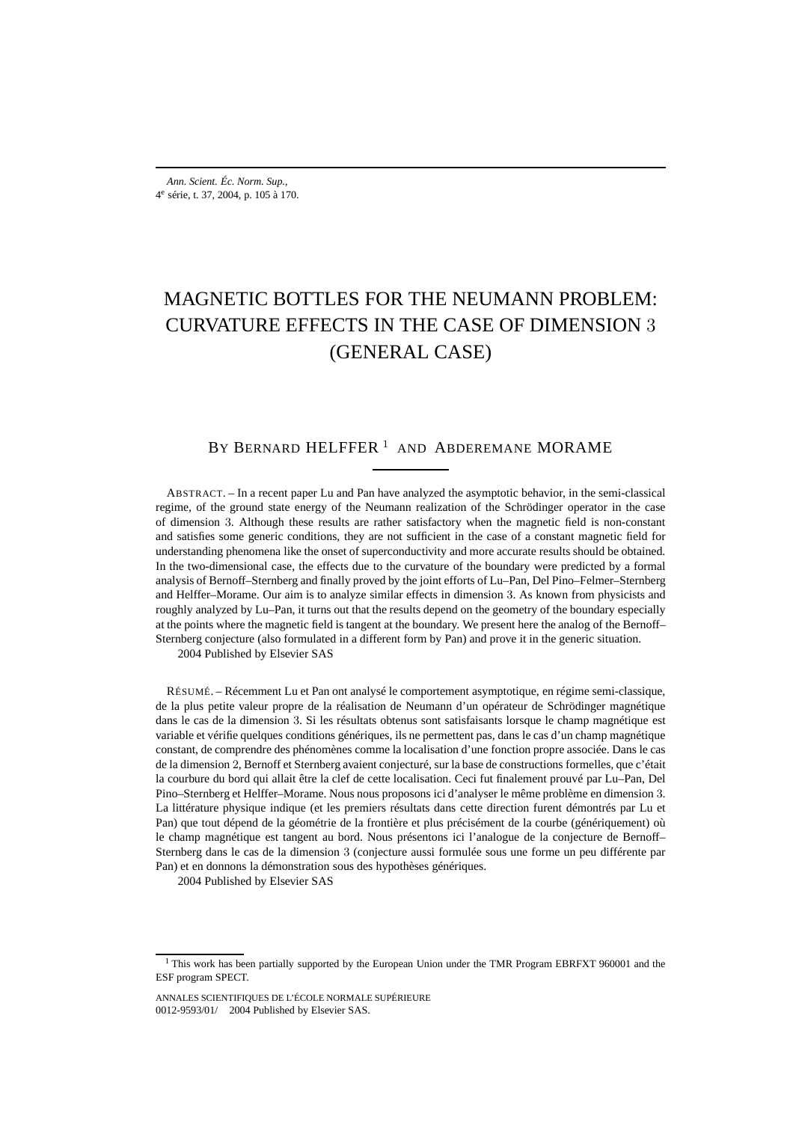# MAGNETIC BOTTLES FOR THE NEUMANN PROBLEM: CURVATURE EFFECTS IN THE CASE OF DIMENSION 3 (GENERAL CASE)

## BY BERNARD HELFFER<sup>1</sup> AND ABDEREMANE MORAME

ABSTRACT. – In a recent paper Lu and Pan have analyzed the asymptotic behavior, in the semi-classical regime, of the ground state energy of the Neumann realization of the Schrödinger operator in the case of dimension 3. Although these results are rather satisfactory when the magnetic field is non-constant and satisfies some generic conditions, they are not sufficient in the case of a constant magnetic field for understanding phenomena like the onset of superconductivity and more accurate results should be obtained. In the two-dimensional case, the effects due to the curvature of the boundary were predicted by a formal analysis of Bernoff–Sternberg and finally proved by the joint efforts of Lu–Pan, Del Pino–Felmer–Sternberg and Helffer–Morame. Our aim is to analyze similar effects in dimension 3. As known from physicists and roughly analyzed by Lu–Pan, it turns out that the results depend on the geometry of the boundary especially at the points where the magnetic field is tangent at the boundary. We present here the analog of the Bernoff– Sternberg conjecture (also formulated in a different form by Pan) and prove it in the generic situation.

2004 Published by Elsevier SAS

RÉSUMÉ. – Récemment Lu et Pan ont analysé le comportement asymptotique, en régime semi-classique, de la plus petite valeur propre de la réalisation de Neumann d'un opérateur de Schrödinger magnétique dans le cas de la dimension 3. Si les résultats obtenus sont satisfaisants lorsque le champ magnétique est variable et vérifie quelques conditions génériques, ils ne permettent pas, dans le cas d'un champ magnétique constant, de comprendre des phénomènes comme la localisation d'une fonction propre associée. Dans le cas de la dimension 2, Bernoff et Sternberg avaient conjecturé, sur la base de constructions formelles, que c'était la courbure du bord qui allait être la clef de cette localisation. Ceci fut finalement prouvé par Lu–Pan, Del Pino–Sternberg et Helffer–Morame. Nous nous proposons ici d'analyser le même problème en dimension 3. La littérature physique indique (et les premiers résultats dans cette direction furent démontrés par Lu et Pan) que tout dépend de la géométrie de la frontière et plus précisément de la courbe (génériquement) où le champ magnétique est tangent au bord. Nous présentons ici l'analogue de la conjecture de Bernoff– Sternberg dans le cas de la dimension 3 (conjecture aussi formulée sous une forme un peu différente par Pan) et en donnons la démonstration sous des hypothèses génériques.

2004 Published by Elsevier SAS

<sup>&</sup>lt;sup>1</sup> This work has been partially supported by the European Union under the TMR Program EBRFXT 960001 and the ESF program SPECT.

ANNALES SCIENTIFIQUES DE L'ÉCOLE NORMALE SUPÉRIEURE 0012-9593/01/© 2004 Published by Elsevier SAS.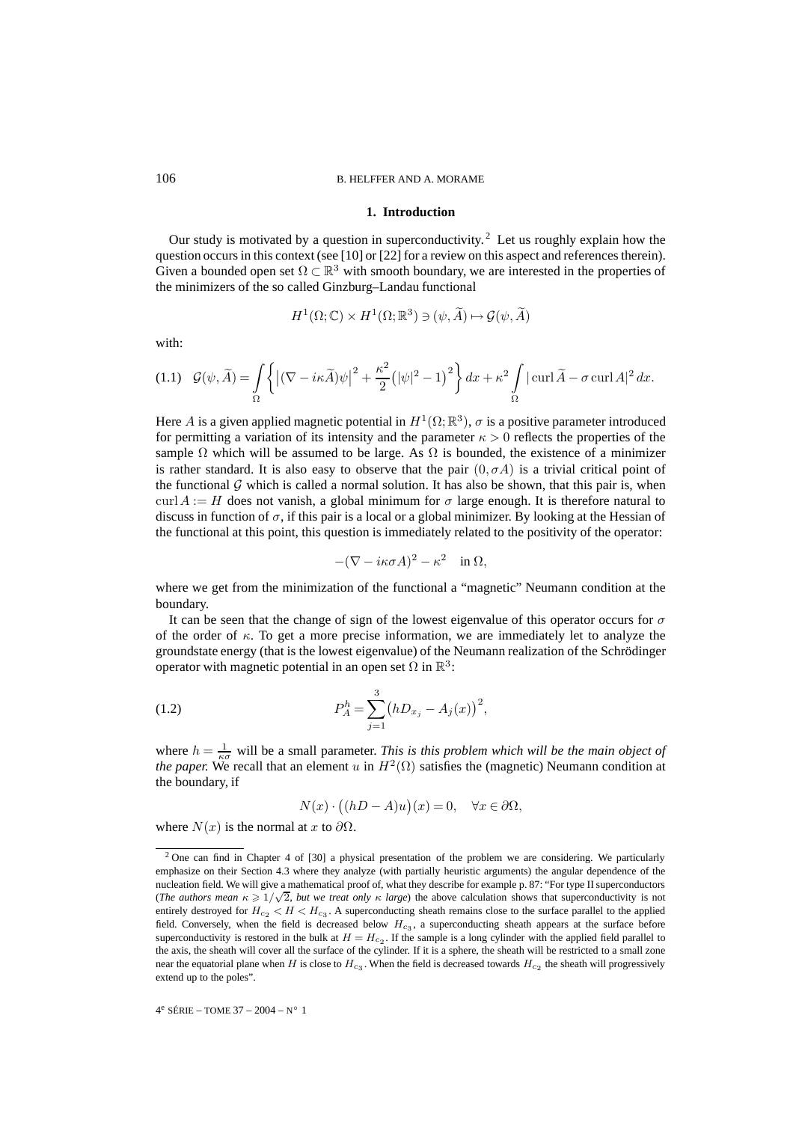#### 106 B. HELFFER AND A. MORAME

#### **1. Introduction**

Our study is motivated by a question in superconductivity.<sup>2</sup> Let us roughly explain how the question occurs in this context (see [10] or [22] for a review on this aspect and references therein). Given a bounded open set  $\Omega \subset \mathbb{R}^3$  with smooth boundary, we are interested in the properties of the minimizers of the so called Ginzburg–Landau functional

$$
H^1(\Omega; \mathbb{C}) \times H^1(\Omega; \mathbb{R}^3) \ni (\psi, \widetilde{A}) \mapsto \mathcal{G}(\psi, \widetilde{A})
$$

with:

$$
(1.1) \quad \mathcal{G}(\psi,\widetilde{A}) = \int_{\Omega} \left\{ \left| (\nabla - i\kappa \widetilde{A})\psi \right|^2 + \frac{\kappa^2}{2} \left( |\psi|^2 - 1 \right)^2 \right\} dx + \kappa^2 \int_{\Omega} |\operatorname{curl} \widetilde{A} - \sigma \operatorname{curl} A|^2 dx.
$$

Here A is a given applied magnetic potential in  $H^1(\Omega;\mathbb{R}^3)$ ,  $\sigma$  is a positive parameter introduced for permitting a variation of its intensity and the parameter  $\kappa > 0$  reflects the properties of the sample  $\Omega$  which will be assumed to be large. As  $\Omega$  is bounded, the existence of a minimizer is rather standard. It is also easy to observe that the pair  $(0, \sigma A)$  is a trivial critical point of the functional  $\mathcal G$  which is called a normal solution. It has also be shown, that this pair is, when curl  $A := H$  does not vanish, a global minimum for  $\sigma$  large enough. It is therefore natural to discuss in function of  $\sigma$ , if this pair is a local or a global minimizer. By looking at the Hessian of the functional at this point, this question is immediately related to the positivity of the operator:

$$
-(\nabla - i\kappa\sigma A)^2 - \kappa^2 \quad \text{in } \Omega,
$$

where we get from the minimization of the functional a "magnetic" Neumann condition at the boundary.

It can be seen that the change of sign of the lowest eigenvalue of this operator occurs for  $\sigma$ of the order of  $\kappa$ . To get a more precise information, we are immediately let to analyze the groundstate energy (that is the lowest eigenvalue) of the Neumann realization of the Schrödinger operator with magnetic potential in an open set  $\Omega$  in  $\mathbb{R}^3$ :

(1.2) 
$$
P_A^h = \sum_{j=1}^3 (hD_{x_j} - A_j(x))^2,
$$

where  $h = \frac{1}{\kappa \sigma}$  will be a small parameter. *This is this problem which will be the main object of the paper.* We recall that an element u in  $H^2(\Omega)$  satisfies the (magnetic) Neumann condition at the boundary, if

$$
N(x) \cdot ((hD - A)u)(x) = 0, \quad \forall x \in \partial \Omega,
$$

where  $N(x)$  is the normal at x to  $\partial\Omega$ .

<sup>&</sup>lt;sup>2</sup> One can find in Chapter 4 of [30] a physical presentation of the problem we are considering. We particularly emphasize on their Section 4.3 where they analyze (with partially heuristic arguments) the angular dependence of the nucleation field. We will give a mathematical proof of, what they describe for example p. 87: "For type II superconductors (*The authors mean*  $\kappa \geq 1/\sqrt{2}$ , *but we treat only*  $\kappa$  *large*) the above calculation shows that superconductivity is not entirely destroyed for  $H_{c_2} < H < H_{c_3}$ . A superconducting sheath remains close to the surface parallel to the applied field. Conversely, when the field is decreased below  $H_{c3}$ , a superconducting sheath appears at the surface before superconductivity is restored in the bulk at  $H = H_{c2}$ . If the sample is a long cylinder with the applied field parallel to the axis, the sheath will cover all the surface of the cylinder. If it is a sphere, the sheath will be restricted to a small zone near the equatorial plane when H is close to  $H_{c3}$ . When the field is decreased towards  $H_{c2}$  the sheath will progressively extend up to the poles".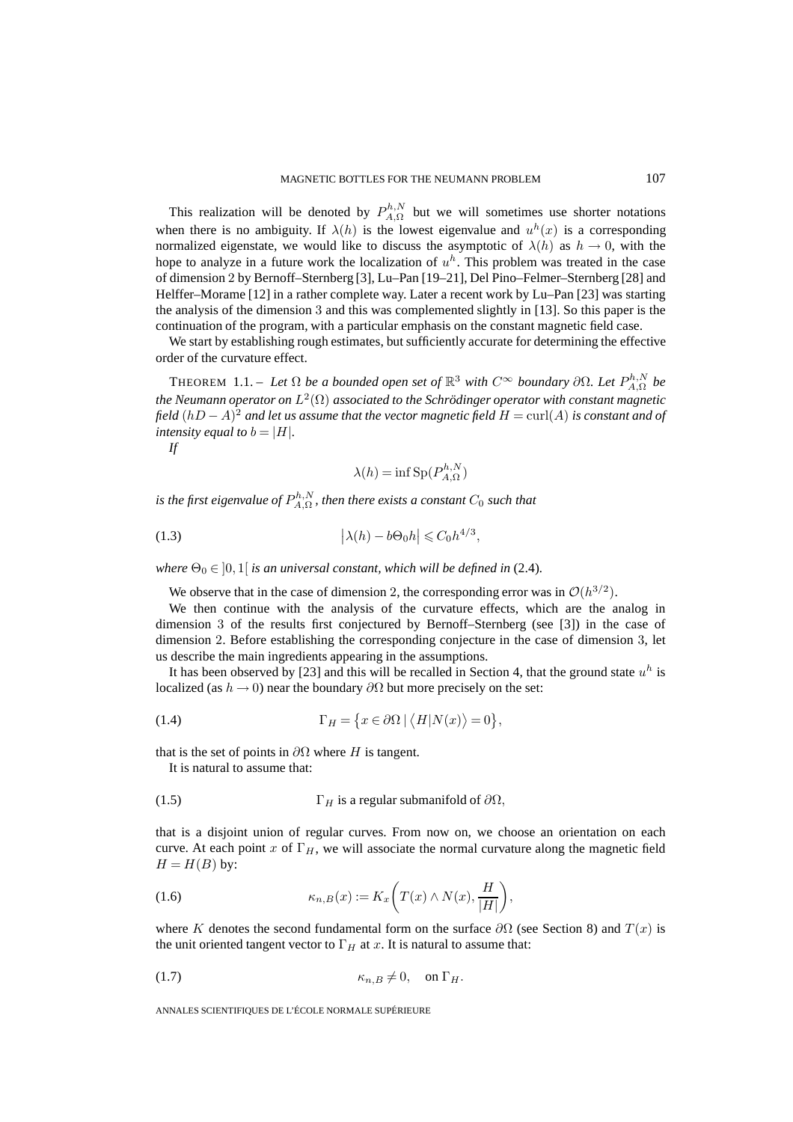This realization will be denoted by  $P_{A,\Omega}^{h,N}$  but we will sometimes use shorter notations when there is no ambiguity. If  $\lambda(h)$  is the lowest eigenvalue and  $u^h(x)$  is a corresponding normalized eigenstate, we would like to discuss the asymptotic of  $\lambda(h)$  as  $h \to 0$ , with the hope to analyze in a future work the localization of  $u<sup>h</sup>$ . This problem was treated in the case of dimension 2 by Bernoff–Sternberg [3], Lu–Pan [19–21], Del Pino–Felmer–Sternberg [28] and Helffer–Morame [12] in a rather complete way. Later a recent work by Lu–Pan [23] was starting the analysis of the dimension 3 and this was complemented slightly in [13]. So this paper is the continuation of the program, with a particular emphasis on the constant magnetic field case.

We start by establishing rough estimates, but sufficiently accurate for determining the effective order of the curvature effect.

THEOREM 1.1. – Let  $\Omega$  be a bounded open set of  $\mathbb{R}^3$  with  $C^{\infty}$  boundary  $\partial \Omega$ . Let  $P_{A,\Omega}^{h,N}$  be *the Neumann operator on*  $L^2(\Omega)$  *associated to the Schrödinger operator with constant magnetic field*  $(hD - A)^2$  *and let us assume that the vector magnetic field*  $H = \text{curl}(A)$  *is constant and of intensity equal to b* =  $|H|$ *.* 

*If*

$$
\lambda(h) = \inf \text{Sp}(P_{A,\Omega}^{h,N})
$$

*is the first eigenvalue of*  $P_{A,\Omega}^{h,N}$ *, then there exists a constant*  $C_0$  *such that* 

(1.3) 
$$
\left|\lambda(h) - b\Theta_0 h\right| \leq C_0 h^{4/3},
$$

*where*  $\Theta_0 \in [0, 1]$  *is an universal constant, which will be defined in* (2.4)*.* 

We observe that in the case of dimension 2, the corresponding error was in  $O(h^{3/2})$ .

We then continue with the analysis of the curvature effects, which are the analog in dimension 3 of the results first conjectured by Bernoff–Sternberg (see [3]) in the case of dimension 2. Before establishing the corresponding conjecture in the case of dimension 3, let us describe the main ingredients appearing in the assumptions.

It has been observed by [23] and this will be recalled in Section 4, that the ground state  $u<sup>h</sup>$  is localized (as  $h \to 0$ ) near the boundary  $\partial \Omega$  but more precisely on the set:

(1.4) 
$$
\Gamma_H = \{ x \in \partial \Omega \mid \langle H | N(x) \rangle = 0 \},
$$

that is the set of points in  $\partial\Omega$  where H is tangent.

It is natural to assume that:

(1.5) 
$$
\Gamma_H
$$
 is a regular submanifold of  $\partial\Omega$ ,

that is a disjoint union of regular curves. From now on, we choose an orientation on each curve. At each point x of  $\Gamma_H$ , we will associate the normal curvature along the magnetic field  $H = H(B)$  by:

(1.6) 
$$
\kappa_{n,B}(x) := K_x\bigg(T(x) \wedge N(x), \frac{H}{|H|}\bigg),
$$

where K denotes the second fundamental form on the surface  $\partial\Omega$  (see Section 8) and  $T(x)$  is the unit oriented tangent vector to  $\Gamma_H$  at x. It is natural to assume that:

$$
\kappa_{n,B} \neq 0, \quad \text{on } \Gamma_H.
$$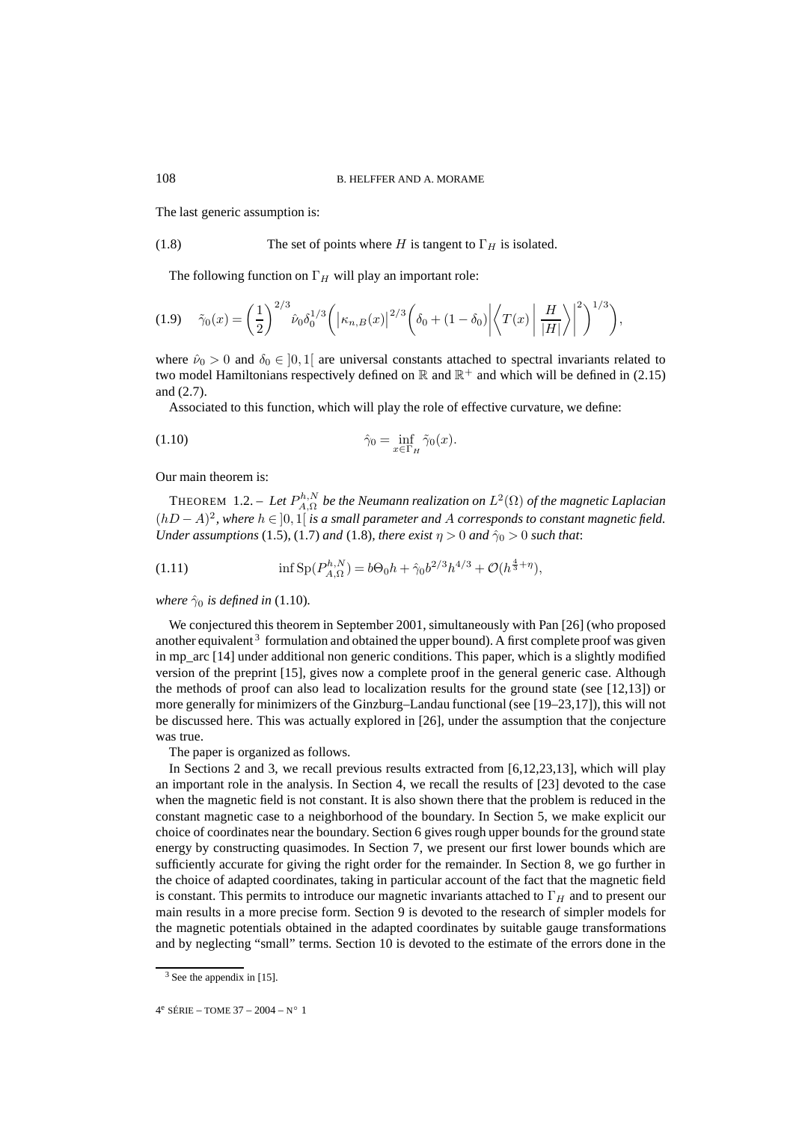The last generic assumption is:

(1.8) The set of points where 
$$
H
$$
 is tangent to  $\Gamma_H$  is isolated.

The following function on  $\Gamma_H$  will play an important role:

$$
(1.9) \quad \tilde{\gamma}_0(x) = \left(\frac{1}{2}\right)^{2/3} \hat{\nu}_0 \delta_0^{1/3} \left( \left| \kappa_{n,B}(x) \right|^{2/3} \left( \delta_0 + (1 - \delta_0) \left| \left\langle T(x) \right| \frac{H}{|H|} \right\rangle \right|^2 \right)^{1/3} \right),
$$

where  $\hat{\nu}_0 > 0$  and  $\delta_0 \in [0,1]$  are universal constants attached to spectral invariants related to two model Hamiltonians respectively defined on  $\mathbb R$  and  $\mathbb R^+$  and which will be defined in (2.15) and (2.7).

Associated to this function, which will play the role of effective curvature, we define:

$$
\hat{\gamma}_0 = \inf_{x \in \Gamma_H} \tilde{\gamma}_0(x).
$$

Our main theorem is:

THEOREM 1.2. – Let  $P_{A,\Omega}^{h,N}$  be the Neumann realization on  $L^2(\Omega)$  of the magnetic Laplacian (hD − A)<sup>2</sup>*, where* h ∈ ]0, 1[ *is a small parameter and* A *corresponds to constant magnetic field. Under assumptions* (1.5), (1.7) *and* (1.8)*, there exist*  $\eta > 0$  *and*  $\hat{\gamma}_0 > 0$  *such that:* 

(1.11) 
$$
\inf \mathrm{Sp}(P_{A,\Omega}^{h,N}) = b\Theta_0 h + \hat{\gamma}_0 b^{2/3} h^{4/3} + \mathcal{O}(h^{\frac{4}{3}+\eta}),
$$

*where*  $\hat{\gamma}_0$  *is defined in* (1.10).

We conjectured this theorem in September 2001, simultaneously with Pan [26] (who proposed another equivalent<sup>3</sup> formulation and obtained the upper bound). A first complete proof was given in mp\_arc [14] under additional non generic conditions. This paper, which is a slightly modified version of the preprint [15], gives now a complete proof in the general generic case. Although the methods of proof can also lead to localization results for the ground state (see [12,13]) or more generally for minimizers of the Ginzburg–Landau functional (see [19–23,17]), this will not be discussed here. This was actually explored in [26], under the assumption that the conjecture was true.

The paper is organized as follows.

In Sections 2 and 3, we recall previous results extracted from [6,12,23,13], which will play an important role in the analysis. In Section 4, we recall the results of [23] devoted to the case when the magnetic field is not constant. It is also shown there that the problem is reduced in the constant magnetic case to a neighborhood of the boundary. In Section 5, we make explicit our choice of coordinates near the boundary. Section 6 gives rough upper bounds for the ground state energy by constructing quasimodes. In Section 7, we present our first lower bounds which are sufficiently accurate for giving the right order for the remainder. In Section 8, we go further in the choice of adapted coordinates, taking in particular account of the fact that the magnetic field is constant. This permits to introduce our magnetic invariants attached to  $\Gamma_H$  and to present our main results in a more precise form. Section 9 is devoted to the research of simpler models for the magnetic potentials obtained in the adapted coordinates by suitable gauge transformations and by neglecting "small" terms. Section 10 is devoted to the estimate of the errors done in the

 $3$  See the appendix in [15].

 $4^e$  SÉRIE – TOME 37 – 2004 – N° 1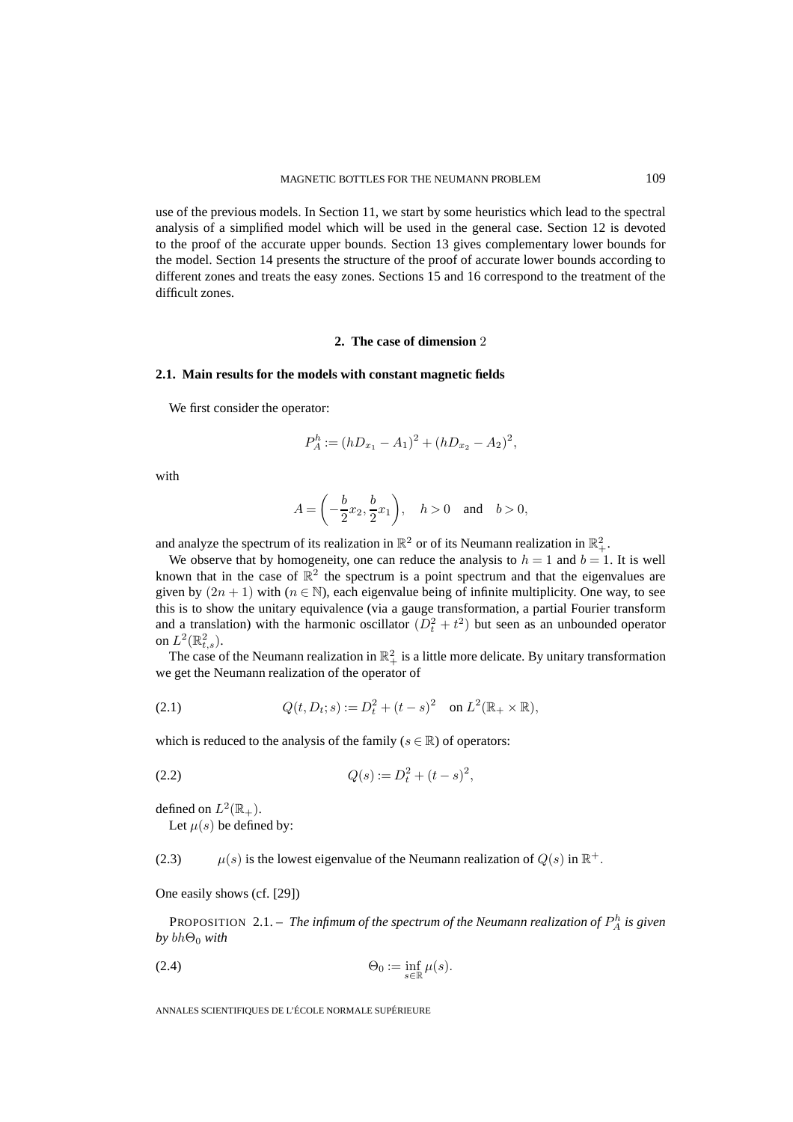use of the previous models. In Section 11, we start by some heuristics which lead to the spectral analysis of a simplified model which will be used in the general case. Section 12 is devoted to the proof of the accurate upper bounds. Section 13 gives complementary lower bounds for the model. Section 14 presents the structure of the proof of accurate lower bounds according to different zones and treats the easy zones. Sections 15 and 16 correspond to the treatment of the difficult zones.

#### **2. The case of dimension** 2

## **2.1. Main results for the models with constant magnetic fields**

We first consider the operator:

$$
P_A^h := (hD_{x_1} - A_1)^2 + (hD_{x_2} - A_2)^2,
$$

with

$$
A = \left(-\frac{b}{2}x_2, \frac{b}{2}x_1\right), \quad h > 0 \quad \text{and} \quad b > 0,
$$

and analyze the spectrum of its realization in  $\mathbb{R}^2$  or of its Neumann realization in  $\mathbb{R}^2_+$ .

We observe that by homogeneity, one can reduce the analysis to  $h = 1$  and  $b = 1$ . It is well known that in the case of  $\mathbb{R}^2$  the spectrum is a point spectrum and that the eigenvalues are given by  $(2n + 1)$  with  $(n \in \mathbb{N})$ , each eigenvalue being of infinite multiplicity. One way, to see this is to show the unitary equivalence (via a gauge transformation, a partial Fourier transform and a translation) with the harmonic oscillator  $(D_t^2 + t^2)$  but seen as an unbounded operator on  $L^2(\mathbb{R}^2_{t,s})$ .

The case of the Neumann realization in  $\mathbb{R}^2_+$  is a little more delicate. By unitary transformation we get the Neumann realization of the operator of

(2.1) 
$$
Q(t, D_t; s) := D_t^2 + (t - s)^2 \quad \text{on } L^2(\mathbb{R}_+ \times \mathbb{R}),
$$

which is reduced to the analysis of the family ( $s \in \mathbb{R}$ ) of operators:

$$
(2.2) \tQ(s) := D_t^2 + (t - s)^2,
$$

defined on  $L^2(\mathbb{R}_+)$ .

Let  $\mu(s)$  be defined by:

(2.3)  $\mu(s)$  is the lowest eigenvalue of the Neumann realization of  $Q(s)$  in  $\mathbb{R}^+$ .

One easily shows (cf. [29])

PROPOSITION  $2.1$  – The infimum of the spectrum of the Neumann realization of  $P_A^h$  is given  $by bh<sub>0</sub> with$ 

$$
\Theta_0 := \inf_{s \in \mathbb{R}} \mu(s).
$$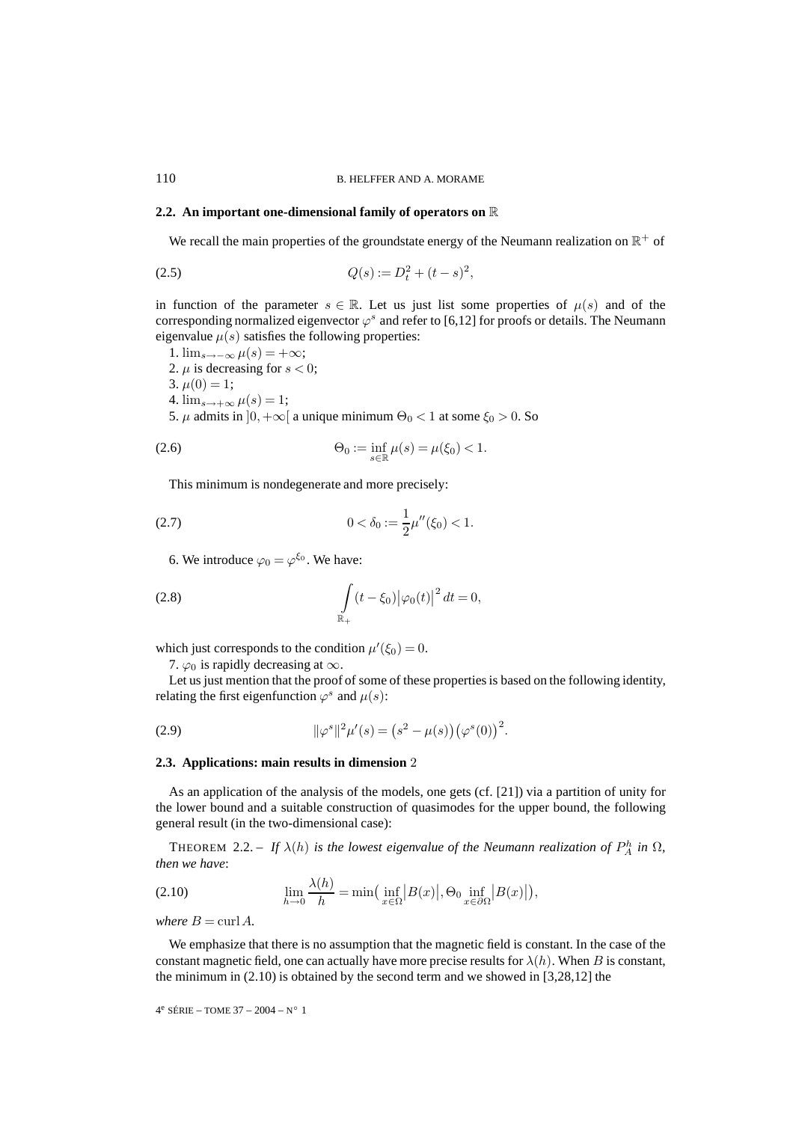## **2.2. An important one-dimensional family of operators on** R

We recall the main properties of the groundstate energy of the Neumann realization on  $\mathbb{R}^+$  of

(2.5) 
$$
Q(s) := D_t^2 + (t - s)^2,
$$

in function of the parameter  $s \in \mathbb{R}$ . Let us just list some properties of  $\mu(s)$  and of the corresponding normalized eigenvector  $\varphi^s$  and refer to [6,12] for proofs or details. The Neumann eigenvalue  $\mu(s)$  satisfies the following properties:

\n- 1. 
$$
\lim_{s \to -\infty} \mu(s) = +\infty;
$$
\n- 2.  $\mu$  is decreasing for  $s < 0;$
\n- 3.  $\mu(0) = 1;$
\n- 4.  $\lim_{s \to +\infty} \mu(s) = 1;$
\n- 5.  $\mu$  admits in  $]0, +\infty[$  a unique minimum  $\Theta_0 < 1$  at some  $\xi_0 > 0$ . So
\n

(2.6) 
$$
\Theta_0 := \inf_{s \in \mathbb{R}} \mu(s) = \mu(\xi_0) < 1.
$$

This minimum is nondegenerate and more precisely:

(2.7) 
$$
0 < \delta_0 := \frac{1}{2}\mu''(\xi_0) < 1.
$$

6. We introduce  $\varphi_0 = \varphi^{\xi_0}$ . We have:

(2.8) 
$$
\int_{\mathbb{R}_+} (t - \xi_0) |\varphi_0(t)|^2 dt = 0,
$$

which just corresponds to the condition  $\mu'(\xi_0) = 0$ .

7.  $\varphi_0$  is rapidly decreasing at  $\infty$ .

Let us just mention that the proof of some of these properties is based on the following identity, relating the first eigenfunction  $\varphi^s$  and  $\mu(s)$ :

(2.9) 
$$
\|\varphi^s\|^2 \mu'(s) = (s^2 - \mu(s)) (\varphi^s(0))^2.
$$

#### **2.3. Applications: main results in dimension** 2

As an application of the analysis of the models, one gets (cf. [21]) via a partition of unity for the lower bound and a suitable construction of quasimodes for the upper bound, the following general result (in the two-dimensional case):

THEOREM 2.2. – If  $\lambda(h)$  is the lowest eigenvalue of the Neumann realization of  $P_A^h$  in  $\Omega$ , *then we have*:

(2.10) 
$$
\lim_{h \to 0} \frac{\lambda(h)}{h} = \min\left(\inf_{x \in \Omega} |B(x)|, \Theta_0 \inf_{x \in \partial \Omega} |B(x)|\right),
$$

*where*  $B = \text{curl } A$ .

We emphasize that there is no assumption that the magnetic field is constant. In the case of the constant magnetic field, one can actually have more precise results for  $\lambda(h)$ . When B is constant, the minimum in (2.10) is obtained by the second term and we showed in [3,28,12] the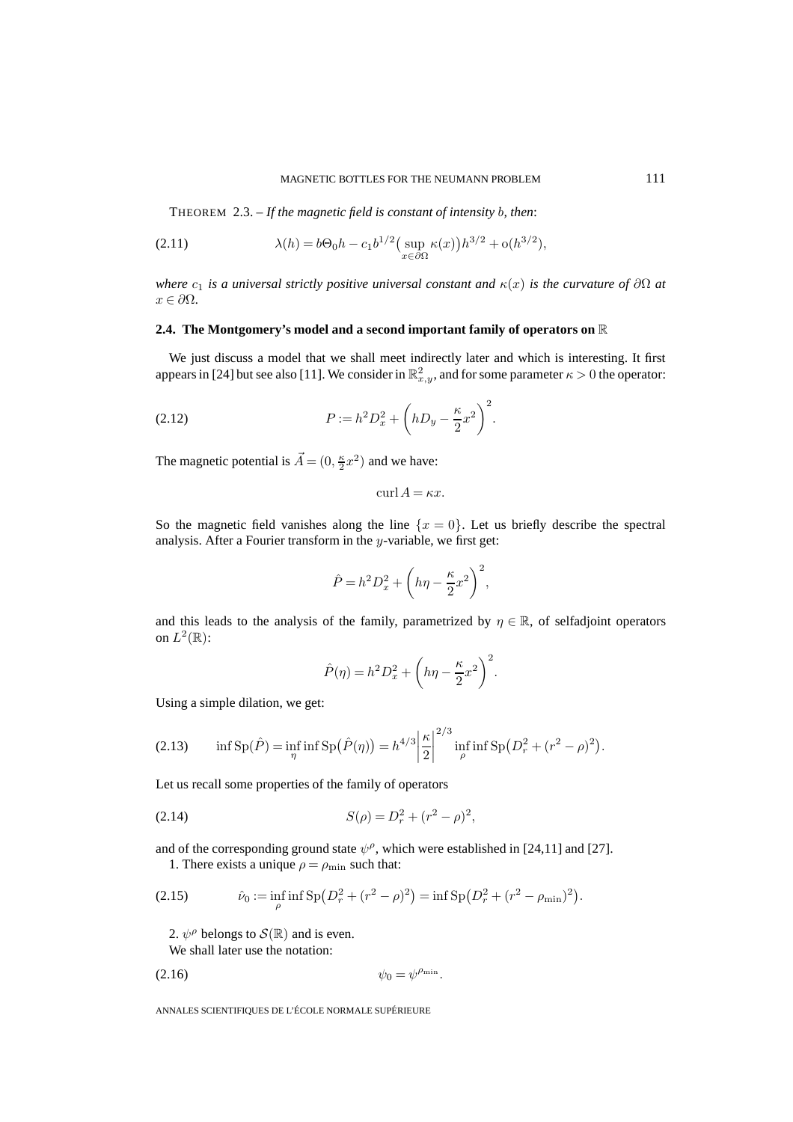THEOREM 2.3. – *If the magnetic field is constant of intensity* b*, then*:

(2.11) 
$$
\lambda(h) = b\Theta_0 h - c_1 b^{1/2} \left( \sup_{x \in \partial \Omega} \kappa(x) \right) h^{3/2} + o(h^{3/2}),
$$

*where*  $c_1$  *is a universal strictly positive universal constant and*  $\kappa(x)$  *is the curvature of*  $\partial\Omega$  *at*  $x \in \partial \Omega$ .

## **2.4. The Montgomery's model and a second important family of operators on** R

We just discuss a model that we shall meet indirectly later and which is interesting. It first appears in [24] but see also [11]. We consider in  $\mathbb{R}^2_{x,y}$ , and for some parameter  $\kappa > 0$  the operator:

(2.12) 
$$
P := h^2 D_x^2 + \left( h D_y - \frac{\kappa}{2} x^2 \right)^2.
$$

The magnetic potential is  $\vec{A} = (0, \frac{\kappa}{2}x^2)$  and we have:

 $\mathrm{curl}\,A = \kappa x.$ 

So the magnetic field vanishes along the line  $\{x = 0\}$ . Let us briefly describe the spectral analysis. After a Fourier transform in the y-variable, we first get:

$$
\hat{P} = h^2 D_x^2 + \left( h\eta - \frac{\kappa}{2} x^2 \right)^2,
$$

and this leads to the analysis of the family, parametrized by  $\eta \in \mathbb{R}$ , of selfadjoint operators on  $L^2(\mathbb{R})$ :

$$
\hat{P}(\eta) = h^2 D_x^2 + \left(h\eta - \frac{\kappa}{2}x^2\right)^2.
$$

Using a simple dilation, we get:

(2.13) 
$$
\inf \mathrm{Sp}(\hat{P}) = \inf_{\eta} \inf \mathrm{Sp}(\hat{P}(\eta)) = h^{4/3} \left| \frac{\kappa}{2} \right|^{2/3} \inf_{\rho} \inf \mathrm{Sp}(D_r^2 + (r^2 - \rho)^2).
$$

Let us recall some properties of the family of operators

(2.14) 
$$
S(\rho) = D_r^2 + (r^2 - \rho)^2,
$$

and of the corresponding ground state  $\psi^{\rho}$ , which were established in [24,11] and [27]. 1. There exists a unique  $\rho = \rho_{\min}$  such that:

(2.15) 
$$
\hat{\nu}_0 := \inf_{\rho} \inf \text{Sp}\left(D_r^2 + (r^2 - \rho)^2\right) = \inf \text{Sp}\left(D_r^2 + (r^2 - \rho_{\min})^2\right).
$$

2.  $\psi^{\rho}$  belongs to  $\mathcal{S}(\mathbb{R})$  and is even.

We shall later use the notation:

$$
\psi_0 = \psi^{\rho_{\min}}.
$$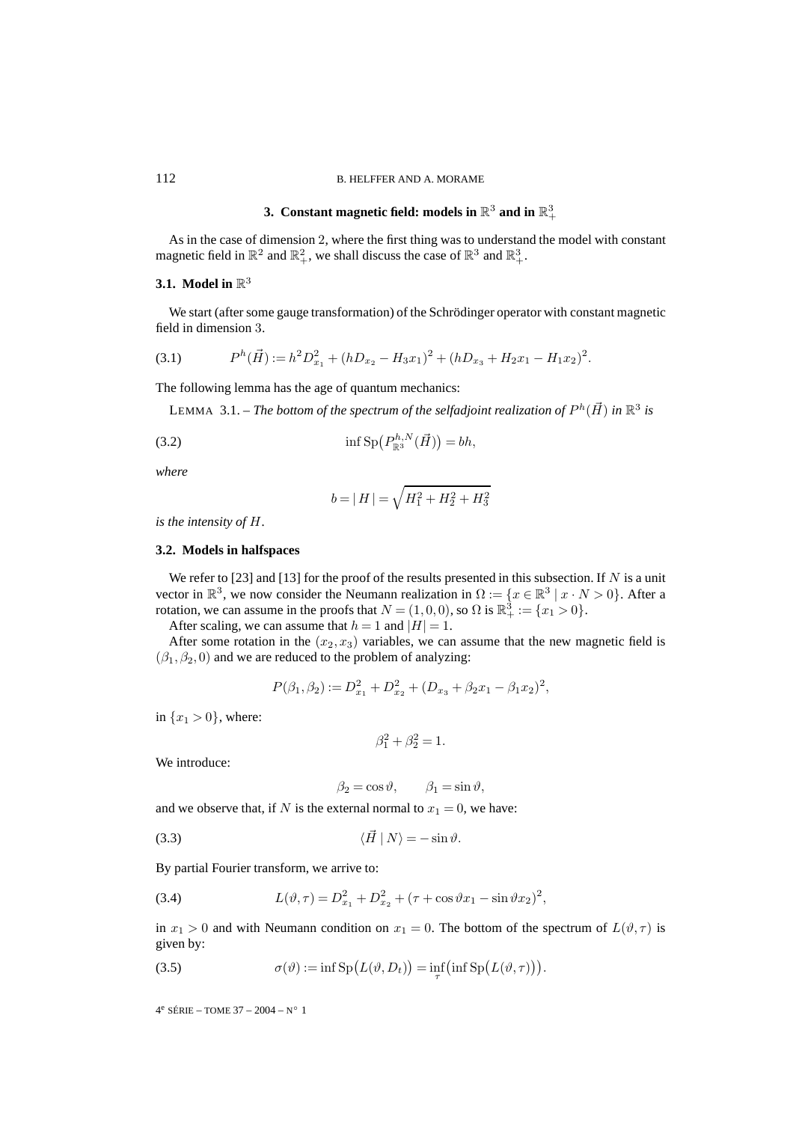## **3.** Constant magnetic field: models in  $\mathbb{R}^3$  and in  $\mathbb{R}^3_+$

As in the case of dimension 2, where the first thing was to understand the model with constant magnetic field in  $\mathbb{R}^2$  and  $\mathbb{R}^2_+$ , we shall discuss the case of  $\mathbb{R}^3$  and  $\mathbb{R}^3_+$ .

## **3.1. Model in** R<sup>3</sup>

We start (after some gauge transformation) of the Schrödinger operator with constant magnetic field in dimension 3.

$$
(3.1) \tPh(\vec{H}) := h2Dx12 + (hDx2 - H3x1)2 + (hDx3 + H2x1 - H1x2)2.
$$

The following lemma has the age of quantum mechanics:

LEMMA 3.1. – *The bottom of the spectrum of the selfadjoint realization of*  $P^h(\vec{H})$  *in*  $\mathbb{R}^3$  *is* 

(3.2) 
$$
\inf \mathrm{Sp}\big(P^{h,N}_{\mathbb{R}^3}(\vec{H})\big)=bh,
$$

*where*

$$
b=|\,H\,|=\sqrt{H_1^2+H_2^2+H_3^2}
$$

*is the intensity of* H*.*

## **3.2. Models in halfspaces**

We refer to [23] and [13] for the proof of the results presented in this subsection. If N is a unit vector in  $\mathbb{R}^3$ , we now consider the Neumann realization in  $\Omega := \{x \in \mathbb{R}^3 \mid x \cdot N > 0\}$ . After a rotation, we can assume in the proofs that  $N = (1, 0, 0)$ , so  $\Omega$  is  $\mathbb{R}^3_+ := \{x_1 > 0\}.$ 

After scaling, we can assume that  $h = 1$  and  $|H| = 1$ .

After some rotation in the  $(x_2, x_3)$  variables, we can assume that the new magnetic field is  $(\beta_1, \beta_2, 0)$  and we are reduced to the problem of analyzing:

$$
P(\beta_1, \beta_2) := D_{x_1}^2 + D_{x_2}^2 + (D_{x_3} + \beta_2 x_1 - \beta_1 x_2)^2,
$$

in  $\{x_1 > 0\}$ , where:

$$
\beta_1^2 + \beta_2^2 = 1.
$$

We introduce:

$$
\beta_2 = \cos \vartheta, \qquad \beta_1 = \sin \vartheta,
$$

and we observe that, if N is the external normal to  $x_1 = 0$ , we have:

$$
\langle \vec{H} | N \rangle = -\sin \vartheta.
$$

By partial Fourier transform, we arrive to:

(3.4) 
$$
L(\vartheta, \tau) = D_{x_1}^2 + D_{x_2}^2 + (\tau + \cos \vartheta x_1 - \sin \vartheta x_2)^2,
$$

in  $x_1 > 0$  and with Neumann condition on  $x_1 = 0$ . The bottom of the spectrum of  $L(\vartheta, \tau)$  is given by:

(3.5) 
$$
\sigma(\vartheta) := \inf \mathrm{Sp}\big(L(\vartheta, D_t)\big) = \inf_{\tau} \big(\inf \mathrm{Sp}\big(L(\vartheta, \tau)\big)\big).
$$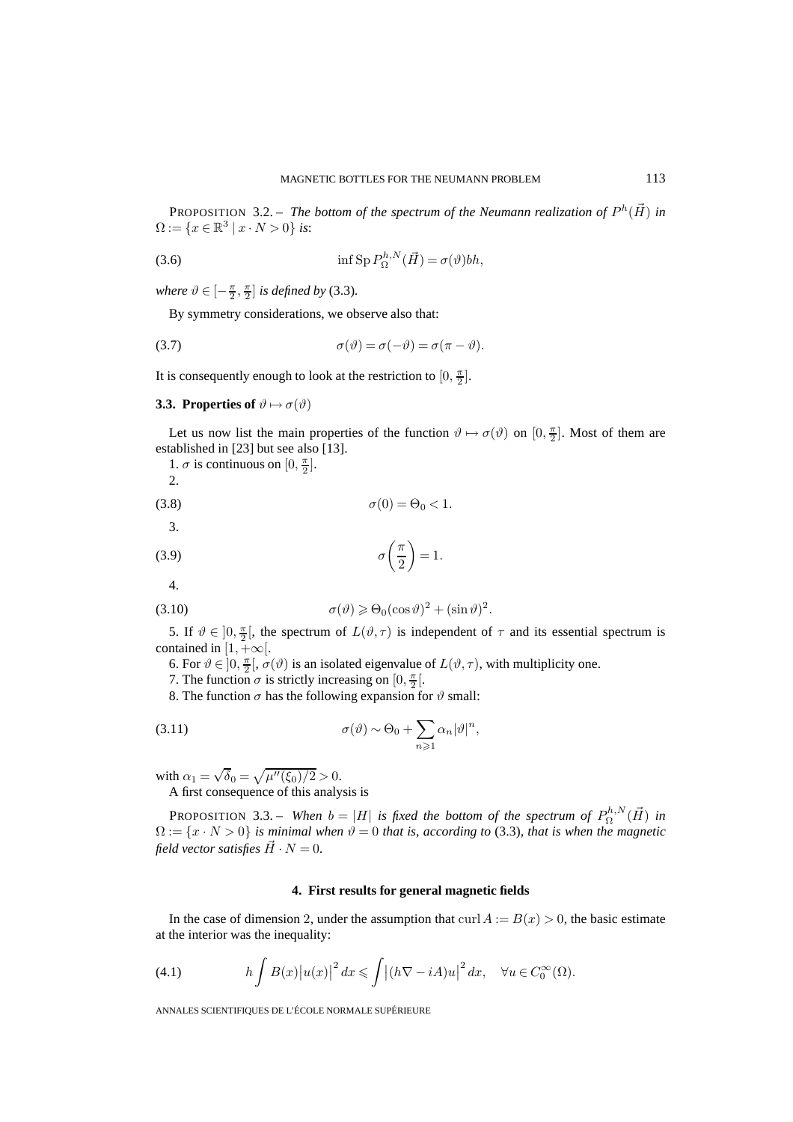PROPOSITION 3.2. – *The bottom of the spectrum of the Neumann realization of*  $P^h(\vec{H})$  *in*  $\Omega := \{x \in \mathbb{R}^3 \mid x \cdot N > 0\}$  *is*:

(3.6) 
$$
\inf \operatorname{Sp} P_{\Omega}^{h,N}(\vec{H}) = \sigma(\vartheta)bh
$$

*where*  $\vartheta \in \left[-\frac{\pi}{2}, \frac{\pi}{2}\right]$  *is defined by* (3.3).

By symmetry considerations, we observe also that:

(3.7) 
$$
\sigma(\vartheta) = \sigma(-\vartheta) = \sigma(\pi - \vartheta).
$$

It is consequently enough to look at the restriction to  $[0, \frac{\pi}{2}]$ .

## **3.3. Properties of**  $\vartheta \mapsto \sigma(\vartheta)$

Let us now list the main properties of the function  $\vartheta \mapsto \sigma(\vartheta)$  on  $[0, \frac{\pi}{2}]$ . Most of them are established in [23] but see also [13].

1.  $\sigma$  is continuous on  $[0, \frac{\pi}{2}]$ .

2.

$$
\sigma(0) = \Theta_0 < 1.
$$

3.

$$
\sigma\left(\frac{\pi}{2}\right) = 1.
$$

4.

(3.10) 
$$
\sigma(\vartheta) \geq \Theta_0(\cos \vartheta)^2 + (\sin \vartheta)^2.
$$

5. If  $\vartheta \in ]0, \frac{\pi}{2}[$ , the spectrum of  $L(\vartheta, \tau)$  is independent of  $\tau$  and its essential spectrum is contained in  $[1,+\infty[$ .

6. For  $\vartheta \in ]0, \frac{\pi}{2}[$ ,  $\sigma(\vartheta)$  is an isolated eigenvalue of  $L(\vartheta, \tau)$ , with multiplicity one.

7. The function  $\sigma$  is strictly increasing on  $[0, \frac{\pi}{2}]$ .

8. The function  $\sigma$  has the following expansion for  $\vartheta$  small:

(3.11) 
$$
\sigma(\vartheta) \sim \Theta_0 + \sum_{n \geqslant 1} \alpha_n |\vartheta|^n,
$$

with  $\alpha_1 = \sqrt{\delta_0} = \sqrt{\mu''(\xi_0)/2} > 0.$ 

A first consequence of this analysis is

**PROPOSITION** 3.3. – When  $b = |H|$  is fixed the bottom of the spectrum of  $P_{\Omega}^{h,N}(\vec{H})$  in  $\Omega := \{x \cdot N > 0\}$  *is minimal when*  $\vartheta = 0$  *that is, according to* (3.3)*, that is when the magnetic field vector satisfies*  $\vec{H} \cdot N = 0$ .

#### **4. First results for general magnetic fields**

In the case of dimension 2, under the assumption that curl  $A := B(x) > 0$ , the basic estimate at the interior was the inequality:

(4.1) 
$$
h \int B(x) |u(x)|^2 dx \leq \int |(h\nabla - iA)u|^2 dx, \quad \forall u \in C_0^{\infty}(\Omega).
$$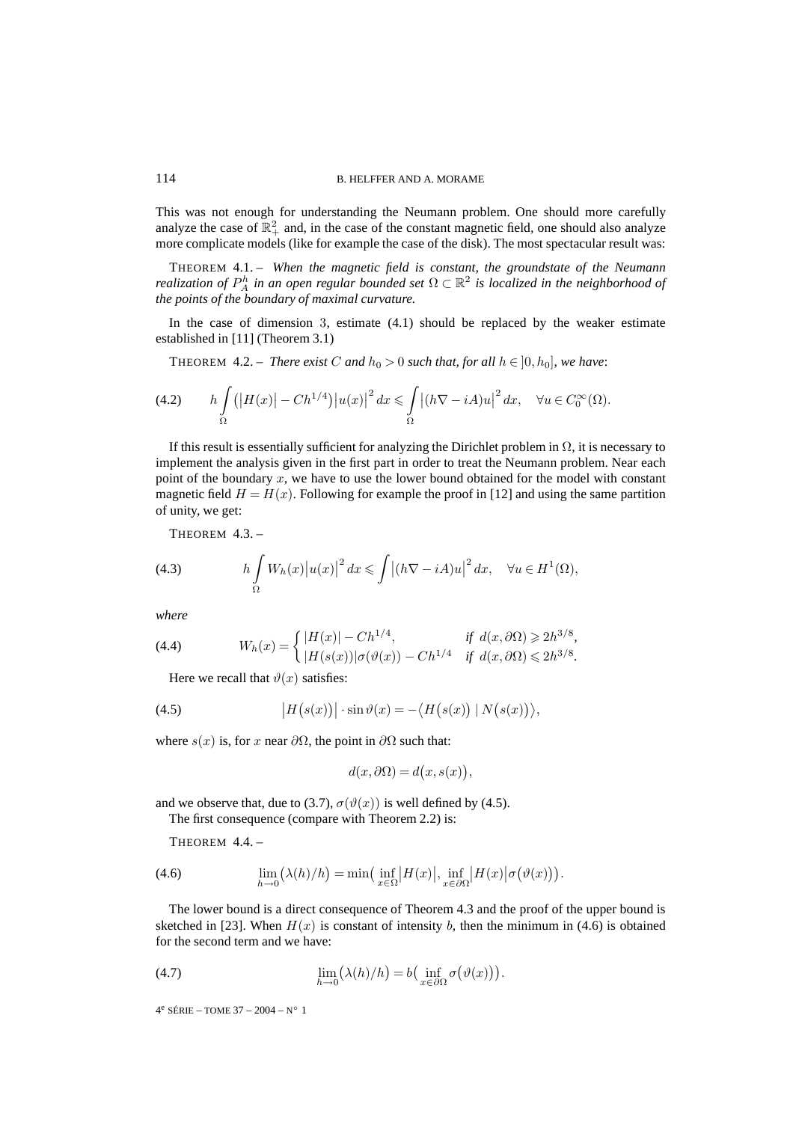This was not enough for understanding the Neumann problem. One should more carefully analyze the case of  $\mathbb{R}^2_+$  and, in the case of the constant magnetic field, one should also analyze more complicate models (like for example the case of the disk). The most spectacular result was:

THEOREM 4.1. – *When the magnetic field is constant, the groundstate of the Neumann realization of*  $P_A^h$  *in an open regular bounded set*  $\Omega \subset \mathbb{R}^2$  *is localized in the neighborhood of the points of the boundary of maximal curvature.*

In the case of dimension 3, estimate (4.1) should be replaced by the weaker estimate established in [11] (Theorem 3.1)

**THEOREM** 4.2. – *There exist* C and  $h_0 > 0$  *such that, for all*  $h \in [0, h_0]$ *, we have:* 

$$
(4.2) \qquad h \int_{\Omega} \left( \left| H(x) \right| - Ch^{1/4} \right) \left| u(x) \right|^2 dx \leq \int_{\Omega} \left| (h\nabla - iA)u \right|^2 dx, \quad \forall u \in C_0^{\infty}(\Omega).
$$

If this result is essentially sufficient for analyzing the Dirichlet problem in  $\Omega$ , it is necessary to implement the analysis given in the first part in order to treat the Neumann problem. Near each point of the boundary  $x$ , we have to use the lower bound obtained for the model with constant magnetic field  $H = H(x)$ . Following for example the proof in [12] and using the same partition of unity, we get:

THEOREM 4.3. –

(4.3) 
$$
h \int_{\Omega} W_h(x) |u(x)|^2 dx \leqslant \int |(h\nabla - iA)u|^2 dx, \quad \forall u \in H^1(\Omega),
$$

*where*

(4.4) 
$$
W_h(x) = \begin{cases} |H(x)| - Ch^{1/4}, & \text{if } d(x, \partial \Omega) \ge 2h^{3/8}, \\ |H(s(x))|\sigma(\vartheta(x)) - Ch^{1/4} & \text{if } d(x, \partial \Omega) \le 2h^{3/8}. \end{cases}
$$

Here we recall that  $\vartheta(x)$  satisfies:

(4.5) 
$$
\big|H(s(x))\big|\cdot\sin\vartheta(x) = -\big\langle H(s(x))\mid N(s(x))\big\rangle,
$$

where  $s(x)$  is, for x near  $\partial\Omega$ , the point in  $\partial\Omega$  such that:

$$
d(x, \partial \Omega) = d(x, s(x)),
$$

and we observe that, due to (3.7),  $\sigma(\vartheta(x))$  is well defined by (4.5).

The first consequence (compare with Theorem 2.2) is:

THEOREM 4.4. –

(4.6) 
$$
\lim_{h \to 0} (\lambda(h)/h) = \min\left(\inf_{x \in \Omega} |H(x)|, \inf_{x \in \partial \Omega} |H(x)| \sigma(\vartheta(x))\right).
$$

The lower bound is a direct consequence of Theorem 4.3 and the proof of the upper bound is sketched in [23]. When  $H(x)$  is constant of intensity b, then the minimum in (4.6) is obtained for the second term and we have:

(4.7) 
$$
\lim_{h \to 0} (\lambda(h)/h) = b\left(\inf_{x \in \partial \Omega} \sigma(\vartheta(x))\right).
$$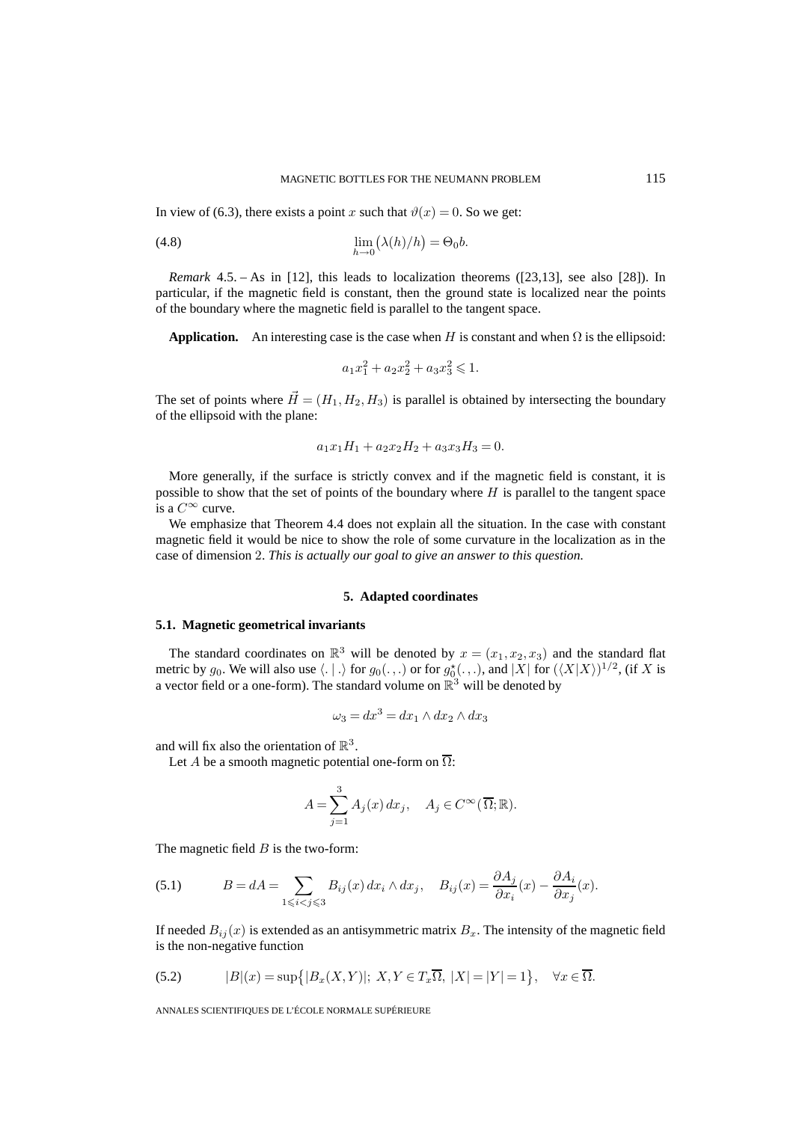In view of (6.3), there exists a point x such that  $\vartheta(x)=0$ . So we get:

(4.8) 
$$
\lim_{h \to 0} (\lambda(h)/h) = \Theta_0 b.
$$

*Remark* 4.5. – As in [12], this leads to localization theorems ([23,13], see also [28]). In particular, if the magnetic field is constant, then the ground state is localized near the points of the boundary where the magnetic field is parallel to the tangent space.

**Application.** An interesting case is the case when H is constant and when  $\Omega$  is the ellipsoid:

$$
a_1x_1^2 + a_2x_2^2 + a_3x_3^2 \le 1.
$$

The set of points where  $\vec{H} = (H_1, H_2, H_3)$  is parallel is obtained by intersecting the boundary of the ellipsoid with the plane:

$$
a_1x_1H_1 + a_2x_2H_2 + a_3x_3H_3 = 0.
$$

More generally, if the surface is strictly convex and if the magnetic field is constant, it is possible to show that the set of points of the boundary where  $H$  is parallel to the tangent space is a  $C^{\infty}$  curve.

We emphasize that Theorem 4.4 does not explain all the situation. In the case with constant magnetic field it would be nice to show the role of some curvature in the localization as in the case of dimension 2. *This is actually our goal to give an answer to this question.*

#### **5. Adapted coordinates**

#### **5.1. Magnetic geometrical invariants**

The standard coordinates on  $\mathbb{R}^3$  will be denoted by  $x = (x_1, x_2, x_3)$  and the standard flat metric by  $g_0$ . We will also use  $\langle .\mid .\rangle$  for  $g_0(.,.)$  or for  $g_0^{\star}(.,.)$ , and  $|X|$  for  $(\langle X|X\rangle)^{1/2}$ , (if X is a vector field or a one-form). The standard volume on  $\mathbb{R}^3$  will be denoted by

$$
\omega_3 = dx^3 = dx_1 \wedge dx_2 \wedge dx_3
$$

and will fix also the orientation of  $\mathbb{R}^3$ .

Let A be a smooth magnetic potential one-form on  $\overline{\Omega}$ :

$$
A = \sum_{j=1}^{3} A_j(x) dx_j, \quad A_j \in C^{\infty}(\overline{\Omega}; \mathbb{R}).
$$

The magnetic field  $B$  is the two-form:

(5.1) 
$$
B = dA = \sum_{1 \leq i < j \leq 3} B_{ij}(x) \, dx_i \wedge dx_j, \quad B_{ij}(x) = \frac{\partial A_j}{\partial x_i}(x) - \frac{\partial A_i}{\partial x_j}(x).
$$

If needed  $B_{ij}(x)$  is extended as an antisymmetric matrix  $B_x$ . The intensity of the magnetic field is the non-negative function

(5.2) 
$$
|B|(x) = \sup\{|B_x(X,Y)|; X,Y \in T_x\overline{\Omega}, |X| = |Y| = 1\}, \quad \forall x \in \overline{\Omega}.
$$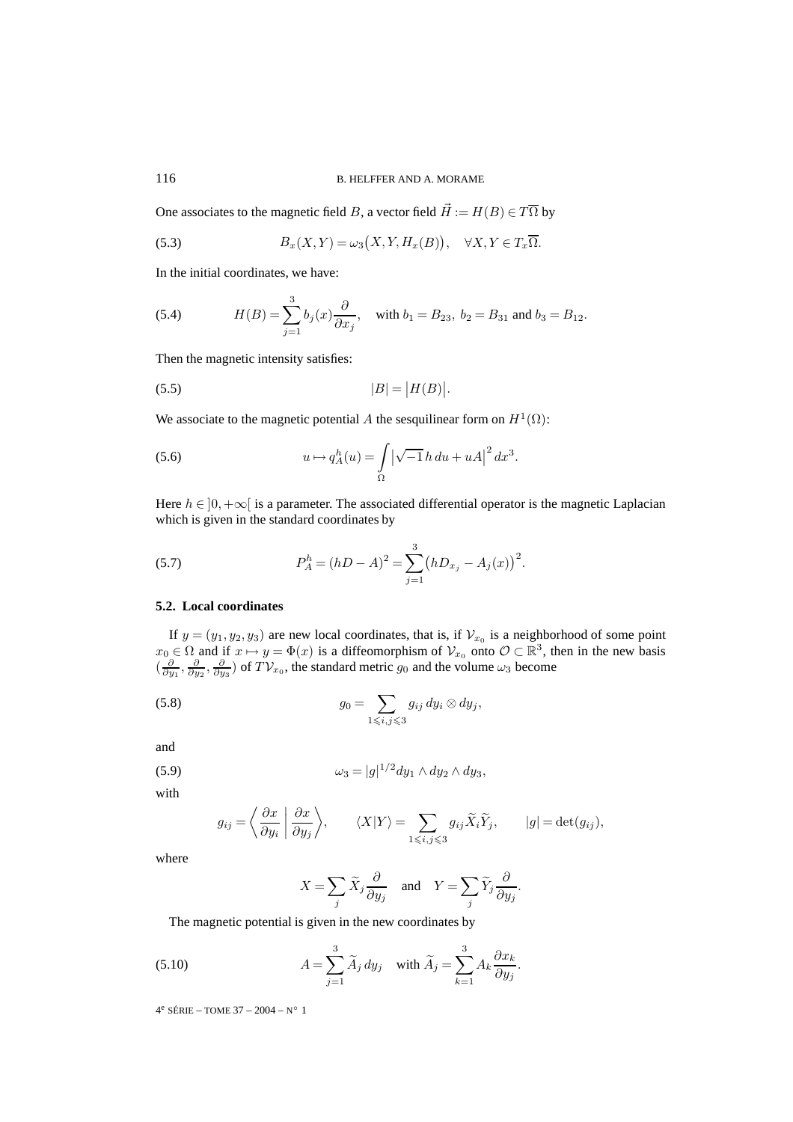One associates to the magnetic field B, a vector field  $\vec{H} := H(B) \in T\overline{\Omega}$  by

(5.3) 
$$
B_x(X,Y) = \omega_3(X,Y,H_x(B)), \quad \forall X,Y \in T_x\overline{\Omega}.
$$

In the initial coordinates, we have:

(5.4) 
$$
H(B) = \sum_{j=1}^{3} b_j(x) \frac{\partial}{\partial x_j}, \text{ with } b_1 = B_{23}, b_2 = B_{31} \text{ and } b_3 = B_{12}.
$$

Then the magnetic intensity satisfies:

$$
(5.5) \t\t |B| = |H(B)|.
$$

We associate to the magnetic potential A the sesquilinear form on  $H^1(\Omega)$ :

(5.6) 
$$
u \mapsto q_A^h(u) = \int_{\Omega} |\sqrt{-1} h \, du + uA|^2 \, dx^3.
$$

Here  $h \in ]0,+\infty[$  is a parameter. The associated differential operator is the magnetic Laplacian which is given in the standard coordinates by

(5.7) 
$$
P_A^h = (hD - A)^2 = \sum_{j=1}^3 (hD_{x_j} - A_j(x))^2.
$$

## **5.2. Local coordinates**

If  $y = (y_1, y_2, y_3)$  are new local coordinates, that is, if  $\mathcal{V}_{x_0}$  is a neighborhood of some point  $x_0 \in \Omega$  and if  $x \mapsto y = \Phi(x)$  is a diffeomorphism of  $\mathcal{V}_{x_0}$  onto  $\mathcal{O} \subset \mathbb{R}^3$ , then in the new basis  $\left(\frac{\partial}{\partial y_1}, \frac{\partial}{\partial y_2}, \frac{\partial}{\partial y_3}\right)$  of  $TV_{x_0}$ , the standard metric  $g_0$  and the volume  $\omega_3$  become

(5.8) 
$$
g_0 = \sum_{1 \leqslant i,j \leqslant 3} g_{ij} dy_i \otimes dy_j,
$$

and

(5.9) 
$$
\omega_3 = |g|^{1/2} dy_1 \wedge dy_2 \wedge dy_3,
$$

with

$$
g_{ij} = \left\langle \frac{\partial x}{\partial y_i} \middle| \frac{\partial x}{\partial y_j} \right\rangle, \qquad \langle X | Y \rangle = \sum_{1 \leq i, j \leq 3} g_{ij} \widetilde{X}_i \widetilde{Y}_j, \qquad |g| = \det(g_{ij}),
$$

where

$$
X = \sum_{j} \widetilde{X}_{j} \frac{\partial}{\partial y_{j}} \quad \text{and} \quad Y = \sum_{j} \widetilde{Y}_{j} \frac{\partial}{\partial y_{j}}.
$$

The magnetic potential is given in the new coordinates by

(5.10) 
$$
A = \sum_{j=1}^{3} \widetilde{A}_j \, dy_j \quad \text{with } \widetilde{A}_j = \sum_{k=1}^{3} A_k \frac{\partial x_k}{\partial y_j}.
$$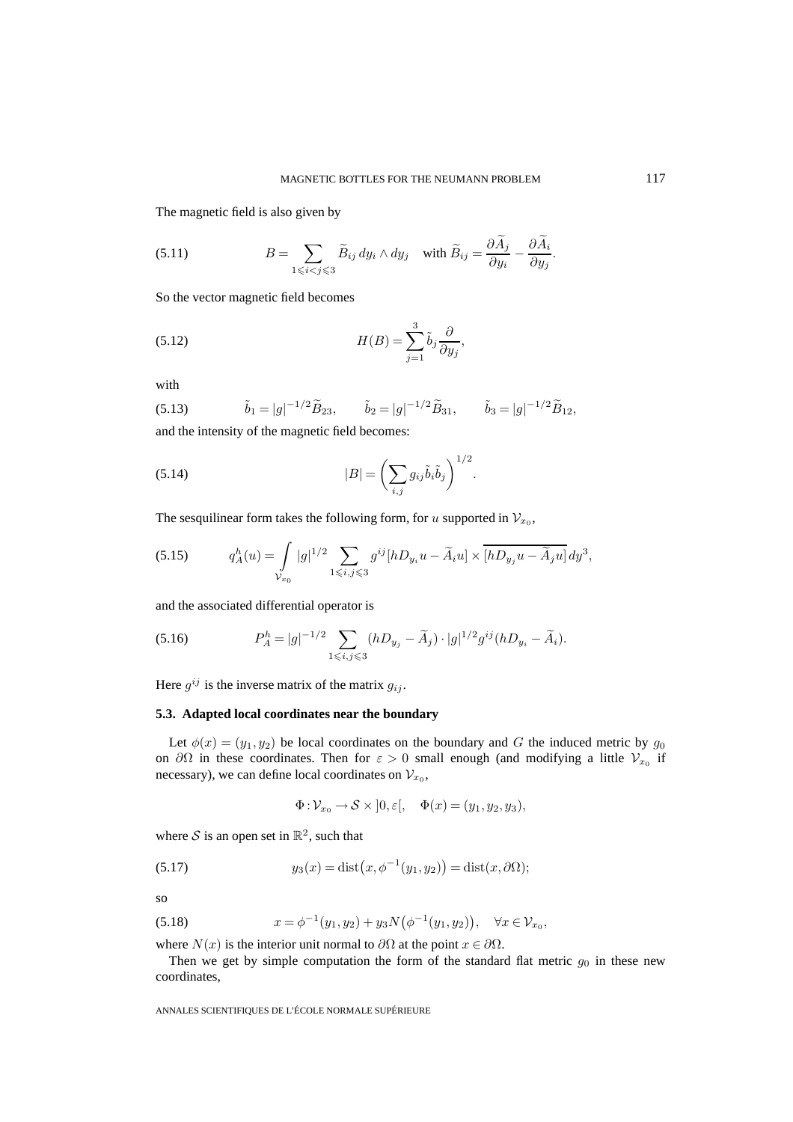The magnetic field is also given by

(5.11) 
$$
B = \sum_{1 \leq i < j \leq 3} \widetilde{B}_{ij} \, dy_i \wedge dy_j \quad \text{with } \widetilde{B}_{ij} = \frac{\partial A_j}{\partial y_i} - \frac{\partial A_i}{\partial y_j}.
$$

So the vector magnetic field becomes

(5.12) 
$$
H(B) = \sum_{j=1}^{3} \tilde{b}_j \frac{\partial}{\partial y_j},
$$

with

(5.13) 
$$
\tilde{b}_1 = |g|^{-1/2} \tilde{B}_{23}, \qquad \tilde{b}_2 = |g|^{-1/2} \tilde{B}_{31}, \qquad \tilde{b}_3 = |g|^{-1/2} \tilde{B}_{12},
$$

 $1/2$ 

and the intensity of the magnetic field becomes:

(5.14) 
$$
|B| = \left(\sum_{i,j} g_{ij} \tilde{b}_i \tilde{b}_j\right)^{1/2}.
$$

The sesquilinear form takes the following form, for u supported in  $\mathcal{V}_{x_0}$ ,

(5.15) 
$$
q_A^h(u) = \int_{\mathcal{V}_{x_0}} |g|^{1/2} \sum_{1 \le i,j \le 3} g^{ij} [hD_{y_i}u - \tilde{A}_i u] \times \overline{[hD_{y_j}u - \tilde{A}_j u]} dy^3,
$$

and the associated differential operator is

(5.16) 
$$
P_A^h = |g|^{-1/2} \sum_{1 \leq i,j \leq 3} (hD_{y_j} - \tilde{A}_j) \cdot |g|^{1/2} g^{ij} (hD_{y_i} - \tilde{A}_i).
$$

Here  $g^{ij}$  is the inverse matrix of the matrix  $g_{ij}$ .

#### **5.3. Adapted local coordinates near the boundary**

Let  $\phi(x)=(y_1, y_2)$  be local coordinates on the boundary and G the induced metric by  $g_0$ on  $\partial\Omega$  in these coordinates. Then for  $\varepsilon > 0$  small enough (and modifying a little  $\mathcal{V}_{x_0}$  if necessary), we can define local coordinates on  $\mathcal{V}_{x_0}$ ,

$$
\Phi: \mathcal{V}_{x_0} \to \mathcal{S} \times ]0, \varepsilon[, \quad \Phi(x) = (y_1, y_2, y_3),
$$

where S is an open set in  $\mathbb{R}^2$ , such that

(5.17) 
$$
y_3(x) = \text{dist}(x, \phi^{-1}(y_1, y_2)) = \text{dist}(x, \partial \Omega);
$$

so

(5.18) 
$$
x = \phi^{-1}(y_1, y_2) + y_3 N(\phi^{-1}(y_1, y_2)), \quad \forall x \in \mathcal{V}_{x_0},
$$

where  $N(x)$  is the interior unit normal to  $\partial\Omega$  at the point  $x \in \partial\Omega$ .

Then we get by simple computation the form of the standard flat metric  $g_0$  in these new coordinates,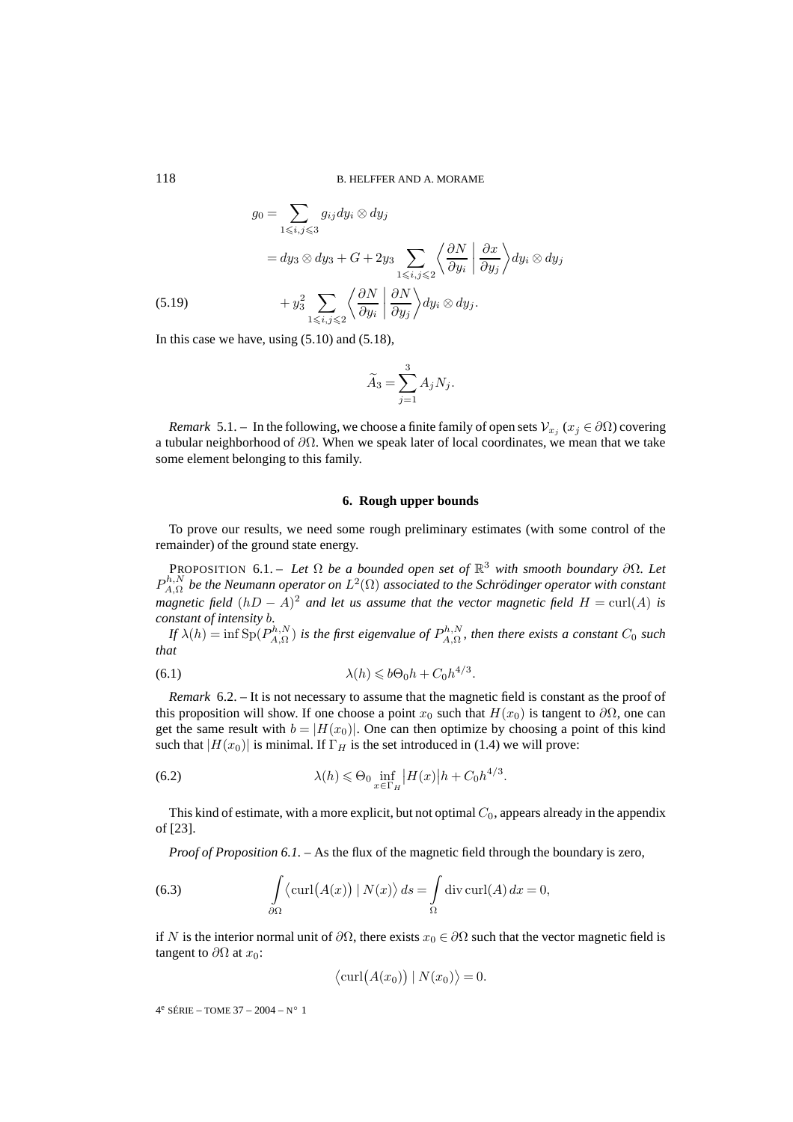$$
g_0 = \sum_{1 \le i,j \le 3} g_{ij} dy_i \otimes dy_j
$$
  
=  $dy_3 \otimes dy_3 + G + 2y_3 \sum_{1 \le i,j \le 2} \left\langle \frac{\partial N}{\partial y_i} \middle| \frac{\partial x}{\partial y_j} \right\rangle dy_i \otimes dy_j$   
(5.19) 
$$
+ y_3^2 \sum_{1 \le i,j \le 2} \left\langle \frac{\partial N}{\partial y_i} \middle| \frac{\partial N}{\partial y_j} \right\rangle dy_i \otimes dy_j.
$$

In this case we have, using (5.10) and (5.18),

$$
\widetilde{A}_3 = \sum_{j=1}^3 A_j N_j.
$$

*Remark* 5.1. – In the following, we choose a finite family of open sets  $V_{x_i}$  ( $x_j \in \partial \Omega$ ) covering a tubular neighborhood of  $\partial\Omega$ . When we speak later of local coordinates, we mean that we take some element belonging to this family.

#### **6. Rough upper bounds**

To prove our results, we need some rough preliminary estimates (with some control of the remainder) of the ground state energy.

PROPOSITION 6.1. – *Let*  $\Omega$  *be a bounded open set of*  $\mathbb{R}^3$  *with smooth boundary*  $\partial \Omega$ *. Let*  $P_{A,\Omega}^{h,N}$  be the Neumann operator on  $L^2(\Omega)$  associated to the Schrödinger operator with constant *magnetic field*  $(hD - A)^2$  *and let us assume that the vector magnetic field*  $H = \text{curl}(A)$  *is constant of intensity* b*.*

*If*  $\lambda(h)$  = inf  $Sp(P_{A,\Omega}^{h,N})$  is the first eigenvalue of  $P_{A,\Omega}^{h,N}$ , then there exists a constant  $C_0$  such *that*

(6.1) 
$$
\lambda(h) \leqslant b\Theta_0 h + C_0 h^{4/3}.
$$

*Remark* 6.2. – It is not necessary to assume that the magnetic field is constant as the proof of this proposition will show. If one choose a point  $x_0$  such that  $H(x_0)$  is tangent to  $\partial\Omega$ , one can get the same result with  $b = |H(x_0)|$ . One can then optimize by choosing a point of this kind such that  $|H(x_0)|$  is minimal. If  $\Gamma_H$  is the set introduced in (1.4) we will prove:

(6.2) 
$$
\lambda(h) \leq \Theta_0 \inf_{x \in \Gamma_H} |H(x)| h + C_0 h^{4/3}.
$$

This kind of estimate, with a more explicit, but not optimal  $C_0$ , appears already in the appendix of [23].

*Proof of Proposition 6.1.* – As the flux of the magnetic field through the boundary is zero,

(6.3) 
$$
\int_{\partial\Omega} \langle \mathrm{curl}(A(x)) | N(x) \rangle ds = \int_{\Omega} \mathrm{div} \, \mathrm{curl}(A) dx = 0,
$$

if N is the interior normal unit of  $\partial\Omega$ , there exists  $x_0 \in \partial\Omega$  such that the vector magnetic field is tangent to  $\partial\Omega$  at  $x_0$ :

$$
\langle \mathrm{curl}(A(x_0)) | N(x_0) \rangle = 0.
$$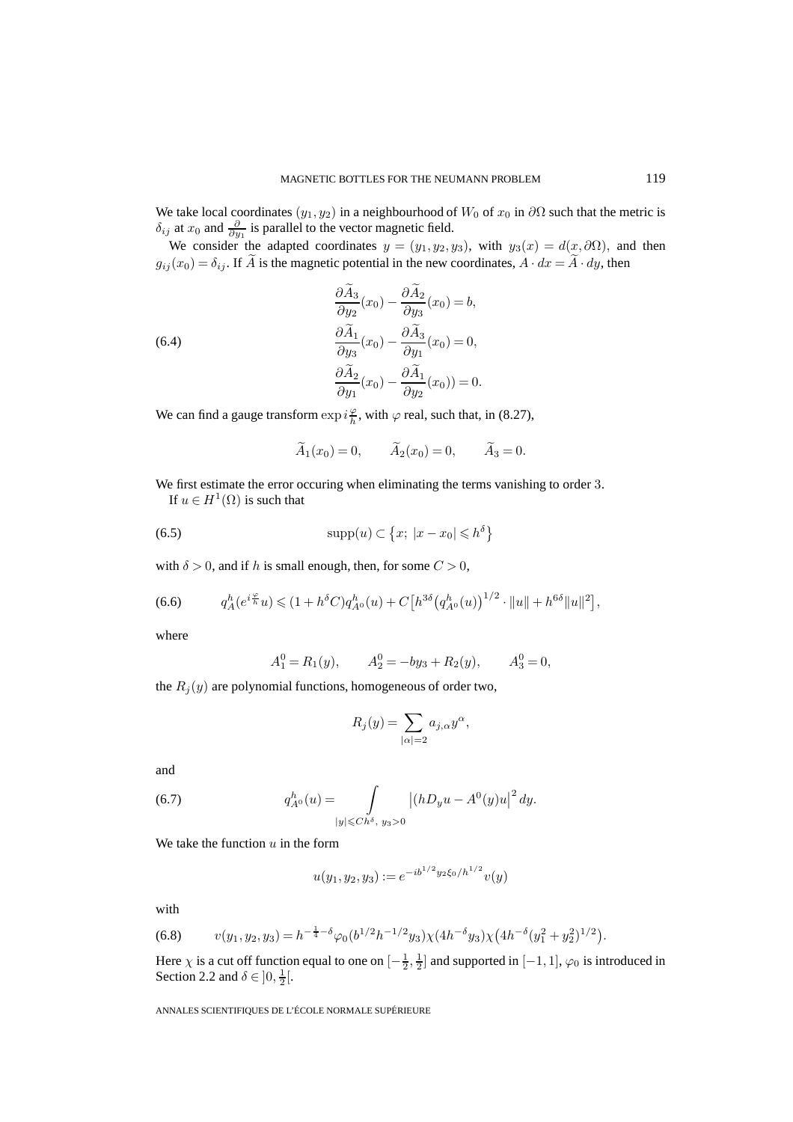We take local coordinates  $(y_1, y_2)$  in a neighbourhood of  $W_0$  of  $x_0$  in  $\partial\Omega$  such that the metric is  $\delta_{ij}$  at  $x_0$  and  $\frac{\partial}{\partial y_1}$  is parallel to the vector magnetic field.

We consider the adapted coordinates  $y = (y_1, y_2, y_3)$ , with  $y_3(x) = d(x, \partial \Omega)$ , and then  $g_{ij}(x_0) = \delta_{ij}$ . If A is the magnetic potential in the new coordinates,  $A \cdot dx = A \cdot dy$ , then

(6.4)  
\n
$$
\frac{\partial \tilde{A}_3}{\partial y_2}(x_0) - \frac{\partial \tilde{A}_2}{\partial y_3}(x_0) = b,
$$
\n
$$
\frac{\partial \tilde{A}_1}{\partial y_3}(x_0) - \frac{\partial \tilde{A}_3}{\partial y_1}(x_0) = 0,
$$
\n
$$
\frac{\partial \tilde{A}_2}{\partial y_1}(x_0) - \frac{\partial \tilde{A}_1}{\partial y_2}(x_0) = 0.
$$

We can find a gauge transform  $\exp i\frac{\varphi}{h}$ , with  $\varphi$  real, such that, in (8.27),

$$
\widetilde{A}_1(x_0) = 0, \qquad \widetilde{A}_2(x_0) = 0, \qquad \widetilde{A}_3 = 0.
$$

We first estimate the error occuring when eliminating the terms vanishing to order 3.

If  $u \in H^1(\Omega)$  is such that

(6.5) 
$$
\text{supp}(u) \subset \left\{x; \ |x - x_0| \leqslant h^{\delta}\right\}
$$

with  $\delta > 0$ , and if h is small enough, then, for some  $C > 0$ ,

(6.6) 
$$
q_A^h(e^{i\frac{\varphi}{h}}u) \leq (1+h^{\delta}C)q_{A^0}^h(u) + C\big[h^{3\delta}(q_{A^0}^h(u))\big]^{1/2} \cdot \|u\| + h^{6\delta}\|u\|^2\big],
$$

where

$$
A_1^0 = R_1(y)
$$
,  $A_2^0 = -by_3 + R_2(y)$ ,  $A_3^0 = 0$ ,

the  $R_i(y)$  are polynomial functions, homogeneous of order two,

$$
R_j(y) = \sum_{|\alpha|=2} a_{j,\alpha} y^{\alpha},
$$

and

(6.7) 
$$
q_{A^0}^h(u) = \int\limits_{|y| \leq C h^{\delta}, y_3 > 0} |(hD_y u - A^0(y)u|^2 dy.
$$

We take the function  $u$  in the form

$$
u(y_1, y_2, y_3) := e^{-ib^{1/2}y_2\xi_0/h^{1/2}}v(y)
$$

with

$$
(6.8) \t v(y_1, y_2, y_3) = h^{-\frac{1}{4} - \delta} \varphi_0(b^{1/2} h^{-1/2} y_3) \chi(4h^{-\delta} y_3) \chi\big(4h^{-\delta} (y_1^2 + y_2^2)^{1/2}\big).
$$

Here  $\chi$  is a cut off function equal to one on  $[-\frac{1}{2},\frac{1}{2}]$  and supported in  $[-1,1]$ ,  $\varphi_0$  is introduced in Section 2.2 and  $\delta \in ]0, \frac{1}{2} [$ .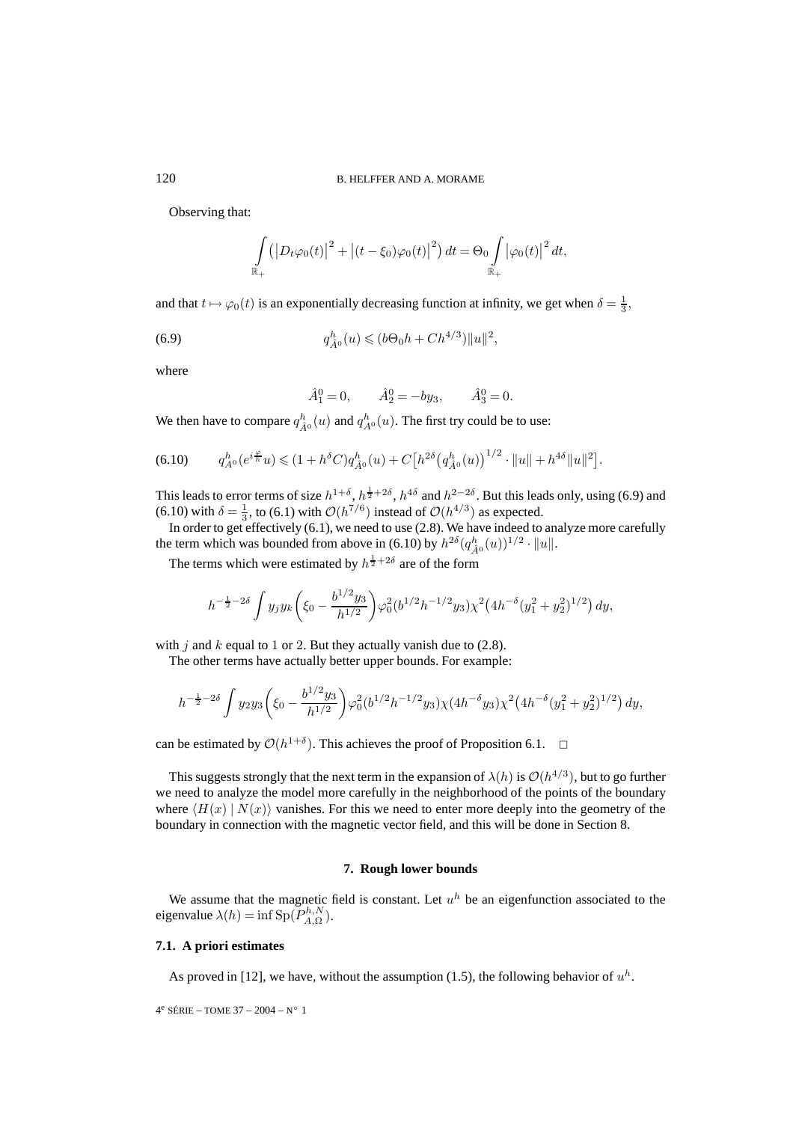Observing that:

$$
\int_{\mathbb{R}_+} \left( \left| D_t \varphi_0(t) \right|^2 + \left| (t - \xi_0) \varphi_0(t) \right|^2 \right) dt = \Theta_0 \int_{\mathbb{R}_+} \left| \varphi_0(t) \right|^2 dt,
$$

and that  $t \mapsto \varphi_0(t)$  is an exponentially decreasing function at infinity, we get when  $\delta = \frac{1}{3}$ ,

(6.9) 
$$
q_{\hat{A}^0}^h(u) \leq (b\Theta_0 h + Ch^{4/3}) \|u\|^2,
$$

where

$$
\hat{A}_1^0 = 0
$$
,  $\hat{A}_2^0 = -by_3$ ,  $\hat{A}_3^0 = 0$ .

We then have to compare  $q_{\hat{A}^0}^h(u)$  and  $q_{A^0}^h(u)$ . The first try could be to use:

$$
(6.10) \tq_{A^0}^h(e^{i\frac{\varphi}{h}}u) \leq (1+h^{\delta}C)q_{\hat{A}^0}^h(u) + C\big[h^{2\delta} \big(q_{\hat{A}^0}^h(u)\big)^{1/2} \cdot \|u\| + h^{4\delta} \|u\|^2\big].
$$

This leads to error terms of size  $h^{1+\delta}$ ,  $h^{\frac{1}{2}+2\delta}$ ,  $h^{4\delta}$  and  $h^{2-2\delta}$ . But this leads only, using (6.9) and (6.10) with  $\delta = \frac{1}{3}$ , to (6.1) with  $\mathcal{O}(h^{7/6})$  instead of  $\mathcal{O}(h^{4/3})$  as expected.

In order to get effectively (6.1), we need to use (2.8). We have indeed to analyze more carefully the term which was bounded from above in (6.10) by  $h^{2\delta}(q_{\hat{A}^0}^h(u))^{1/2} \cdot ||u||$ .

The terms which were estimated by  $h^{\frac{1}{2}+2\delta}$  are of the form

$$
h^{-\frac{1}{2}-2\delta} \int y_j y_k \left(\xi_0 - \frac{b^{1/2} y_3}{h^{1/2}}\right) \varphi_0^2 (b^{1/2} h^{-1/2} y_3) \chi^2 \left(4h^{-\delta} (y_1^2 + y_2^2)^{1/2}\right) dy,
$$

with j and  $k$  equal to 1 or 2. But they actually vanish due to (2.8).

The other terms have actually better upper bounds. For example:

$$
h^{-\frac{1}{2}-2\delta} \int y_2 y_3 \left(\xi_0 - \frac{b^{1/2} y_3}{h^{1/2}}\right) \varphi_0^2 (b^{1/2} h^{-1/2} y_3) \chi (4h^{-\delta} y_3) \chi^2 \left(4h^{-\delta} (y_1^2 + y_2^2)^{1/2}\right) dy,
$$

can be estimated by  $\mathcal{O}(h^{1+\delta})$ . This achieves the proof of Proposition 6.1.  $\Box$ 

This suggests strongly that the next term in the expansion of  $\lambda(h)$  is  $\mathcal{O}(h^{4/3})$ , but to go further we need to analyze the model more carefully in the neighborhood of the points of the boundary where  $\langle H(x) | N(x) \rangle$  vanishes. For this we need to enter more deeply into the geometry of the boundary in connection with the magnetic vector field, and this will be done in Section 8.

#### **7. Rough lower bounds**

We assume that the magnetic field is constant. Let  $u^h$  be an eigenfunction associated to the eigenvalue  $\lambda(h) = \inf \text{Sp}(P_{A,\Omega}^{h,N}).$ 

#### **7.1. A priori estimates**

As proved in [12], we have, without the assumption (1.5), the following behavior of  $u<sup>h</sup>$ .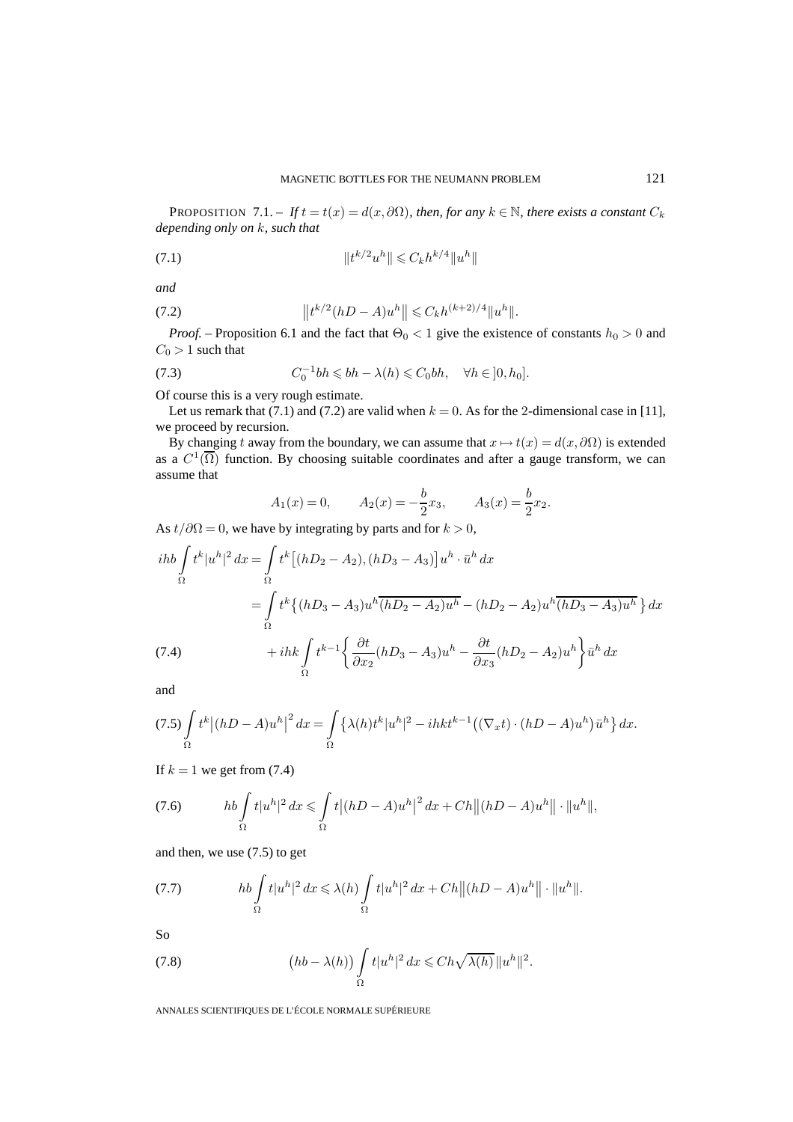PROPOSITION 7.1. – *If*  $t = t(x) = d(x, \partial\Omega)$ *, then, for any*  $k \in \mathbb{N}$ *, there exists a constant*  $C_k$ *depending only on* k*, such that*

(7.1) 
$$
||t^{k/2}u^h|| \leq C_k h^{k/4}||u^h||
$$

*and*

(7.2) 
$$
\|t^{k/2}(hD-A)u^h\| \leq C_k h^{(k+2)/4} \|u^h\|.
$$

*Proof.* – Proposition 6.1 and the fact that  $\Theta_0 < 1$  give the existence of constants  $h_0 > 0$  and  $C_0 > 1$  such that

(7.3) 
$$
C_0^{-1}bh \leqslant bh - \lambda(h) \leqslant C_0bh, \quad \forall h \in ]0, h_0].
$$

Of course this is a very rough estimate.

Let us remark that (7.1) and (7.2) are valid when  $k = 0$ . As for the 2-dimensional case in [11], we proceed by recursion.

By changing t away from the boundary, we can assume that  $x \mapsto t(x) = d(x, \partial \Omega)$  is extended as a  $C^1(\overline{\Omega})$  function. By choosing suitable coordinates and after a gauge transform, we can assume that

$$
A_1(x) = 0,
$$
  $A_2(x) = -\frac{b}{2}x_3,$   $A_3(x) = \frac{b}{2}x_2.$ 

As  $t/\partial\Omega=0$ , we have by integrating by parts and for  $k > 0$ ,

$$
i\hbar b \int_{\Omega} t^{k} |u^{h}|^{2} dx = \int_{\Omega} t^{k} [(hD_{2} - A_{2}), (hD_{3} - A_{3})] u^{h} \cdot \bar{u}^{h} dx
$$
  
\n
$$
= \int_{\Omega} t^{k} \{ (hD_{3} - A_{3}) u^{h} \overline{(hD_{2} - A_{2}) u^{h}} - (hD_{2} - A_{2}) u^{h} \overline{(hD_{3} - A_{3}) u^{h}} \} dx
$$
  
\n(7.4)  
\n
$$
+ ihk \int_{\Omega} t^{k-1} \left\{ \frac{\partial t}{\partial x_{2}} (hD_{3} - A_{3}) u^{h} - \frac{\partial t}{\partial x_{3}} (hD_{2} - A_{2}) u^{h} \right\} \bar{u}^{h} dx
$$

and

$$
(7.5)\int_{\Omega} t^k |(hD-A)u^h|^2 dx = \int_{\Omega} {\{\lambda(h)t^k |u^h|^2 - ihkt^{k-1}((\nabla_x t) \cdot (hD-A)u^h)\bar{u}^h\} dx}.
$$

If  $k = 1$  we get from (7.4)

(7.6) 
$$
hb \int_{\Omega} t|u^h|^2 dx \leqslant \int_{\Omega} t|(hD-A)u^h|^2 dx + Ch||(hD-A)u^h|| \cdot ||u^h||,
$$

and then, we use (7.5) to get

(7.7) 
$$
hb\int_{\Omega}t|u^h|^2 dx \leq \lambda(h)\int_{\Omega}t|u^h|^2 dx + Ch||(hD-A)u^h||\cdot||u^h||.
$$

So

(7.8) 
$$
(hb - \lambda(h)) \int_{\Omega} t|u^{h}|^{2} dx \leq C h \sqrt{\lambda(h)} \|u^{h}\|^{2}.
$$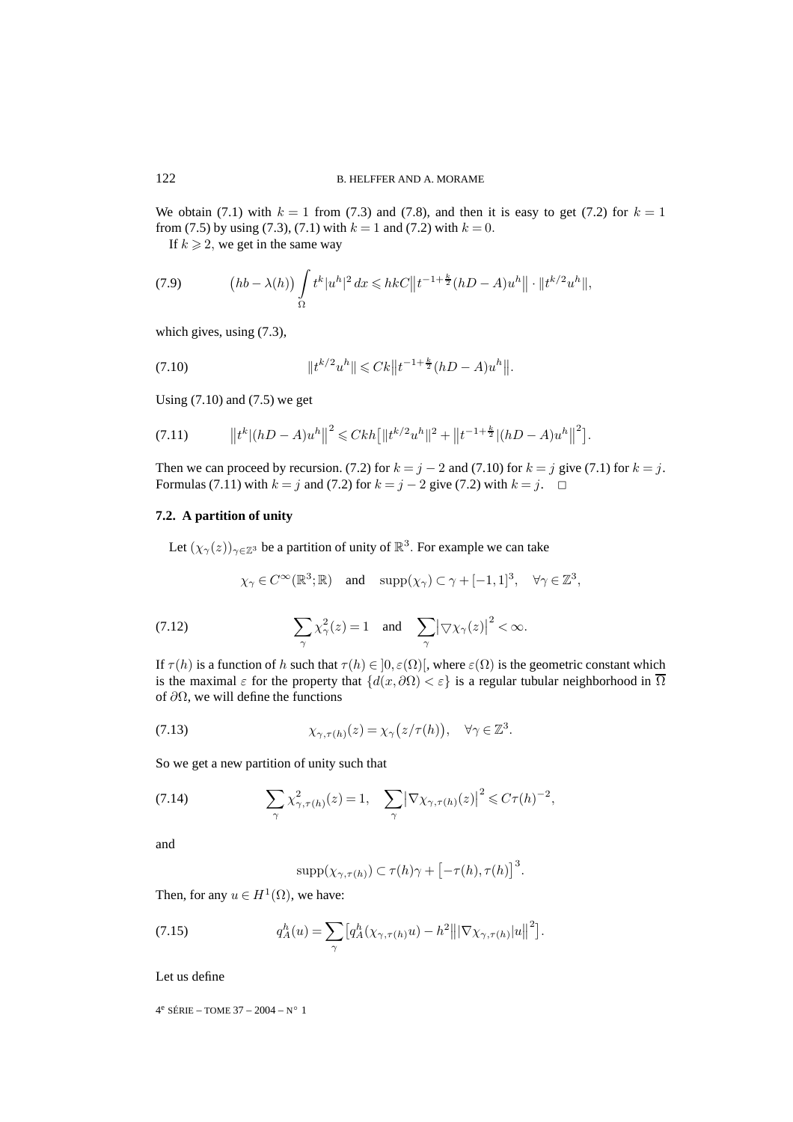We obtain (7.1) with  $k = 1$  from (7.3) and (7.8), and then it is easy to get (7.2) for  $k = 1$ from (7.5) by using (7.3), (7.1) with  $k = 1$  and (7.2) with  $k = 0$ .

If  $k \geq 2$ , we get in the same way

(7.9) 
$$
(hb - \lambda(h)) \int_{\Omega} t^{k} |u^{h}|^{2} dx \leq h k C \|t^{-1+\frac{k}{2}} (hD - A)u^{h}\| \cdot \|t^{k/2} u^{h}\|,
$$

which gives, using (7.3),

(7.10) 
$$
||t^{k/2}u^h|| \leqslant Ck||t^{-1+\frac{k}{2}}(hD-A)u^h||.
$$

Using  $(7.10)$  and  $(7.5)$  we get

$$
(7.11) \t\t ||tk|(hD-A)uh||2 \leq Ckh [||tk/2uh||2 + ||t-1+\frac{k}{2}|(hD-A)uh||2].
$$

Then we can proceed by recursion. (7.2) for  $k = j - 2$  and (7.10) for  $k = j$  give (7.1) for  $k = j$ . Formulas (7.11) with  $k = j$  and (7.2) for  $k = j - 2$  give (7.2) with  $k = j$ .  $\Box$ 

## **7.2. A partition of unity**

Let  $(\chi_{\gamma}(z))_{\gamma \in \mathbb{Z}^3}$  be a partition of unity of  $\mathbb{R}^3$ . For example we can take

$$
\chi_{\gamma} \in C^{\infty}(\mathbb{R}^3; \mathbb{R})
$$
 and  $\text{supp}(\chi_{\gamma}) \subset \gamma + [-1, 1]^3$ ,  $\forall \gamma \in \mathbb{Z}^3$ ,

(7.12) 
$$
\sum_{\gamma} \chi_{\gamma}^2(z) = 1 \text{ and } \sum_{\gamma} |\nabla \chi_{\gamma}(z)|^2 < \infty.
$$

If  $\tau(h)$  is a function of h such that  $\tau(h) \in ]0, \varepsilon(\Omega)]$ , where  $\varepsilon(\Omega)$  is the geometric constant which is the maximal  $\varepsilon$  for the property that  $\{d(x, \partial \Omega) < \varepsilon\}$  is a regular tubular neighborhood in  $\overline{\Omega}$ of  $\partial\Omega$ , we will define the functions

(7.13) 
$$
\chi_{\gamma,\tau(h)}(z) = \chi_{\gamma}(z/\tau(h)), \quad \forall \gamma \in \mathbb{Z}^3.
$$

So we get a new partition of unity such that

(7.14) 
$$
\sum_{\gamma} \chi^2_{\gamma,\tau(h)}(z) = 1, \quad \sum_{\gamma} |\nabla \chi_{\gamma,\tau(h)}(z)|^2 \leq C\tau(h)^{-2},
$$

and

$$
\mathrm{supp}(\chi_{\gamma,\tau(h)}) \subset \tau(h)\gamma + \left[-\tau(h),\tau(h)\right]^3.
$$

Then, for any  $u \in H^1(\Omega)$ , we have:

(7.15) 
$$
q_A^h(u) = \sum_{\gamma} \left[ q_A^h(\chi_{\gamma,\tau(h)}u) - h^2 \right] \left\| \nabla \chi_{\gamma,\tau(h)} |u| \right\|^2 \right].
$$

Let us define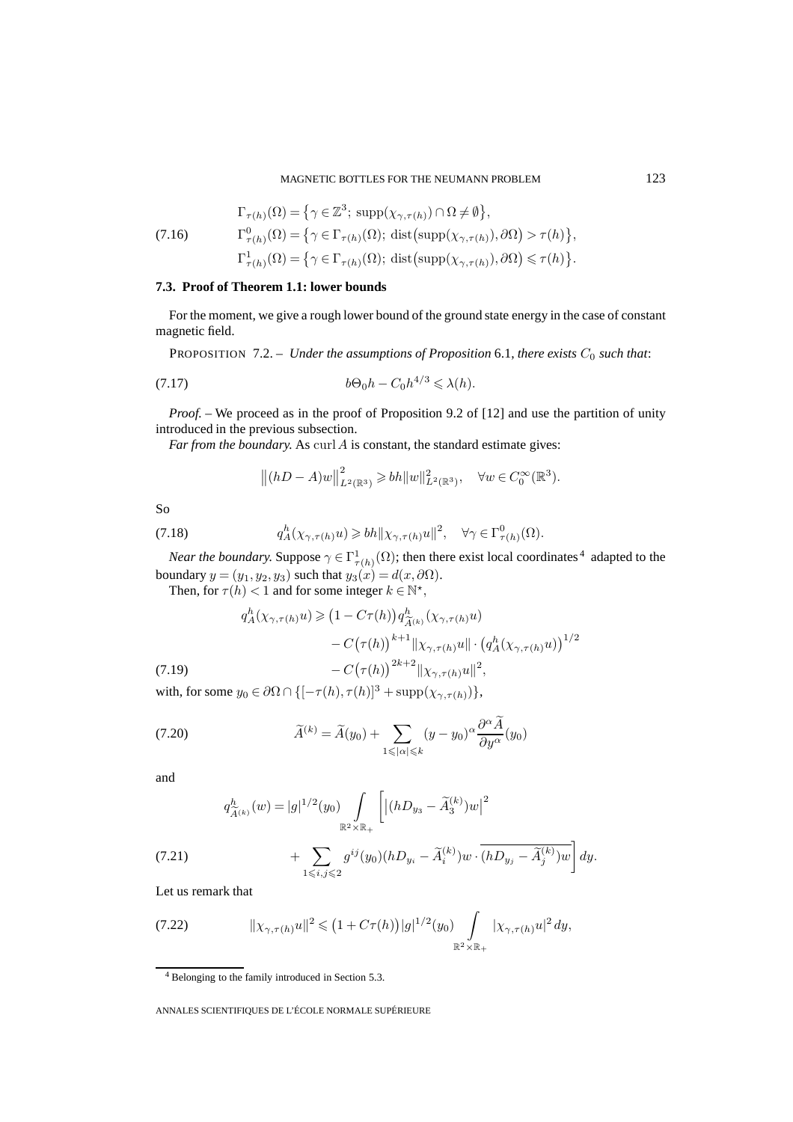(7.16) 
$$
\Gamma_{\tau(h)}(\Omega) = \{ \gamma \in \mathbb{Z}^3; \, \text{supp}(\chi_{\gamma,\tau(h)}) \cap \Omega \neq \emptyset \},
$$

$$
\Gamma^0_{\tau(h)}(\Omega) = \{ \gamma \in \Gamma_{\tau(h)}(\Omega); \, \text{dist}(\text{supp}(\chi_{\gamma,\tau(h)}), \partial \Omega) > \tau(h) \},
$$

$$
\Gamma^1_{\tau(h)}(\Omega) = \{ \gamma \in \Gamma_{\tau(h)}(\Omega); \, \text{dist}(\text{supp}(\chi_{\gamma,\tau(h)}), \partial \Omega) \leq \tau(h) \}.
$$

## **7.3. Proof of Theorem 1.1: lower bounds**

For the moment, we give a rough lower bound of the ground state energy in the case of constant magnetic field.

**PROPOSITION** 7.2. – *Under the assumptions of Proposition* 6.1, *there exists*  $C_0$  *such that:* 

$$
(7.17) \t\t b\Theta_0 h - C_0 h^{4/3} \leq \lambda(h).
$$

*Proof.* – We proceed as in the proof of Proposition 9.2 of [12] and use the partition of unity introduced in the previous subsection.

*Far from the boundary.* As curl  $\vec{A}$  is constant, the standard estimate gives:

$$
||(hD - A)w||_{L^{2}(\mathbb{R}^{3})}^{2} \geq bh||w||_{L^{2}(\mathbb{R}^{3})}^{2}, \quad \forall w \in C_{0}^{\infty}(\mathbb{R}^{3}).
$$

So

(7.18) 
$$
q_A^h(\chi_{\gamma,\tau(h)}u) \geqslant bh \|\chi_{\gamma,\tau(h)}u\|^2, \quad \forall \gamma \in \Gamma^0_{\tau(h)}(\Omega).
$$

*Near the boundary.* Suppose  $\gamma \in \Gamma^1_{\tau(h)}(\Omega)$ ; then there exist local coordinates <sup>4</sup> adapted to the boundary  $y = (y_1, y_2, y_3)$  such that  $y_3(x) = d(x, \partial \Omega)$ .

Then, for  $\tau(h) < 1$  and for some integer  $k \in \mathbb{N}^*$ ,

$$
q_A^h(\chi_{\gamma,\tau(h)}u) \geq (1 - C\tau(h))q_{\widetilde{A}^{(k)}}^h(\chi_{\gamma,\tau(h)}u)
$$

$$
- C(\tau(h))^{k+1} ||\chi_{\gamma,\tau(h)}u|| \cdot (q_A^h(\chi_{\gamma,\tau(h)}u))^{1/2}
$$

$$
- C(\tau(h))^{2k+2} ||\chi_{\gamma,\tau(h)}u||^2,
$$
(7.19)

with, for some  $y_0 \in \partial\Omega \cap \{[-\tau(h), \tau(h)]^3 + \text{supp}(\chi_{\gamma, \tau(h)})\},$ 

(7.20) 
$$
\widetilde{A}^{(k)} = \widetilde{A}(y_0) + \sum_{1 \leq | \alpha | \leq k} (y - y_0)^{\alpha} \frac{\partial^{\alpha} \widetilde{A}}{\partial y^{\alpha}}(y_0)
$$

and

$$
q^h_{\widetilde{A}^{(k)}}(w) = |g|^{1/2}(y_0) \int_{\mathbb{R}^2 \times \mathbb{R}_+} \left[ \left| (hD_{y_3} - \widetilde{A}_3^{(k)}) w \right|^2 \right]
$$

(7.21) 
$$
+\sum_{1\leq i,j\leq 2} g^{ij}(y_0)(hD_{y_i}-\widetilde{A}_i^{(k)})w\cdot\overline{(hD_{y_j}-\widetilde{A}_j^{(k)})w}\bigg]\,dy.
$$

Let us remark that

(7.22) 
$$
||\chi_{\gamma,\tau(h)}u||^{2} \leq (1+C\tau(h))|g|^{1/2}(y_{0})\int_{\mathbb{R}^{2}\times\mathbb{R}_{+}}|\chi_{\gamma,\tau(h)}u|^{2} dy,
$$

<sup>4</sup> Belonging to the family introduced in Section 5.3.

ANNALES SCIENTIFIQUES DE L'ÉCOLE NORMALE SUPÉRIEURE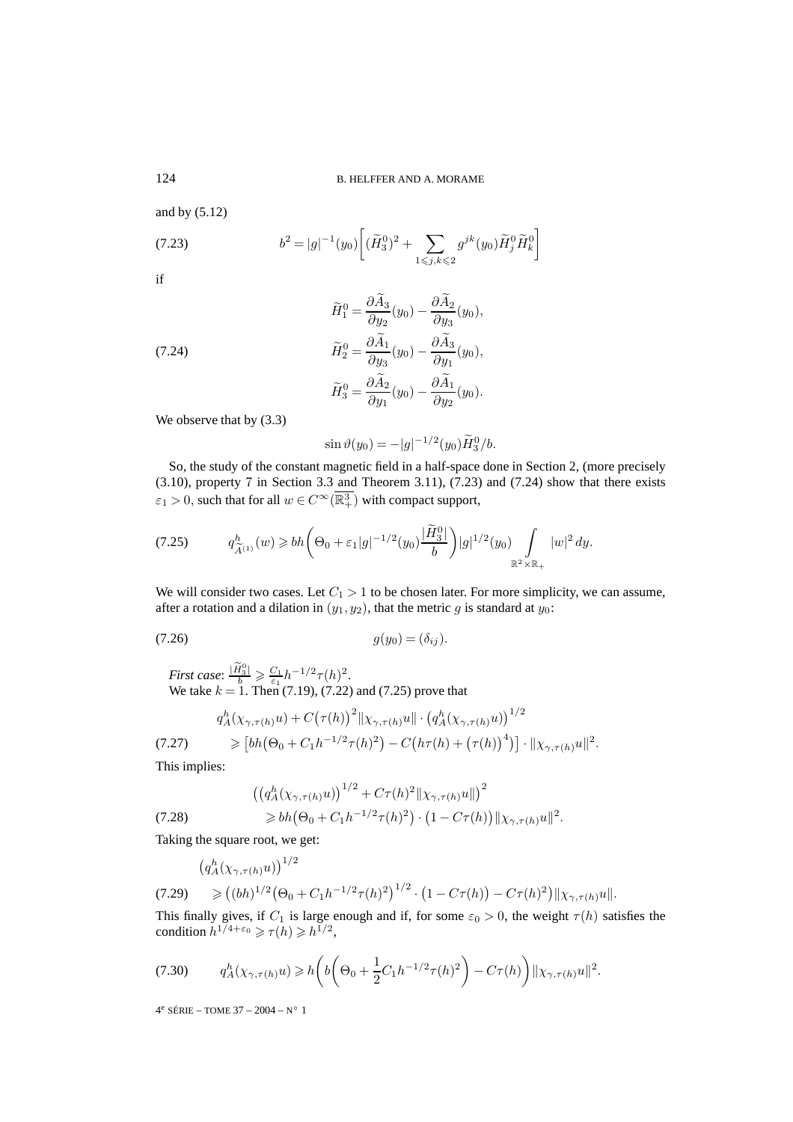and by (5.12)

(7.23) 
$$
b^{2} = |g|^{-1}(y_{0}) \left[ (\widetilde{H}_{3}^{0})^{2} + \sum_{1 \leq j,k \leq 2} g^{jk}(y_{0}) \widetilde{H}_{j}^{0} \widetilde{H}_{k}^{0} \right]
$$

if

(7.24)  
\n
$$
\widetilde{H}_{1}^{0} = \frac{\partial A_{3}}{\partial y_{2}}(y_{0}) - \frac{\partial A_{2}}{\partial y_{3}}(y_{0}),
$$
\n
$$
\widetilde{H}_{2}^{0} = \frac{\partial \widetilde{A}_{1}}{\partial y_{3}}(y_{0}) - \frac{\partial \widetilde{A}_{3}}{\partial y_{1}}(y_{0}),
$$
\n
$$
\widetilde{H}_{3}^{0} = \frac{\partial \widetilde{A}_{2}}{\partial y_{1}}(y_{0}) - \frac{\partial \widetilde{A}_{1}}{\partial y_{2}}(y_{0}).
$$

We observe that by  $(3.3)$ 

$$
\sin \vartheta(y_0) = -|g|^{-1/2}(y_0)\widetilde{H}_3^0/b.
$$

So, the study of the constant magnetic field in a half-space done in Section 2, (more precisely (3.10), property 7 in Section 3.3 and Theorem 3.11), (7.23) and (7.24) show that there exists  $\varepsilon_1 > 0$ , such that for all  $w \in C^\infty(\overline{\mathbb{R}^3_+})$  with compact support,

$$
(7.25) \t q_{\widetilde{A}^{(1)}}^h(w) \geq b h \bigg( \Theta_0 + \varepsilon_1 |g|^{-1/2} (y_0) \frac{|\widetilde{H}_3^0|}{b} \bigg) |g|^{1/2} (y_0) \int_{\mathbb{R}^2 \times \mathbb{R}_+} |w|^2 dy.
$$

We will consider two cases. Let  $C_1 > 1$  to be chosen later. For more simplicity, we can assume, after a rotation and a dilation in  $(y_1, y_2)$ , that the metric g is standard at  $y_0$ :

(7.26)  $g(y_0)=(\delta_{ij})$ .

*First case*:  $\frac{|\widetilde{H}_3^0|}{b} \geq \frac{C_1}{\varepsilon_1} h^{-1/2} \tau(h)^2$ . We take  $k = 1$ . Then (7.19), (7.22) and (7.25) prove that

$$
q_A^h(\chi_{\gamma,\tau(h)}u) + C(\tau(h))^2 \|\chi_{\gamma,\tau(h)}u\| \cdot (q_A^h(\chi_{\gamma,\tau(h)}u))^{1/2}
$$
  
(7.27) 
$$
\geq [bh(\Theta_0 + C_1h^{-1/2}\tau(h)^2) - C(h\tau(h) + (\tau(h))^4)] \cdot \|\chi_{\gamma,\tau(h)}u\|^2.
$$

This implies:

$$
((q_A^h(\chi_{\gamma,\tau(h)}u))^{1/2} + C\tau(h)^2 \|\chi_{\gamma,\tau(h)}u\|)^2
$$
  
\n
$$
\geq bh(\Theta_0 + C_1 h^{-1/2}\tau(h)^2) \cdot (1 - C\tau(h)) \|\chi_{\gamma,\tau(h)}u\|^2.
$$

Taking the square root, we get:

 $\frac{1}{2}$ 

$$
(q_A^h(\chi_{\gamma,\tau(h)}u))^{1/2}
$$
  
(7.29) 
$$
\geq ((bh)^{1/2}(\Theta_0 + C_1h^{-1/2}\tau(h)^2)^{1/2} \cdot (1 - C\tau(h)) - C\tau(h)^2) ||\chi_{\gamma,\tau(h)}u||.
$$

This finally gives, if  $C_1$  is large enough and if, for some  $\varepsilon_0 > 0$ , the weight  $\tau(h)$  satisfies the condition  $h^{1/4+\epsilon_0} \geq \tau(h) \geq h^{1/2}$ ,

$$
(7.30) \t q_A^h(\chi_{\gamma,\tau(h)}u) \geq h\bigg(b\bigg(\Theta_0 + \frac{1}{2}C_1h^{-1/2}\tau(h)^2\bigg) - C\tau(h)\bigg)\|\chi_{\gamma,\tau(h)}u\|^2.
$$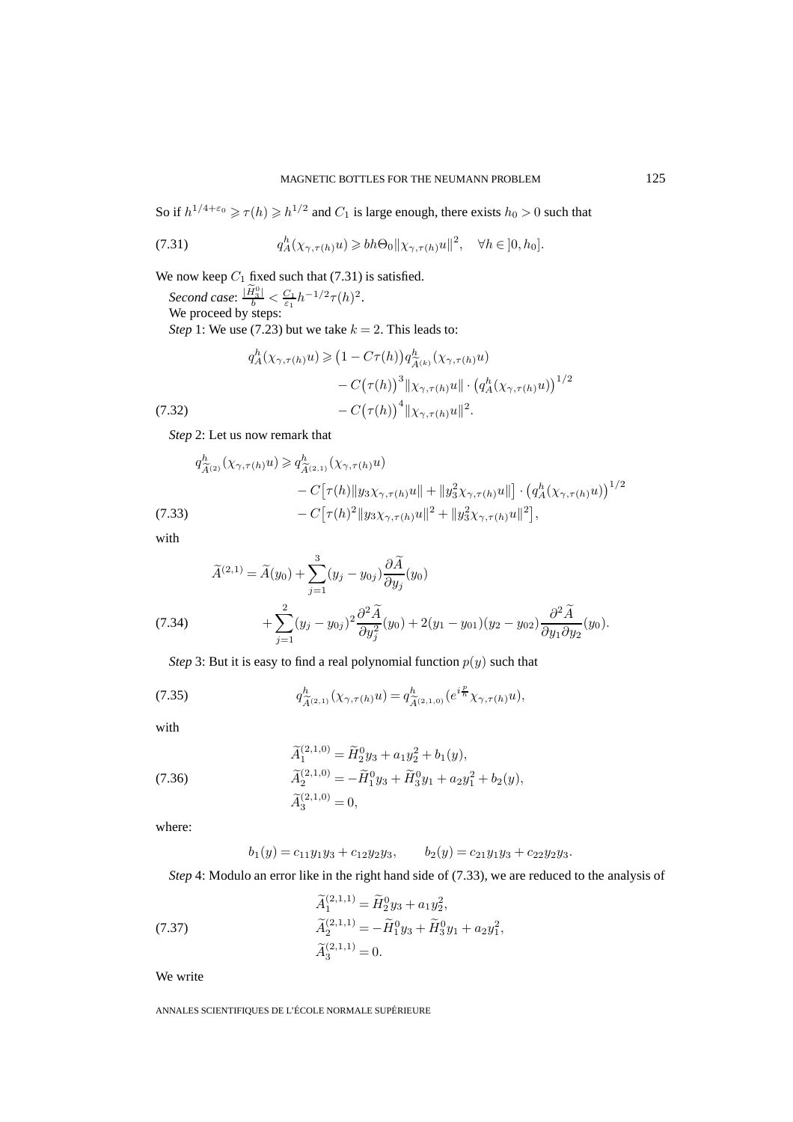So if  $h^{1/4+\epsilon_0} \ge \tau(h) \ge h^{1/2}$  and  $C_1$  is large enough, there exists  $h_0 > 0$  such that

(7.31) 
$$
q_A^h(\chi_{\gamma,\tau(h)}u) \geq b h \Theta_0 \|\chi_{\gamma,\tau(h)}u\|^2, \quad \forall h \in ]0, h_0].
$$

We now keep  $C_1$  fixed such that (7.31) is satisfied.

*Second case*:  $\frac{|\tilde{H}_3^0|}{b} < \frac{C_1}{\varepsilon_1} h^{-1/2} \tau(h)^2$ . We proceed by steps: *Step* 1: We use (7.23) but we take  $k = 2$ . This leads to:

$$
q_A^h(\chi_{\gamma,\tau(h)}u) \geq (1 - C\tau(h))q_{\widetilde{A}^{(k)}}^h(\chi_{\gamma,\tau(h)}u)
$$

$$
- C(\tau(h))^{3} \|\chi_{\gamma,\tau(h)}u\| \cdot (q_A^h(\chi_{\gamma,\tau(h)}u))^{1/2}
$$

$$
- C(\tau(h))^{4} \|\chi_{\gamma,\tau(h)}u\|^{2}.
$$
(7.32)

*Step* 2: Let us now remark that

$$
q_{\widetilde{A}^{(2)}}^h(\chi_{\gamma,\tau(h)}u) \geqslant q_{\widetilde{A}^{(2,1)}}^h(\chi_{\gamma,\tau(h)}u)
$$
  
-  $C[\tau(h) \|y_3\chi_{\gamma,\tau(h)}u\| + \|y_3^2\chi_{\gamma,\tau(h)}u\|] \cdot (q_A^h(\chi_{\gamma,\tau(h)}u))^{1/2}$   
(7.33)  
-  $C[\tau(h)^2 \|y_3\chi_{\gamma,\tau(h)}u\|^2 + \|y_3^2\chi_{\gamma,\tau(h)}u\|^2],$ 

with

(7.34) 
$$
\widetilde{A}^{(2,1)} = \widetilde{A}(y_0) + \sum_{j=1}^3 (y_j - y_{0j}) \frac{\partial \widetilde{A}}{\partial y_j}(y_0) + \sum_{j=1}^2 (y_j - y_{0j})^2 \frac{\partial^2 \widetilde{A}}{\partial y_j^2}(y_0) + 2(y_1 - y_{01})(y_2 - y_{02}) \frac{\partial^2 \widetilde{A}}{\partial y_1 \partial y_2}(y_0).
$$

*Step* 3: But it is easy to find a real polynomial function  $p(y)$  such that

(7.35) 
$$
q_{\widetilde{A}^{(2,1)}}^h(\chi_{\gamma,\tau(h)}u) = q_{\widetilde{A}^{(2,1,0)}}^h(e^{i\frac{p}{h}}\chi_{\gamma,\tau(h)}u),
$$

with

(7.36)  
\n
$$
\widetilde{A}_1^{(2,1,0)} = \widetilde{H}_2^0 y_3 + a_1 y_2^2 + b_1(y),
$$
\n
$$
\widetilde{A}_2^{(2,1,0)} = -\widetilde{H}_1^0 y_3 + \widetilde{H}_3^0 y_1 + a_2 y_1^2 + b_2(y),
$$
\n
$$
\widetilde{A}_3^{(2,1,0)} = 0,
$$

where:

$$
b_1(y) = c_{11}y_1y_3 + c_{12}y_2y_3
$$
,  $b_2(y) = c_{21}y_1y_3 + c_{22}y_2y_3$ .

*Step* 4: Modulo an error like in the right hand side of (7.33), we are reduced to the analysis of

(7.37) 
$$
\begin{aligned}\n\widetilde{A}_1^{(2,1,1)} &= \widetilde{H}_2^0 y_3 + a_1 y_2^2, \\
\widetilde{A}_2^{(2,1,1)} &= -\widetilde{H}_1^0 y_3 + \widetilde{H}_3^0 y_1 + a_2 y_1^2, \\
\widetilde{A}_3^{(2,1,1)} &= 0.\n\end{aligned}
$$

We write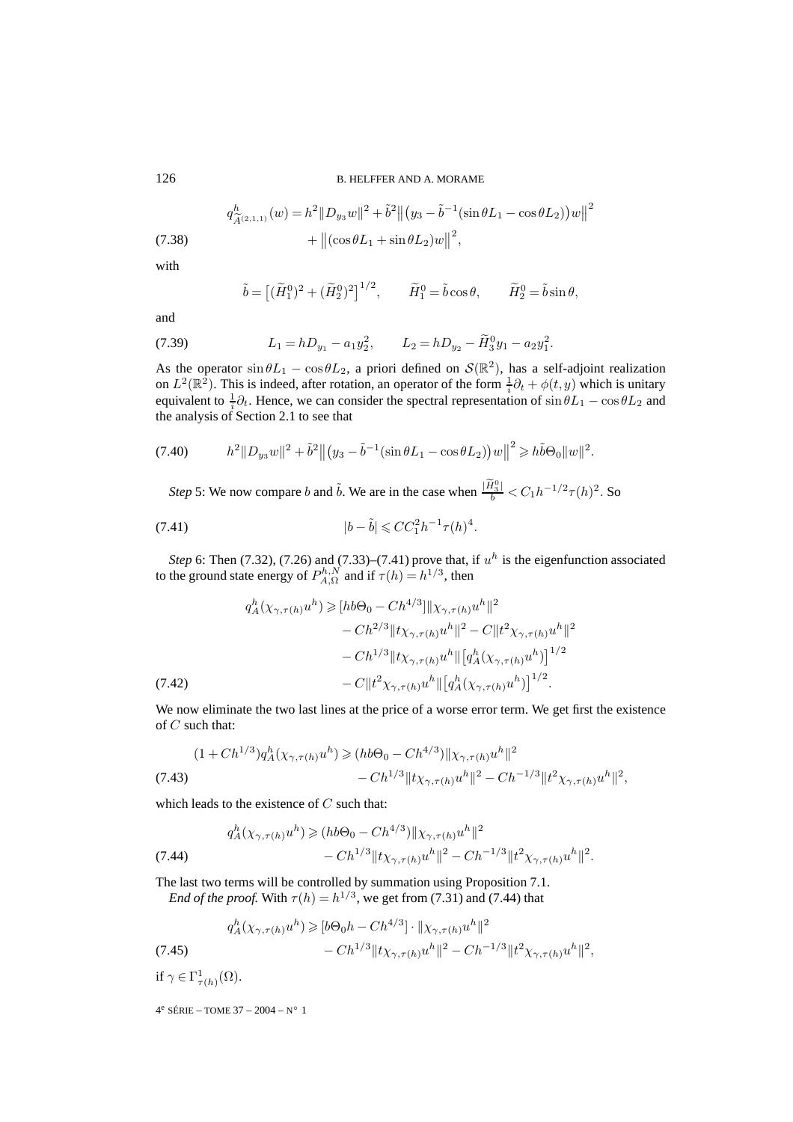126 B. HELFFER AND A. MORAME

(7.38) 
$$
q_{\tilde{A}^{(2,1,1)}}^h(w) = h^2 ||D_{y_3}w||^2 + \tilde{b}^2 ||(y_3 - \tilde{b}^{-1}(\sin\theta L_1 - \cos\theta L_2))w||^2 + ||(\cos\theta L_1 + \sin\theta L_2)w||^2,
$$

with

$$
\tilde{b} = \left[ (\tilde{H}_1^0)^2 + (\tilde{H}_2^0)^2 \right]^{1/2}, \qquad \tilde{H}_1^0 = \tilde{b} \cos \theta, \qquad \tilde{H}_2^0 = \tilde{b} \sin \theta,
$$

and

(7.39) 
$$
L_1 = hD_{y_1} - a_1y_2^2, \qquad L_2 = hD_{y_2} - \widetilde{H}_3^0y_1 - a_2y_1^2.
$$

As the operator  $\sin \theta L_1 - \cos \theta L_2$ , a priori defined on  $\mathcal{S}(\mathbb{R}^2)$ , has a self-adjoint realization on  $L^2(\mathbb{R}^2)$ . This is indeed, after rotation, an operator of the form  $\frac{1}{i}\partial_t + \phi(t, y)$  which is unitary equivalent to  $\frac{1}{i}\partial_t$ . Hence, we can consider the spectral representation of  $\sin \theta L_1 - \cos \theta L_2$  and the analysis of Section 2.1 to see that

$$
(7.40) \t\t\t h2 ||Dy3w||2 + \tilde{b}2 ||(y3 - \tilde{b}-1(sin \theta L1 - cos \theta L2))w||2 \ge h\tilde{b}\Theta_0 ||w||2.
$$

*Step* 5: We now compare *b* and  $\tilde{b}$ . We are in the case when  $\frac{|\tilde{H}_3^0|}{b} < C_1 h^{-1/2} \tau(h)^2$ . So

(7.41) 
$$
|b - \tilde{b}| \leqslant CC_1^2 h^{-1} \tau(h)^4.
$$

*Step* 6: Then (7.32), (7.26) and (7.33)–(7.41) prove that, if  $u^h$  is the eigenfunction associated to the ground state energy of  $P_{A,\Omega}^{h,N}$  and if  $\tau(h) = h^{1/3}$ , then

$$
q_A^h(\chi_{\gamma,\tau(h)}u^h) \geq [hb\Theta_0 - Ch^{4/3}] \|\chi_{\gamma,\tau(h)}u^h\|^2
$$
  

$$
- Ch^{2/3} \|t\chi_{\gamma,\tau(h)}u^h\|^2 - C \|t^2\chi_{\gamma,\tau(h)}u^h\|^2
$$
  

$$
- Ch^{1/3} \|t\chi_{\gamma,\tau(h)}u^h\| [q_A^h(\chi_{\gamma,\tau(h)}u^h)]^{1/2}
$$
  
(7.42)  

$$
- C \|t^2\chi_{\gamma,\tau(h)}u^h\| [q_A^h(\chi_{\gamma,\tau(h)}u^h)]^{1/2}.
$$

We now eliminate the two last lines at the price of a worse error term. We get first the existence of C such that:

$$
(1 + Ch^{1/3})q_A^h(\chi_{\gamma, \tau(h)}u^h) \ge (hb\Theta_0 - Ch^{4/3})\|\chi_{\gamma, \tau(h)}u^h\|^2 - Ch^{1/3}\|t\chi_{\gamma, \tau(h)}u^h\|^2 - Ch^{-1/3}\|t^2\chi_{\gamma, \tau(h)}u^h\|^2,
$$
\n(7.43)

which leads to the existence of  $C$  such that:

$$
q_A^h(\chi_{\gamma,\tau(h)}u^h) \ge (hb\Theta_0 - Ch^{4/3})\|\chi_{\gamma,\tau(h)}u^h\|^2
$$
  
(7.44) 
$$
- Ch^{1/3}\|t\chi_{\gamma,\tau(h)}u^h\|^2 - Ch^{-1/3}\|t^2\chi_{\gamma,\tau(h)}u^h\|^2.
$$

The last two terms will be controlled by summation using Proposition 7.1.

*End of the proof.* With  $\tau(h) = h^{1/3}$ , we get from (7.31) and (7.44) that

$$
q_A^h(\chi_{\gamma,\tau(h)}u^h) \geqslant [b\Theta_0 h - Ch^{4/3}] \cdot \|\chi_{\gamma,\tau(h)}u^h\|^2 - Ch^{1/3} \|t\chi_{\gamma,\tau(h)}u^h\|^2 - Ch^{-1/3} \|t^2\chi_{\gamma,\tau(h)}u^h\|^2,
$$
\n(7.45)

if  $\gamma \in \Gamma^1_{\tau(h)}(\Omega)$ .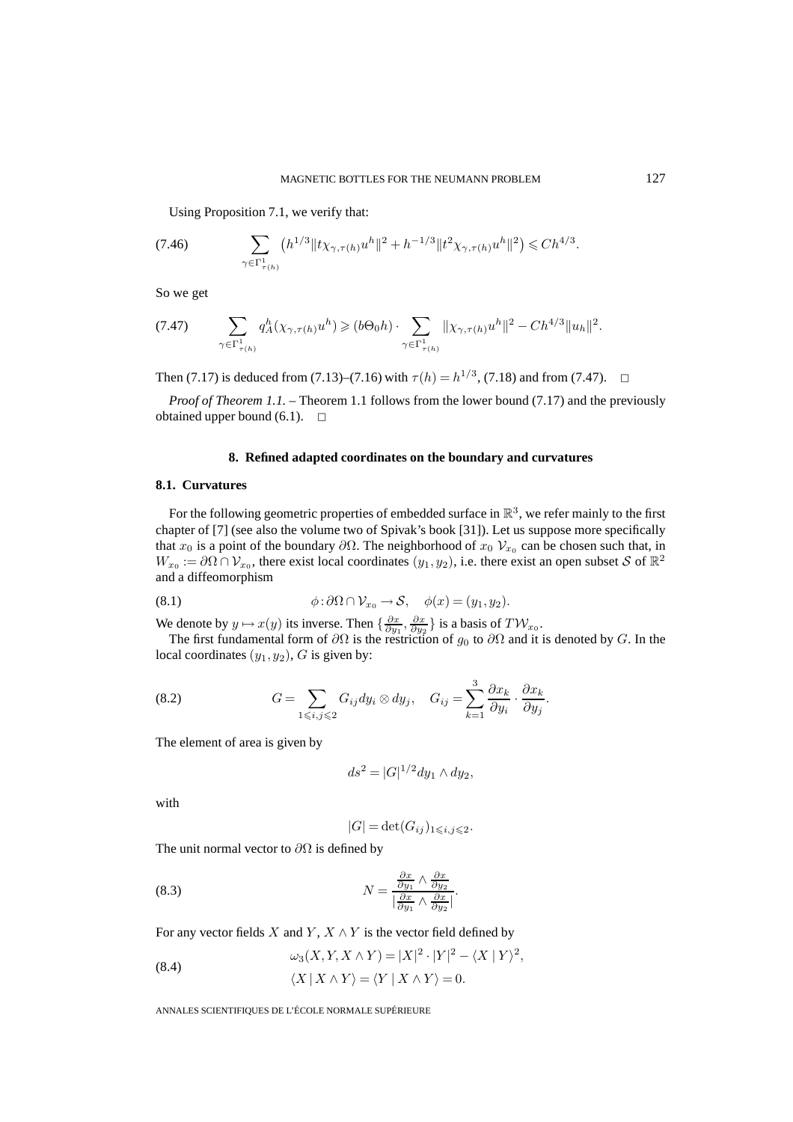Using Proposition 7.1, we verify that:

(7.46) 
$$
\sum_{\gamma \in \Gamma^1_{\tau(h)}} \left( h^{1/3} \| t \chi_{\gamma, \tau(h)} u^h \|^2 + h^{-1/3} \| t^2 \chi_{\gamma, \tau(h)} u^h \|^2 \right) \leq C h^{4/3}.
$$

So we get

$$
(7.47) \qquad \sum_{\gamma \in \Gamma^1_{\tau(h)}} q^h_A(\chi_{\gamma,\tau(h)}u^h) \geqslant (b\Theta_0 h) \cdot \sum_{\gamma \in \Gamma^1_{\tau(h)}} \|\chi_{\gamma,\tau(h)}u^h\|^2 - Ch^{4/3} \|u_h\|^2.
$$

Then (7.17) is deduced from (7.13)–(7.16) with  $\tau(h) = h^{1/3}$ , (7.18) and from (7.47).  $\Box$ 

*Proof of Theorem 1.1.* – Theorem 1.1 follows from the lower bound (7.17) and the previously obtained upper bound  $(6.1)$ .  $\Box$ 

#### **8. Refined adapted coordinates on the boundary and curvatures**

#### **8.1. Curvatures**

For the following geometric properties of embedded surface in  $\mathbb{R}^3$ , we refer mainly to the first chapter of [7] (see also the volume two of Spivak's book [31]). Let us suppose more specifically that  $x_0$  is a point of the boundary  $\partial\Omega$ . The neighborhood of  $x_0$   $\mathcal{V}_{x_0}$  can be chosen such that, in  $W_{x_0} := \partial \Omega \cap V_{x_0}$ , there exist local coordinates  $(y_1, y_2)$ , i.e. there exist an open subset S of  $\mathbb{R}^2$ and a diffeomorphism

(8.1) 
$$
\phi : \partial \Omega \cap \mathcal{V}_{x_0} \to \mathcal{S}, \quad \phi(x) = (y_1, y_2).
$$

We denote by  $y \mapsto x(y)$  its inverse. Then  $\{\frac{\partial x}{\partial y_1}, \frac{\partial x}{\partial y_2}\}$  is a basis of  $T\mathcal{W}_{x_0}$ .

The first fundamental form of  $\partial\Omega$  is the restriction of  $g_0$  to  $\partial\Omega$  and it is denoted by G. In the local coordinates  $(y_1, y_2)$ , G is given by:

(8.2) 
$$
G = \sum_{1 \leq i,j \leq 2} G_{ij} dy_i \otimes dy_j, \quad G_{ij} = \sum_{k=1}^3 \frac{\partial x_k}{\partial y_i} \cdot \frac{\partial x_k}{\partial y_j}.
$$

The element of area is given by

$$
ds^2 = |G|^{1/2} dy_1 \wedge dy_2,
$$

with

$$
|G| = \det(G_{ij})_{1 \leq i,j \leq 2}.
$$

The unit normal vector to  $\partial\Omega$  is defined by

(8.3) 
$$
N = \frac{\frac{\partial x}{\partial y_1} \wedge \frac{\partial x}{\partial y_2}}{\left|\frac{\partial x}{\partial y_1} \wedge \frac{\partial x}{\partial y_2}\right|}.
$$

For any vector fields X and Y,  $X \wedge Y$  is the vector field defined by

(8.4) 
$$
\omega_3(X, Y, X \wedge Y) = |X|^2 \cdot |Y|^2 - \langle X | Y \rangle^2,
$$

$$
\langle X | X \wedge Y \rangle = \langle Y | X \wedge Y \rangle = 0.
$$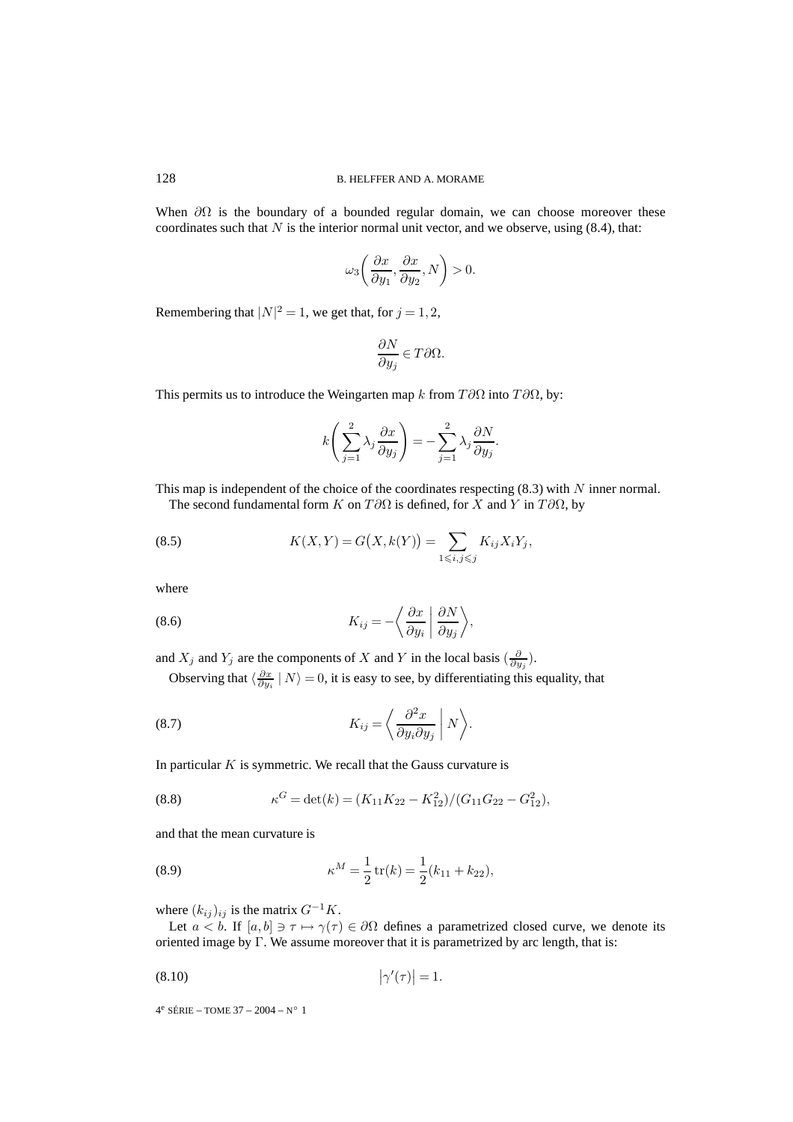When  $\partial\Omega$  is the boundary of a bounded regular domain, we can choose moreover these coordinates such that  $N$  is the interior normal unit vector, and we observe, using  $(8.4)$ , that:

$$
\omega_3\bigg(\frac{\partial x}{\partial y_1},\frac{\partial x}{\partial y_2},N\bigg)>0.
$$

Remembering that  $|N|^2 = 1$ , we get that, for  $j = 1, 2$ ,

$$
\frac{\partial N}{\partial y_j}\in T\partial\Omega.
$$

This permits us to introduce the Weingarten map k from  $T\partial\Omega$  into  $T\partial\Omega$ , by:

$$
k\left(\sum_{j=1}^{2}\lambda_j\frac{\partial x}{\partial y_j}\right)=-\sum_{j=1}^{2}\lambda_j\frac{\partial N}{\partial y_j}.
$$

This map is independent of the choice of the coordinates respecting  $(8.3)$  with N inner normal.

The second fundamental form K on  $T\partial\Omega$  is defined, for X and Y in  $T\partial\Omega$ , by

(8.5) 
$$
K(X,Y) = G(X,k(Y)) = \sum_{1 \le i,j \le j} K_{ij} X_i Y_j,
$$

where

(8.6) 
$$
K_{ij} = -\left\langle \frac{\partial x}{\partial y_i} \middle| \frac{\partial N}{\partial y_j} \right\rangle,
$$

and  $X_j$  and  $Y_j$  are the components of X and Y in the local basis  $(\frac{\partial}{\partial y_j})$ .

Observing that  $\langle \frac{\partial x}{\partial y_i} | N \rangle = 0$ , it is easy to see, by differentiating this equality, that

(8.7) 
$$
K_{ij} = \left\langle \frac{\partial^2 x}{\partial y_i \partial y_j} \middle| N \right\rangle.
$$

In particular  $K$  is symmetric. We recall that the Gauss curvature is

(8.8) 
$$
\kappa^G = \det(k) = (K_{11}K_{22} - K_{12}^2)/(G_{11}G_{22} - G_{12}^2),
$$

and that the mean curvature is

(8.9) 
$$
\kappa^M = \frac{1}{2} \operatorname{tr}(k) = \frac{1}{2} (k_{11} + k_{22}),
$$

where  $(k_{ij})_{ij}$  is the matrix  $G^{-1}K$ .

Let  $a < b$ . If  $[a, b] \ni \tau \mapsto \gamma(\tau) \in \partial \Omega$  defines a parametrized closed curve, we denote its oriented image by Γ. We assume moreover that it is parametrized by arc length, that is:

$$
|\gamma'(\tau)| = 1.
$$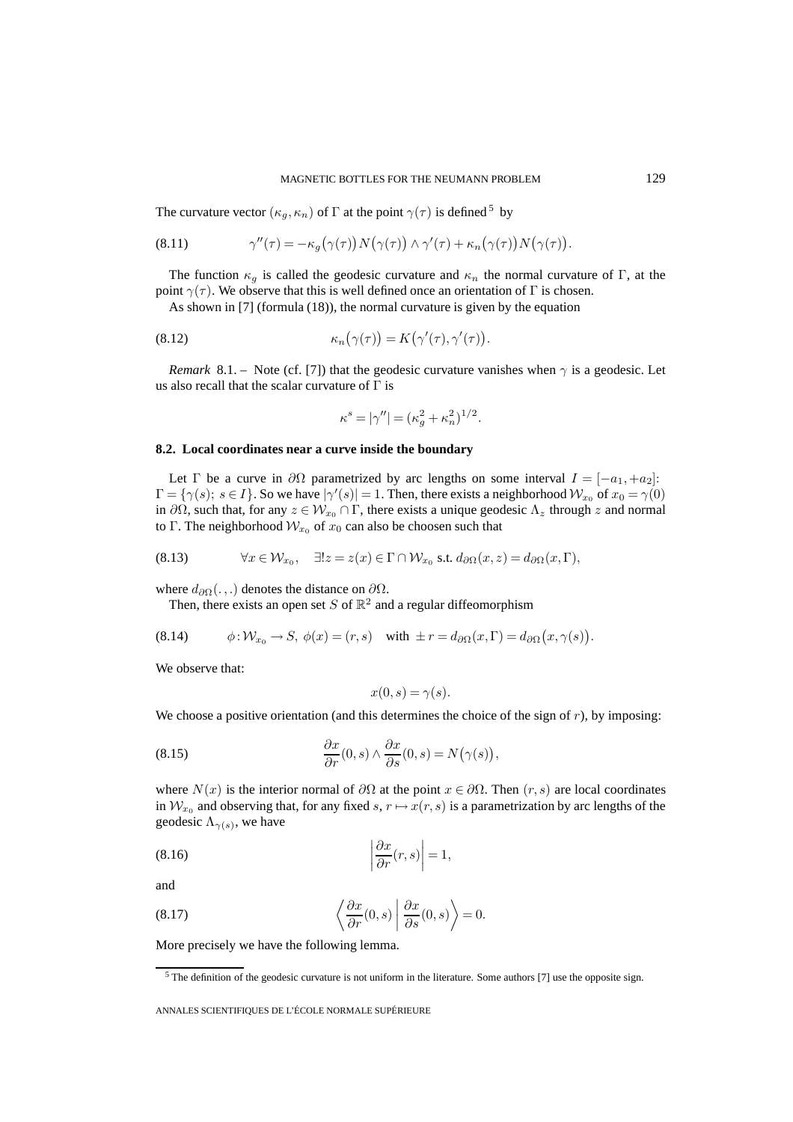#### MAGNETIC BOTTLES FOR THE NEUMANN PROBLEM 129

The curvature vector  $(\kappa_g, \kappa_n)$  of  $\Gamma$  at the point  $\gamma(\tau)$  is defined  $^5$  by

(8.11) 
$$
\gamma''(\tau) = -\kappa_g(\gamma(\tau)) N(\gamma(\tau)) \wedge \gamma'(\tau) + \kappa_n(\gamma(\tau)) N(\gamma(\tau)).
$$

The function  $\kappa_q$  is called the geodesic curvature and  $\kappa_n$  the normal curvature of Γ, at the point  $\gamma(\tau)$ . We observe that this is well defined once an orientation of Γ is chosen.

As shown in [7] (formula (18)), the normal curvature is given by the equation

(8.12) 
$$
\kappa_n(\gamma(\tau)) = K(\gamma'(\tau), \gamma'(\tau)).
$$

*Remark* 8.1. – Note (cf. [7]) that the geodesic curvature vanishes when  $\gamma$  is a geodesic. Let us also recall that the scalar curvature of  $\Gamma$  is

$$
\kappa^s = |\gamma''| = (\kappa_g^2 + \kappa_n^2)^{1/2}.
$$

#### **8.2. Local coordinates near a curve inside the boundary**

Let  $\Gamma$  be a curve in  $\partial\Omega$  parametrized by arc lengths on some interval  $I = [-a_1, +a_2]$ :  $\Gamma = \{ \gamma(s); s \in I \}$ . So we have  $|\gamma'(s)| = 1$ . Then, there exists a neighborhood  $\mathcal{W}_{x_0}$  of  $x_0 = \gamma(0)$ in  $\partial\Omega$ , such that, for any  $z \in \mathcal{W}_{x_0} \cap \Gamma$ , there exists a unique geodesic  $\Lambda_z$  through z and normal to Γ. The neighborhood  $W_{x_0}$  of  $x_0$  can also be choosen such that

(8.13) 
$$
\forall x \in \mathcal{W}_{x_0}, \quad \exists! z = z(x) \in \Gamma \cap \mathcal{W}_{x_0} \text{ s.t. } d_{\partial \Omega}(x, z) = d_{\partial \Omega}(x, \Gamma),
$$

where  $d_{\partial\Omega}(\ldots)$  denotes the distance on  $\partial\Omega$ .

Then, there exists an open set S of  $\mathbb{R}^2$  and a regular diffeomorphism

$$
(8.14) \t\t \phi: \mathcal{W}_{x_0} \to S, \ \phi(x) = (r, s) \quad \text{with } \pm r = d_{\partial\Omega}(x, \Gamma) = d_{\partial\Omega}(x, \gamma(s)).
$$

We observe that:

$$
x(0,s) = \gamma(s).
$$

We choose a positive orientation (and this determines the choice of the sign of  $r$ ), by imposing:

(8.15) 
$$
\frac{\partial x}{\partial r}(0,s) \wedge \frac{\partial x}{\partial s}(0,s) = N(\gamma(s)),
$$

where  $N(x)$  is the interior normal of  $\partial\Omega$  at the point  $x \in \partial\Omega$ . Then  $(r, s)$  are local coordinates in  $W_{x_0}$  and observing that, for any fixed s,  $r \mapsto x(r, s)$  is a parametrization by arc lengths of the geodesic  $\Lambda_{\gamma(s)}$ , we have

$$
(8.16)\qquad \qquad \left|\frac{\partial x}{\partial r}(r,s)\right|=1,
$$

and

(8.17) 
$$
\left\langle \frac{\partial x}{\partial r}(0,s) \middle| \frac{\partial x}{\partial s}(0,s) \right\rangle = 0.
$$

More precisely we have the following lemma.

<sup>5</sup> The definition of the geodesic curvature is not uniform in the literature. Some authors [7] use the opposite sign.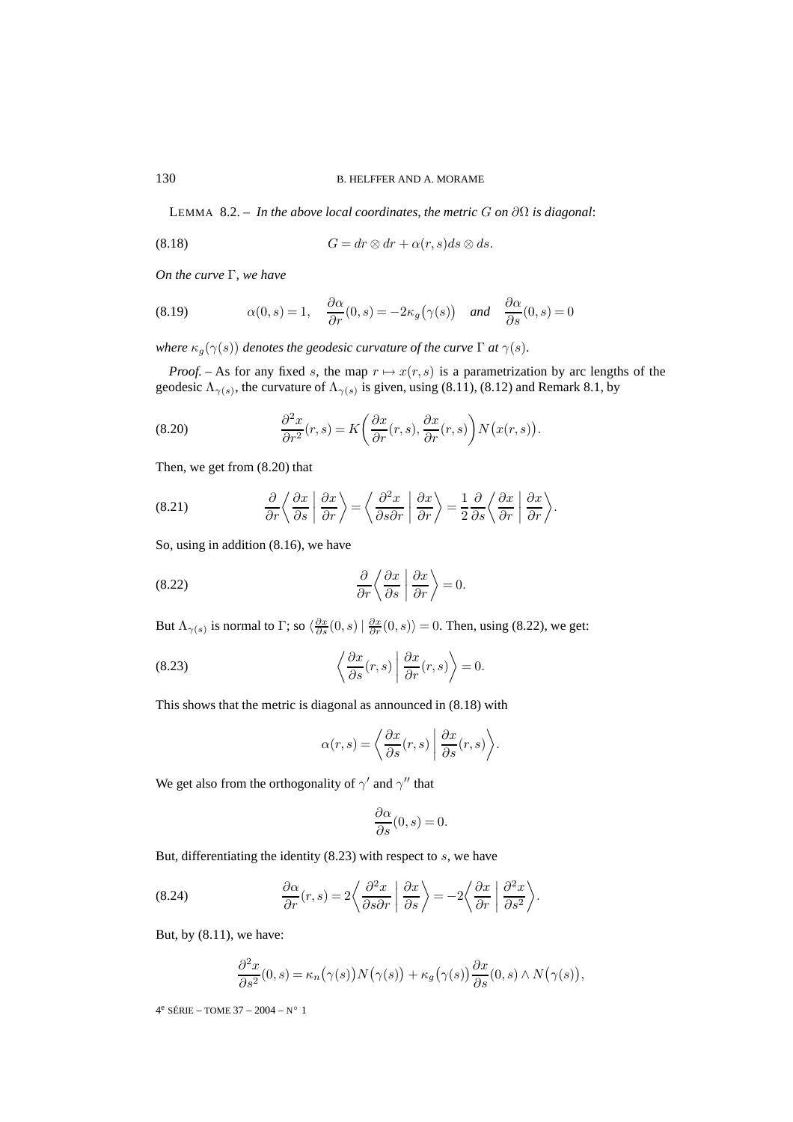LEMMA 8.2. – *In the above local coordinates, the metric*  $G$  *on*  $\partial\Omega$  *is diagonal:* 

$$
(8.18) \tG = dr \otimes dr + \alpha(r, s)ds \otimes ds.
$$

*On the curve* Γ*, we have*

(8.19) 
$$
\alpha(0,s) = 1, \quad \frac{\partial \alpha}{\partial r}(0,s) = -2\kappa_g(\gamma(s)) \quad \text{and} \quad \frac{\partial \alpha}{\partial s}(0,s) = 0
$$

*where*  $\kappa_g(\gamma(s))$  *denotes the geodesic curvature of the curve*  $\Gamma$  *at*  $\gamma(s)$ *.* 

*Proof.* – As for any fixed s, the map  $r \mapsto x(r, s)$  is a parametrization by arc lengths of the geodesic  $\Lambda_{\gamma(s)}$ , the curvature of  $\Lambda_{\gamma(s)}$  is given, using (8.11), (8.12) and Remark 8.1, by

(8.20) 
$$
\frac{\partial^2 x}{\partial r^2}(r,s) = K\left(\frac{\partial x}{\partial r}(r,s), \frac{\partial x}{\partial r}(r,s)\right) N\left(x(r,s)\right).
$$

Then, we get from (8.20) that

(8.21) 
$$
\frac{\partial}{\partial r}\left\langle \frac{\partial x}{\partial s} \middle| \frac{\partial x}{\partial r} \right\rangle = \left\langle \frac{\partial^2 x}{\partial s \partial r} \middle| \frac{\partial x}{\partial r} \right\rangle = \frac{1}{2} \frac{\partial}{\partial s} \left\langle \frac{\partial x}{\partial r} \middle| \frac{\partial x}{\partial r} \right\rangle.
$$

So, using in addition (8.16), we have

(8.22) 
$$
\frac{\partial}{\partial r} \left\langle \frac{\partial x}{\partial s} \middle| \frac{\partial x}{\partial r} \right\rangle = 0.
$$

But  $\Lambda_{\gamma(s)}$  is normal to  $\Gamma$ ; so  $\langle \frac{\partial x}{\partial s}(0,s) | \frac{\partial x}{\partial r}(0,s) \rangle = 0$ . Then, using (8.22), we get:

(8.23) 
$$
\left\langle \frac{\partial x}{\partial s}(r,s) \middle| \frac{\partial x}{\partial r}(r,s) \right\rangle = 0.
$$

This shows that the metric is diagonal as announced in (8.18) with

$$
\alpha(r,s) = \left\langle \frac{\partial x}{\partial s}(r,s) \middle| \frac{\partial x}{\partial s}(r,s) \right\rangle.
$$

We get also from the orthogonality of  $\gamma'$  and  $\gamma''$  that

$$
\frac{\partial \alpha}{\partial s}(0, s) = 0.
$$

But, differentiating the identity  $(8.23)$  with respect to s, we have

(8.24) 
$$
\frac{\partial \alpha}{\partial r}(r,s) = 2 \left\langle \frac{\partial^2 x}{\partial s \partial r} \middle| \frac{\partial x}{\partial s} \right\rangle = -2 \left\langle \frac{\partial x}{\partial r} \middle| \frac{\partial^2 x}{\partial s^2} \right\rangle.
$$

But, by (8.11), we have:

$$
\frac{\partial^2 x}{\partial s^2}(0,s) = \kappa_n(\gamma(s))N(\gamma(s)) + \kappa_g(\gamma(s))\frac{\partial x}{\partial s}(0,s) \wedge N(\gamma(s)),
$$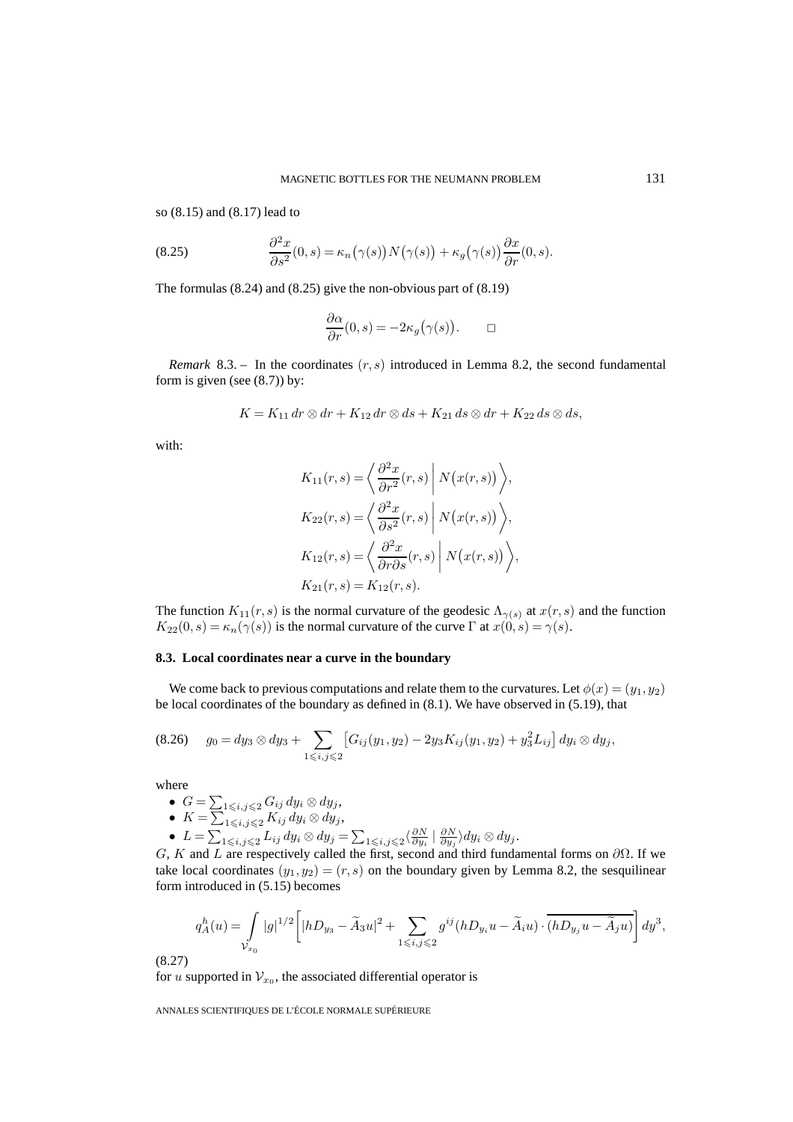so (8.15) and (8.17) lead to

(8.25) 
$$
\frac{\partial^2 x}{\partial s^2}(0,s) = \kappa_n(\gamma(s))N(\gamma(s)) + \kappa_g(\gamma(s))\frac{\partial x}{\partial r}(0,s).
$$

The formulas (8.24) and (8.25) give the non-obvious part of (8.19)

$$
\frac{\partial \alpha}{\partial r}(0,s) = -2\kappa_g(\gamma(s)). \qquad \Box
$$

*Remark* 8.3. – In the coordinates  $(r, s)$  introduced in Lemma 8.2, the second fundamental form is given (see  $(8.7)$ ) by:

$$
K = K_{11} dr \otimes dr + K_{12} dr \otimes ds + K_{21} ds \otimes dr + K_{22} ds \otimes ds,
$$

with:

$$
K_{11}(r,s) = \left\langle \frac{\partial^2 x}{\partial r^2}(r,s) \middle| N(x(r,s)) \right\rangle,
$$
  
\n
$$
K_{22}(r,s) = \left\langle \frac{\partial^2 x}{\partial s^2}(r,s) \middle| N(x(r,s)) \right\rangle,
$$
  
\n
$$
K_{12}(r,s) = \left\langle \frac{\partial^2 x}{\partial r \partial s}(r,s) \middle| N(x(r,s)) \right\rangle,
$$
  
\n
$$
K_{21}(r,s) = K_{12}(r,s).
$$

The function  $K_{11}(r, s)$  is the normal curvature of the geodesic  $\Lambda_{\gamma(s)}$  at  $x(r, s)$  and the function  $K_{22}(0, s) = \kappa_n(\gamma(s))$  is the normal curvature of the curve  $\Gamma$  at  $x(0, s) = \gamma(s)$ .

#### **8.3. Local coordinates near a curve in the boundary**

We come back to previous computations and relate them to the curvatures. Let  $\phi(x)=(y_1, y_2)$ be local coordinates of the boundary as defined in (8.1). We have observed in (5.19), that

$$
(8.26) \t g_0 = dy_3 \otimes dy_3 + \sum_{1 \leq i,j \leq 2} \left[ G_{ij}(y_1, y_2) - 2y_3 K_{ij}(y_1, y_2) + y_3^2 L_{ij} \right] dy_i \otimes dy_j,
$$

where

\n- \n
$$
G = \sum_{1 \leq i, j \leq 2} G_{ij} \, dy_i \otimes dy_j,
$$
\n
\n- \n
$$
K = \sum_{1 \leq i, j \leq 2} K_{ij} \, dy_i \otimes dy_j,
$$
\n
\n- \n
$$
L = \sum_{1 \leq i, j \leq 2} L_{ij} \, dy_i \otimes dy_j = \sum_{1 \leq i, j \leq 2} \left( \frac{\partial N}{\partial y_i} \mid \frac{\partial N}{\partial y_j} \right) dy_i \otimes dy_j.
$$
\n
\n

G, K and L are respectively called the first, second and third fundamental forms on  $\partial\Omega$ . If we take local coordinates  $(y_1, y_2)=(r, s)$  on the boundary given by Lemma 8.2, the sesquilinear form introduced in (5.15) becomes

$$
q^h_A(u)=\int\limits_{\mathcal{V}_{x_0}}|g|^{1/2}\bigg[|hD_{y_3}-\tilde{A}_3 u|^2+\sum\limits_{1\leqslant i,j\leqslant 2}g^{ij}(hD_{y_i}u-\tilde{A}_i u)\cdot\overline{(hD_{y_j}u-\tilde{A}_j u)}\bigg]\,dy^3,
$$

(8.27)

for u supported in  $V_{x_0}$ , the associated differential operator is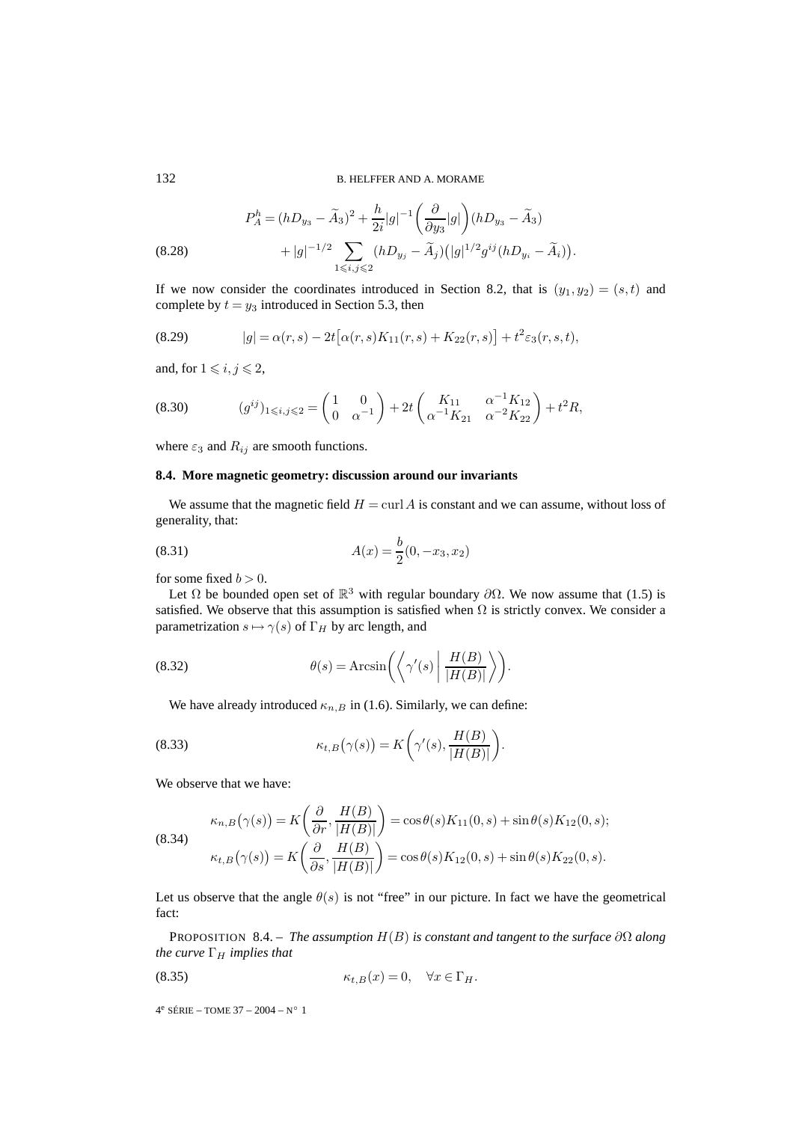(8.28) 
$$
P_A^h = (hD_{y_3} - \tilde{A}_3)^2 + \frac{h}{2i}|g|^{-1} \left(\frac{\partial}{\partial y_3}|g|\right)(hD_{y_3} - \tilde{A}_3) + |g|^{-1/2} \sum_{1 \le i,j \le 2} (hD_{y_j} - \tilde{A}_j)(|g|^{1/2}g^{ij}(hD_{y_i} - \tilde{A}_i)).
$$

If we now consider the coordinates introduced in Section 8.2, that is  $(y_1, y_2) = (s,t)$  and complete by  $t = y_3$  introduced in Section 5.3, then

(8.29) 
$$
|g| = \alpha(r,s) - 2t [\alpha(r,s)K_{11}(r,s) + K_{22}(r,s)] + t^2 \varepsilon_3(r,s,t),
$$

and, for  $1 \leq i, j \leq 2$ ,

$$
(8.30) \t\t (g^{ij})_{1\leqslant i,j\leqslant 2} = \begin{pmatrix} 1 & 0\\ 0 & \alpha^{-1} \end{pmatrix} + 2t \begin{pmatrix} K_{11} & \alpha^{-1}K_{12} \\ \alpha^{-1}K_{21} & \alpha^{-2}K_{22} \end{pmatrix} + t^2 R,
$$

where  $\varepsilon_3$  and  $R_{ij}$  are smooth functions.

#### **8.4. More magnetic geometry: discussion around our invariants**

We assume that the magnetic field  $H = \text{curl } A$  is constant and we can assume, without loss of generality, that:

(8.31) 
$$
A(x) = \frac{b}{2}(0, -x_3, x_2)
$$

for some fixed  $b > 0$ .

Let  $\Omega$  be bounded open set of  $\mathbb{R}^3$  with regular boundary  $\partial\Omega$ . We now assume that (1.5) is satisfied. We observe that this assumption is satisfied when  $\Omega$  is strictly convex. We consider a parametrization  $s \mapsto \gamma(s)$  of  $\Gamma_H$  by arc length, and

(8.32) 
$$
\theta(s) = \operatorname{Arcsin}\left(\left\langle \gamma'(s) \middle| \frac{H(B)}{|H(B)|} \right\rangle\right).
$$

We have already introduced  $\kappa_{n,B}$  in (1.6). Similarly, we can define:

(8.33) 
$$
\kappa_{t,B}(\gamma(s)) = K\bigg(\gamma'(s), \frac{H(B)}{|H(B)|}\bigg).
$$

We observe that we have:

(8.34)  
\n
$$
\kappa_{n,B}(\gamma(s)) = K\left(\frac{\partial}{\partial r}, \frac{H(B)}{|H(B)|}\right) = \cos\theta(s)K_{11}(0, s) + \sin\theta(s)K_{12}(0, s);
$$
\n
$$
\kappa_{t,B}(\gamma(s)) = K\left(\frac{\partial}{\partial s}, \frac{H(B)}{|H(B)|}\right) = \cos\theta(s)K_{12}(0, s) + \sin\theta(s)K_{22}(0, s).
$$

Let us observe that the angle  $\theta(s)$  is not "free" in our picture. In fact we have the geometrical fact:

PROPOSITION 8.4. – *The assumption* H(B) *is constant and tangent to the surface* ∂Ω *along the curve*  $\Gamma_H$  *implies that* 

$$
\kappa_{t,B}(x) = 0, \quad \forall x \in \Gamma_H.
$$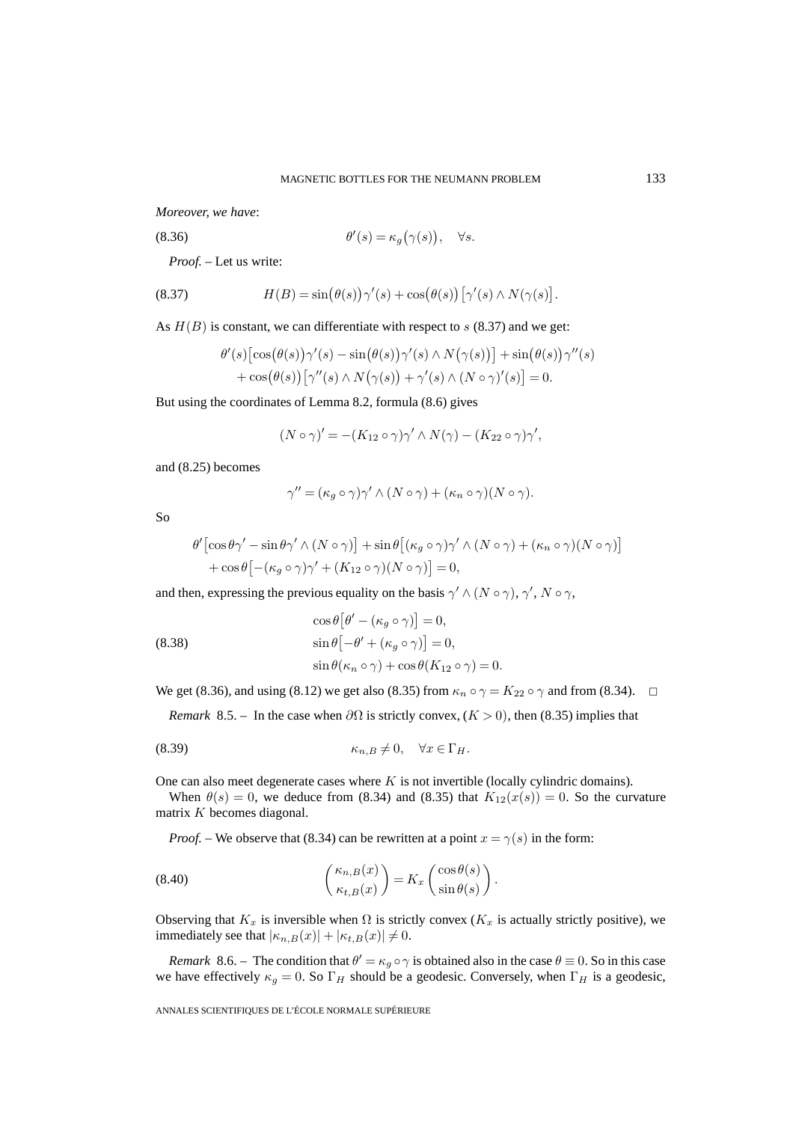*Moreover, we have*:

(8.36) 
$$
\theta'(s) = \kappa_g(\gamma(s)), \quad \forall s.
$$

*Proof. –* Let us write:

(8.37) 
$$
H(B) = \sin(\theta(s))\gamma'(s) + \cos(\theta(s))\left[\gamma'(s) \wedge N(\gamma(s))\right].
$$

As  $H(B)$  is constant, we can differentiate with respect to s (8.37) and we get:

$$
\theta'(s) \left[\cos(\theta(s))\gamma'(s) - \sin(\theta(s))\gamma'(s) \wedge N(\gamma(s))\right] + \sin(\theta(s))\gamma''(s) + \cos(\theta(s)) \left[\gamma''(s) \wedge N(\gamma(s)) + \gamma'(s) \wedge (N \circ \gamma)'(s)\right] = 0.
$$

But using the coordinates of Lemma 8.2, formula (8.6) gives

$$
(N \circ \gamma)' = -(K_{12} \circ \gamma)\gamma' \wedge N(\gamma) - (K_{22} \circ \gamma)\gamma',
$$

and (8.25) becomes

$$
\gamma'' = (\kappa_g \circ \gamma)\gamma' \wedge (N \circ \gamma) + (\kappa_n \circ \gamma)(N \circ \gamma).
$$

So

$$
\theta' \left[ \cos \theta \gamma' - \sin \theta \gamma' \wedge (N \circ \gamma) \right] + \sin \theta \left[ (\kappa_g \circ \gamma) \gamma' \wedge (N \circ \gamma) + (\kappa_n \circ \gamma) (N \circ \gamma) \right] + \cos \theta \left[ -(\kappa_g \circ \gamma) \gamma' + (K_{12} \circ \gamma) (N \circ \gamma) \right] = 0,
$$

and then, expressing the previous equality on the basis  $\gamma' \wedge (N \circ \gamma)$ ,  $\gamma'$ ,  $N \circ \gamma$ ,

(8.38) 
$$
\cos \theta \left[\theta' - (\kappa_g \circ \gamma)\right] = 0,
$$

$$
\sin \theta \left[-\theta' + (\kappa_g \circ \gamma)\right] = 0,
$$

$$
\sin \theta (\kappa_n \circ \gamma) + \cos \theta (K_{12} \circ \gamma) = 0.
$$

We get (8.36), and using (8.12) we get also (8.35) from  $\kappa_n \circ \gamma = K_{22} \circ \gamma$  and from (8.34).  $\Box$ 

*Remark* 8.5. – In the case when  $\partial\Omega$  is strictly convex,  $(K > 0)$ , then (8.35) implies that

$$
\kappa_{n,B} \neq 0, \quad \forall x \in \Gamma_H.
$$

One can also meet degenerate cases where  $K$  is not invertible (locally cylindric domains).

When  $\theta(s)=0$ , we deduce from (8.34) and (8.35) that  $K_{12}(x(s)) = 0$ . So the curvature matrix K becomes diagonal.

*Proof.* – We observe that (8.34) can be rewritten at a point  $x = \gamma(s)$  in the form:

(8.40) 
$$
\begin{pmatrix} \kappa_{n,B}(x) \\ \kappa_{t,B}(x) \end{pmatrix} = K_x \begin{pmatrix} \cos \theta(s) \\ \sin \theta(s) \end{pmatrix}.
$$

Observing that  $K_x$  is inversible when  $\Omega$  is strictly convex ( $K_x$  is actually strictly positive), we immediately see that  $|\kappa_{n,B}(x)| + |\kappa_{t,B}(x)| \neq 0$ .

*Remark* 8.6. – The condition that  $\theta' = \kappa_q \circ \gamma$  is obtained also in the case  $\theta \equiv 0$ . So in this case we have effectively  $\kappa_q = 0$ . So  $\Gamma_H$  should be a geodesic. Conversely, when  $\Gamma_H$  is a geodesic,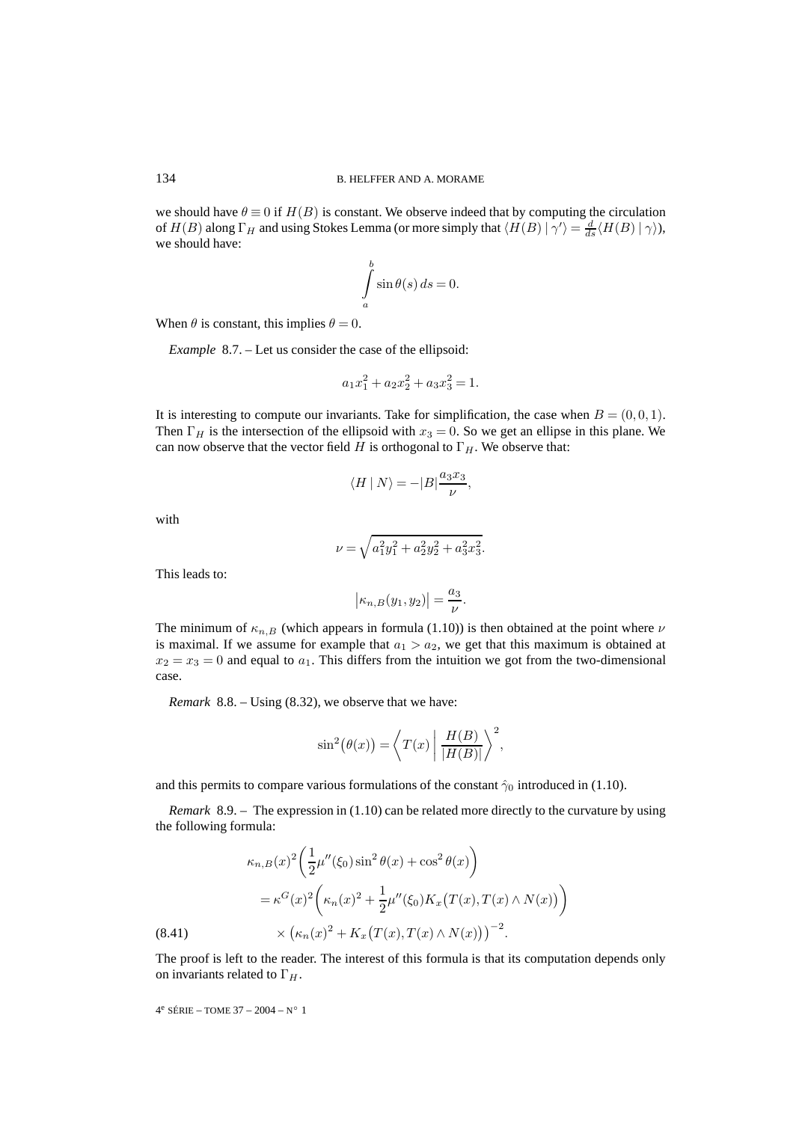we should have  $\theta \equiv 0$  if  $H(B)$  is constant. We observe indeed that by computing the circulation of  $H(B)$  along  $\Gamma_H$  and using Stokes Lemma (or more simply that  $\langle H(B) | \gamma' \rangle = \frac{d}{ds} \langle H(B) | \gamma \rangle$ ), we should have:

$$
\int_{a}^{b} \sin \theta(s) \, ds = 0.
$$

When  $\theta$  is constant, this implies  $\theta = 0$ .

*Example* 8.7. – Let us consider the case of the ellipsoid:

$$
a_1x_1^2 + a_2x_2^2 + a_3x_3^2 = 1.
$$

It is interesting to compute our invariants. Take for simplification, the case when  $B = (0, 0, 1)$ . Then  $\Gamma_H$  is the intersection of the ellipsoid with  $x_3 = 0$ . So we get an ellipse in this plane. We can now observe that the vector field H is orthogonal to  $\Gamma_H$ . We observe that:

$$
\langle H \mid N \rangle = -|B| \frac{a_3 x_3}{\nu},
$$

with

$$
\nu = \sqrt{a_1^2 y_1^2 + a_2^2 y_2^2 + a_3^2 x_3^2}.
$$

This leads to:

$$
\left|\kappa_{n,B}(y_1,y_2)\right| = \frac{a_3}{\nu}.
$$

The minimum of  $\kappa_{n,B}$  (which appears in formula (1.10)) is then obtained at the point where  $\nu$ is maximal. If we assume for example that  $a_1 > a_2$ , we get that this maximum is obtained at  $x_2 = x_3 = 0$  and equal to  $a_1$ . This differs from the intuition we got from the two-dimensional case.

*Remark* 8.8. – Using (8.32), we observe that we have:

 $\lambda$ 

$$
\sin^2(\theta(x)) = \left\langle T(x) \mid \frac{H(B)}{|H(B)|} \right\rangle^2,
$$

and this permits to compare various formulations of the constant  $\hat{\gamma}_0$  introduced in (1.10).

*Remark* 8.9. – The expression in (1.10) can be related more directly to the curvature by using the following formula:

(8.41) 
$$
\kappa_{n,B}(x)^2 \left( \frac{1}{2} \mu''(\xi_0) \sin^2 \theta(x) + \cos^2 \theta(x) \right) = \kappa^G(x)^2 \left( \kappa_n(x)^2 + \frac{1}{2} \mu''(\xi_0) K_x \left( T(x), T(x) \wedge N(x) \right) \right) \times \left( \kappa_n(x)^2 + K_x \left( T(x), T(x) \wedge N(x) \right) \right)^{-2}.
$$

The proof is left to the reader. The interest of this formula is that its computation depends only on invariants related to  $\Gamma_H$ .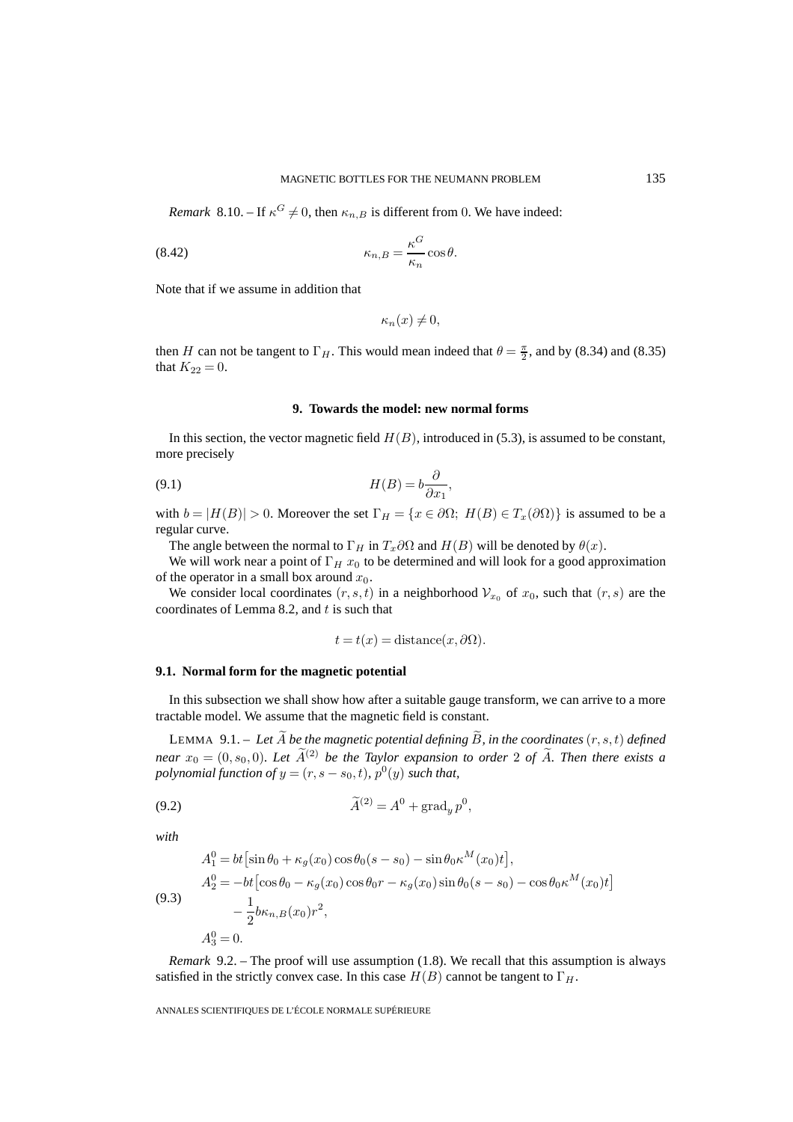*Remark* 8.10. – If  $\kappa^G \neq 0$ , then  $\kappa_{n,B}$  is different from 0. We have indeed:

(8.42) 
$$
\kappa_{n,B} = \frac{\kappa^G}{\kappa_n} \cos \theta.
$$

Note that if we assume in addition that

 $\kappa_n(x) \neq 0$ ,

then H can not be tangent to  $\Gamma_H$ . This would mean indeed that  $\theta = \frac{\pi}{2}$ , and by (8.34) and (8.35) that  $K_{22} = 0$ .

#### **9. Towards the model: new normal forms**

In this section, the vector magnetic field  $H(B)$ , introduced in (5.3), is assumed to be constant, more precisely

(9.1) 
$$
H(B) = b \frac{\partial}{\partial x_1},
$$

with  $b = |H(B)| > 0$ . Moreover the set  $\Gamma_H = \{x \in \partial\Omega; H(B) \in T_x(\partial\Omega)\}\$ is assumed to be a regular curve.

The angle between the normal to  $\Gamma_H$  in  $T_x \partial \Omega$  and  $H(B)$  will be denoted by  $\theta(x)$ .

We will work near a point of  $\Gamma_H x_0$  to be determined and will look for a good approximation of the operator in a small box around  $x_0$ .

We consider local coordinates  $(r, s, t)$  in a neighborhood  $V_{x_0}$  of  $x_0$ , such that  $(r, s)$  are the coordinates of Lemma 8.2, and  $t$  is such that

$$
t = t(x) = \text{distance}(x, \partial \Omega).
$$

## **9.1. Normal form for the magnetic potential**

In this subsection we shall show how after a suitable gauge transform, we can arrive to a more tractable model. We assume that the magnetic field is constant.

LEMMA 9.1. – Let  $\widetilde{A}$  be the magnetic potential defining  $\widetilde{B}$ , in the coordinates  $(r, s, t)$  defined *near*  $x_0 = (0, s_0, 0)$ *. Let*  $\widetilde{A}^{(2)}$  *be the Taylor expansion to order* 2 *of*  $\widetilde{A}$ *. Then there exists a polynomial function of*  $y = (r, s - s_0, t)$ ,  $p^0(y)$  *such that,* 

$$
\widetilde{A}^{(2)} = A^0 + \operatorname{grad}_y p^0,
$$

*with*

(9.3)  
\n
$$
A_1^0 = bt \left[ \sin \theta_0 + \kappa_g(x_0) \cos \theta_0 (s - s_0) - \sin \theta_0 \kappa^M(x_0) t \right],
$$
\n
$$
A_2^0 = -bt \left[ \cos \theta_0 - \kappa_g(x_0) \cos \theta_0 r - \kappa_g(x_0) \sin \theta_0 (s - s_0) - \cos \theta_0 \kappa^M(x_0) t \right]
$$
\n
$$
- \frac{1}{2} b \kappa_{n,B}(x_0) r^2,
$$
\n
$$
A_3^0 = 0.
$$

*Remark* 9.2. – The proof will use assumption (1.8). We recall that this assumption is always satisfied in the strictly convex case. In this case  $H(B)$  cannot be tangent to  $\Gamma_H$ .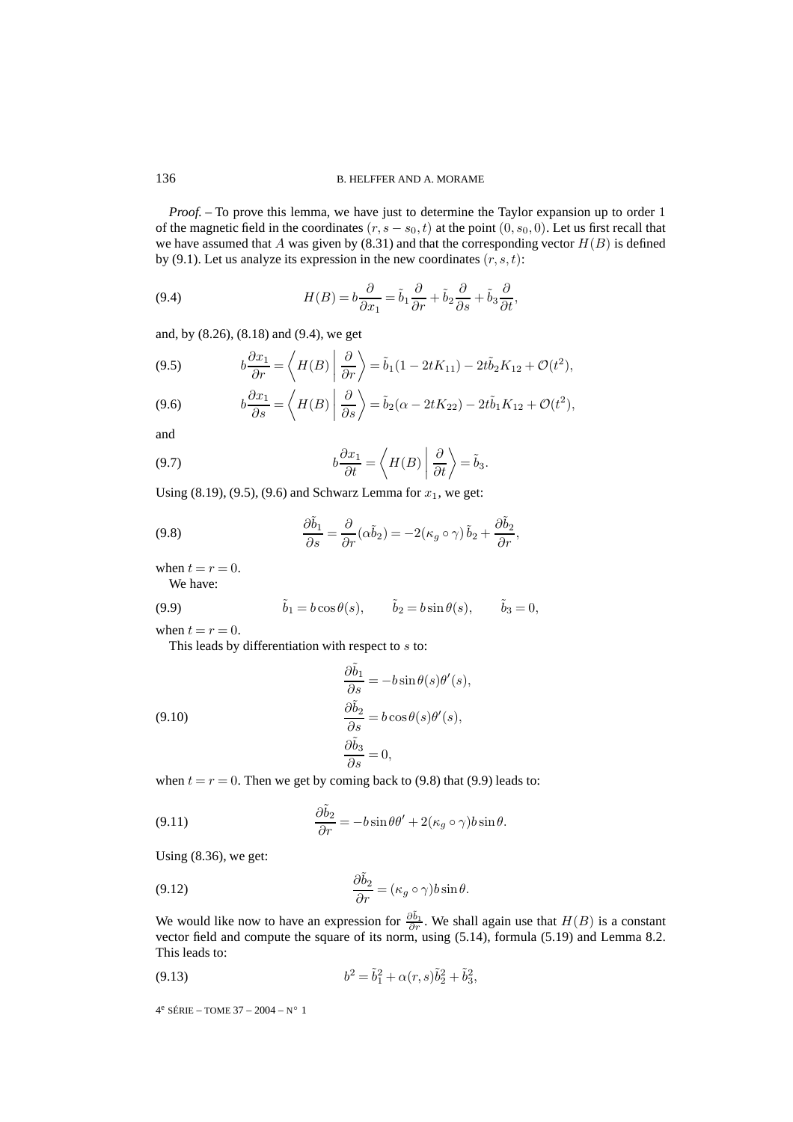*Proof.* – To prove this lemma, we have just to determine the Taylor expansion up to order 1 of the magnetic field in the coordinates  $(r, s - s_0, t)$  at the point  $(0, s_0, 0)$ . Let us first recall that we have assumed that A was given by  $(8.31)$  and that the corresponding vector  $H(B)$  is defined by (9.1). Let us analyze its expression in the new coordinates  $(r, s, t)$ :

(9.4) 
$$
H(B) = b \frac{\partial}{\partial x_1} = \tilde{b}_1 \frac{\partial}{\partial r} + \tilde{b}_2 \frac{\partial}{\partial s} + \tilde{b}_3 \frac{\partial}{\partial t},
$$

and, by (8.26), (8.18) and (9.4), we get

(9.5) 
$$
b\frac{\partial x_1}{\partial r} = \left\langle H(B) \left| \frac{\partial}{\partial r} \right\rangle = \tilde{b}_1 (1 - 2tK_{11}) - 2t\tilde{b}_2 K_{12} + \mathcal{O}(t^2),\right.
$$

(9.6) 
$$
b\frac{\partial x_1}{\partial s} = \left\langle H(B) \left| \frac{\partial}{\partial s} \right\rangle = \tilde{b}_2(\alpha - 2tK_{22}) - 2t\tilde{b}_1K_{12} + \mathcal{O}(t^2),\right.
$$

and

(9.7) 
$$
b\frac{\partial x_1}{\partial t} = \left\langle H(B) \middle| \frac{\partial}{\partial t} \right\rangle = \tilde{b}_3.
$$

Using  $(8.19)$ ,  $(9.5)$ ,  $(9.6)$  and Schwarz Lemma for  $x_1$ , we get:

(9.8) 
$$
\frac{\partial \tilde{b}_1}{\partial s} = \frac{\partial}{\partial r} (\alpha \tilde{b}_2) = -2(\kappa_g \circ \gamma) \tilde{b}_2 + \frac{\partial \tilde{b}_2}{\partial r},
$$

when  $t = r = 0$ .

We have:

(9.9) 
$$
\tilde{b}_1 = b \cos \theta(s), \qquad \tilde{b}_2 = b \sin \theta(s), \qquad \tilde{b}_3 = 0,
$$

when  $t = r = 0$ .

This leads by differentiation with respect to s to:

(9.10)  
\n
$$
\frac{\partial \tilde{b}_1}{\partial s} = -b \sin \theta(s) \theta'(s),
$$
\n
$$
\frac{\partial \tilde{b}_2}{\partial s} = b \cos \theta(s) \theta'(s),
$$
\n
$$
\frac{\partial \tilde{b}_3}{\partial s} = 0,
$$

when  $t = r = 0$ . Then we get by coming back to (9.8) that (9.9) leads to:

(9.11) 
$$
\frac{\partial \tilde{b}_2}{\partial r} = -b \sin \theta \theta' + 2(\kappa_g \circ \gamma) b \sin \theta.
$$

Using (8.36), we get:

(9.12) 
$$
\frac{\partial \tilde{b}_2}{\partial r} = (\kappa_g \circ \gamma) b \sin \theta.
$$

We would like now to have an expression for  $\frac{\partial \tilde{b}_1}{\partial r}$ . We shall again use that  $H(B)$  is a constant vector field and compute the square of its norm, using (5.14), formula (5.19) and Lemma 8.2. This leads to:

(9.13) 
$$
b^2 = \tilde{b}_1^2 + \alpha(r, s)\tilde{b}_2^2 + \tilde{b}_3^2,
$$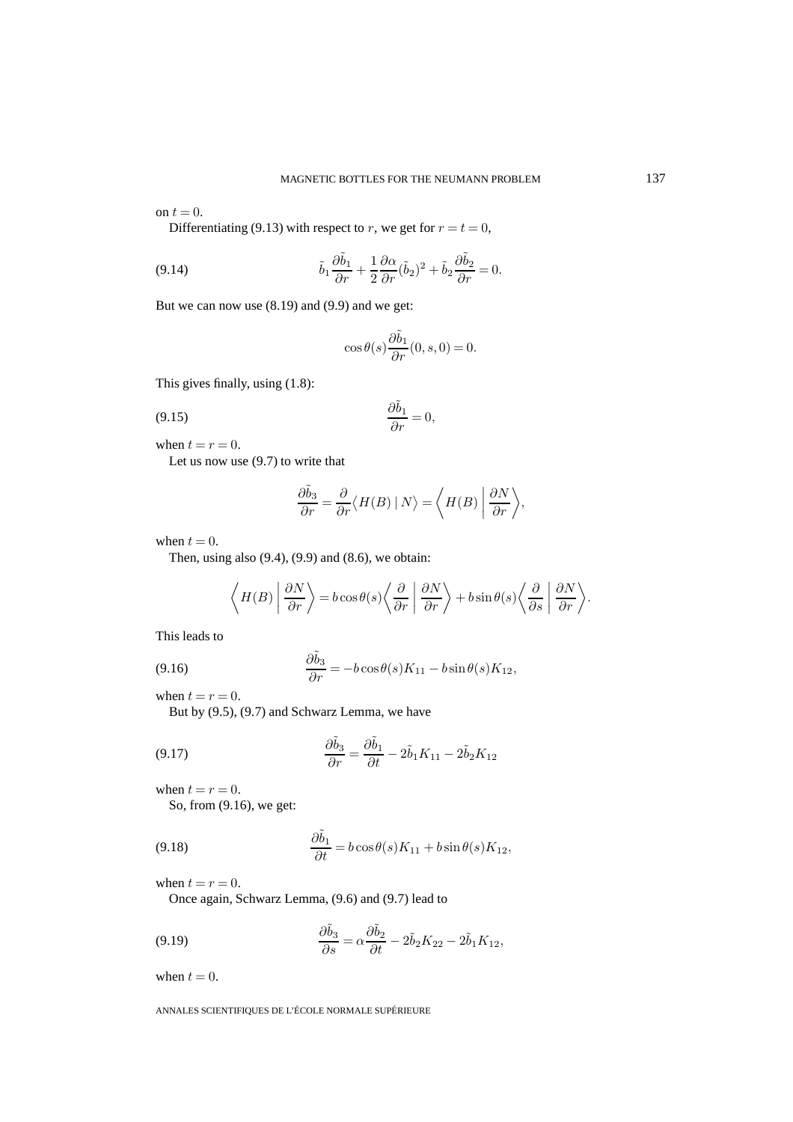on  $t = 0$ .

Differentiating (9.13) with respect to r, we get for  $r = t = 0$ ,

(9.14) 
$$
\tilde{b}_1 \frac{\partial \tilde{b}_1}{\partial r} + \frac{1}{2} \frac{\partial \alpha}{\partial r} (\tilde{b}_2)^2 + \tilde{b}_2 \frac{\partial \tilde{b}_2}{\partial r} = 0.
$$

But we can now use (8.19) and (9.9) and we get:

$$
\cos\theta(s)\frac{\partial \tilde b_1}{\partial r}(0,s,0)=0.
$$

This gives finally, using (1.8):

$$
\frac{\partial \tilde{b}_1}{\partial r} = 0,
$$

when  $t = r = 0$ .

Let us now use (9.7) to write that

$$
\frac{\partial \tilde{b}_3}{\partial r} = \frac{\partial}{\partial r} \langle H(B) | N \rangle = \langle H(B) | \frac{\partial N}{\partial r} \rangle,
$$

when  $t = 0$ .

Then, using also  $(9.4)$ ,  $(9.9)$  and  $(8.6)$ , we obtain:

$$
\left\langle H(B) \left| \frac{\partial N}{\partial r} \right\rangle = b \cos \theta(s) \left\langle \frac{\partial}{\partial r} \left| \frac{\partial N}{\partial r} \right\rangle + b \sin \theta(s) \left\langle \frac{\partial}{\partial s} \left| \frac{\partial N}{\partial r} \right\rangle \right\right\rangle
$$

This leads to

(9.16) 
$$
\frac{\partial \tilde{b}_3}{\partial r} = -b \cos \theta(s) K_{11} - b \sin \theta(s) K_{12},
$$

when  $t = r = 0$ .

But by (9.5), (9.7) and Schwarz Lemma, we have

(9.17) 
$$
\frac{\partial \tilde{b}_3}{\partial r} = \frac{\partial \tilde{b}_1}{\partial t} - 2\tilde{b}_1 K_{11} - 2\tilde{b}_2 K_{12}
$$

∂˜b<sup>3</sup>

when  $t = r = 0$ .

So, from (9.16), we get:

(9.18) 
$$
\frac{\partial \tilde{b}_1}{\partial t} = b \cos \theta(s) K_{11} + b \sin \theta(s) K_{12},
$$

when  $t = r = 0$ .

Once again, Schwarz Lemma, (9.6) and (9.7) lead to

(9.19) 
$$
\frac{\partial \tilde{b}_3}{\partial s} = \alpha \frac{\partial \tilde{b}_2}{\partial t} - 2\tilde{b}_2 K_{22} - 2\tilde{b}_1 K_{12},
$$

when  $t = 0$ .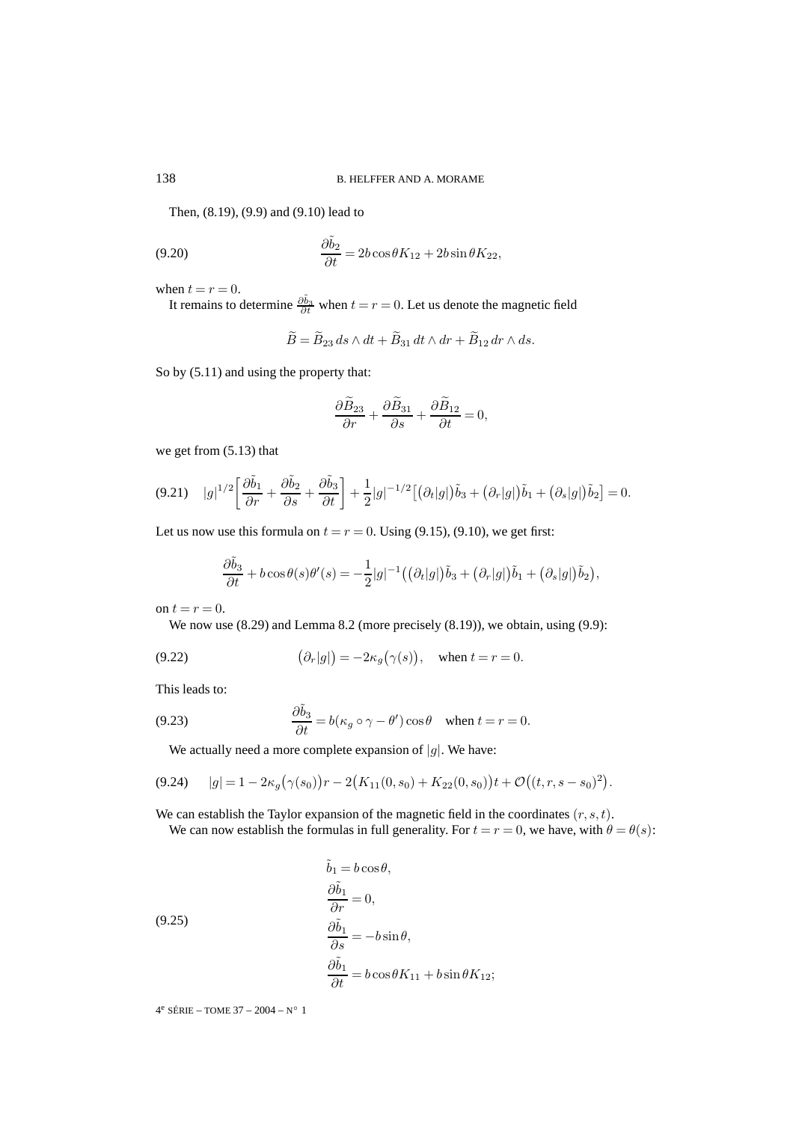Then, (8.19), (9.9) and (9.10) lead to

(9.20) 
$$
\frac{\partial \tilde{b}_2}{\partial t} = 2b \cos \theta K_{12} + 2b \sin \theta K_{22},
$$

when  $t = r = 0$ .

It remains to determine  $\frac{\partial \tilde{b}_3}{\partial t}$  when  $t = r = 0$ . Let us denote the magnetic field

$$
\widetilde{B} = \widetilde{B}_{23} ds \wedge dt + \widetilde{B}_{31} dt \wedge dr + \widetilde{B}_{12} dr \wedge ds.
$$

So by (5.11) and using the property that:

$$
\frac{\partial \widetilde{B}_{23}}{\partial r} + \frac{\partial \widetilde{B}_{31}}{\partial s} + \frac{\partial \widetilde{B}_{12}}{\partial t} = 0,
$$

we get from (5.13) that

$$
(9.21) \quad |g|^{1/2} \left[ \frac{\partial \tilde{b}_1}{\partial r} + \frac{\partial \tilde{b}_2}{\partial s} + \frac{\partial \tilde{b}_3}{\partial t} \right] + \frac{1}{2} |g|^{-1/2} \left[ \left( \partial_t |g| \right) \tilde{b}_3 + \left( \partial_r |g| \right) \tilde{b}_1 + \left( \partial_s |g| \right) \tilde{b}_2 \right] = 0.
$$

Let us now use this formula on  $t = r = 0$ . Using (9.15), (9.10), we get first:

$$
\frac{\partial \tilde{b}_3}{\partial t} + b \cos \theta(s) \theta'(s) = -\frac{1}{2} |g|^{-1} \left( (\partial_t |g|) \tilde{b}_3 + (\partial_r |g|) \tilde{b}_1 + (\partial_s |g|) \tilde{b}_2 \right),
$$

on  $t = r = 0$ .

We now use  $(8.29)$  and Lemma 8.2 (more precisely  $(8.19)$ ), we obtain, using  $(9.9)$ :

(9.22) 
$$
(\partial_r|g|) = -2\kappa_g(\gamma(s)), \text{ when } t = r = 0.
$$

This leads to:

(9.23) 
$$
\frac{\partial \tilde{b}_3}{\partial t} = b(\kappa_g \circ \gamma - \theta') \cos \theta \quad \text{when } t = r = 0.
$$

We actually need a more complete expansion of  $|g|$ . We have:

$$
(9.24) \qquad |g| = 1 - 2\kappa_g(\gamma(s_0))r - 2(K_{11}(0, s_0) + K_{22}(0, s_0))t + \mathcal{O}((t, r, s - s_0)^2).
$$

We can establish the Taylor expansion of the magnetic field in the coordinates  $(r, s, t)$ .

We can now establish the formulas in full generality. For  $t = r = 0$ , we have, with  $\theta = \theta(s)$ :

(9.25)  
\n
$$
\frac{\partial \tilde{b}_1}{\partial r} = 0,
$$
\n
$$
\frac{\partial \tilde{b}_1}{\partial s} = -b \sin \theta,
$$
\n
$$
\frac{\partial \tilde{b}_1}{\partial t} = b \cos \theta K_{11} + b \sin \theta K_{12};
$$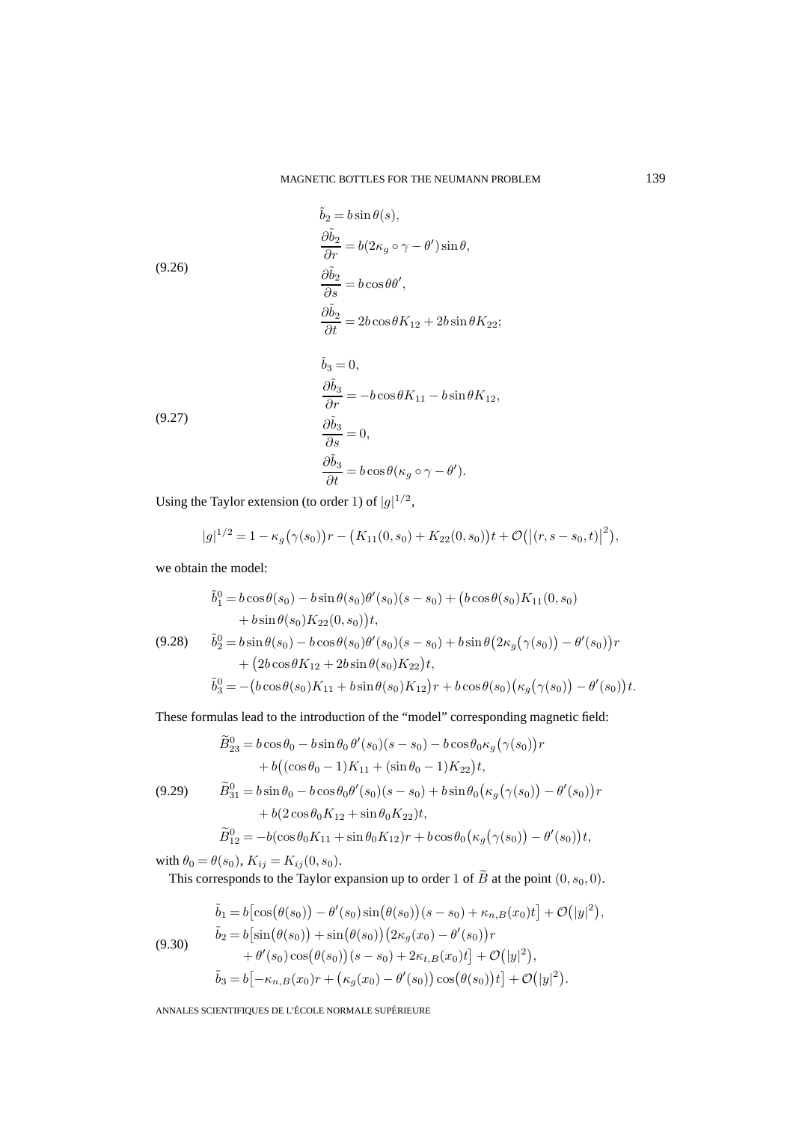(9.26)  
\n
$$
\frac{\partial \tilde{b}_2}{\partial r} = b(2\kappa_g \circ \gamma - \theta') \sin \theta,
$$
\n
$$
\frac{\partial \tilde{b}_2}{\partial s} = b \cos \theta \theta',
$$
\n
$$
\frac{\partial \tilde{b}_2}{\partial t} = 2b \cos \theta K_{12} + 2b \sin \theta K_{22};
$$
\n
$$
\tilde{b}_3 = 0,
$$
\n
$$
\frac{\partial \tilde{b}_3}{\partial r} = -b \cos \theta K_{11} - b \sin \theta K_{12},
$$

(9.27)  
\n
$$
\frac{\partial \tilde{b}_3}{\partial s} = 0,
$$
\n
$$
\frac{\partial \tilde{b}_3}{\partial t} = b \cos \theta (\kappa_g \circ \gamma - \theta').
$$

Using the Taylor extension (to order 1) of  $|g|^{1/2}$ ,

$$
|g|^{1/2} = 1 - \kappa_g(\gamma(s_0))r - (K_{11}(0, s_0) + K_{22}(0, s_0))t + \mathcal{O}(|(r, s - s_0, t)|^2),
$$

we obtain the model:

$$
\tilde{b}_1^0 = b \cos \theta(s_0) - b \sin \theta(s_0) \theta'(s_0)(s - s_0) + (b \cos \theta(s_0) K_{11}(0, s_0) \n+ b \sin \theta(s_0) K_{22}(0, s_0))t,
$$
\n(9.28) 
$$
\tilde{b}_2^0 = b \sin \theta(s_0) - b \cos \theta(s_0) \theta'(s_0)(s - s_0) + b \sin \theta(2\kappa_g(\gamma(s_0)) - \theta'(s_0))r \n+ (2b \cos \theta K_{12} + 2b \sin \theta(s_0) K_{22})t,
$$
\n
$$
\tilde{b}_3^0 = -(b \cos \theta(s_0) K_{11} + b \sin \theta(s_0) K_{12})r + b \cos \theta(s_0) (\kappa_g(\gamma(s_0)) - \theta'(s_0))t.
$$

These formulas lead to the introduction of the "model" corresponding magnetic field:

$$
\widetilde{B}_{23}^{0} = b \cos \theta_{0} - b \sin \theta_{0} \theta'(s_{0})(s - s_{0}) - b \cos \theta_{0} \kappa_{g} (\gamma(s_{0}))r \n+ b \big( (\cos \theta_{0} - 1)K_{11} + (\sin \theta_{0} - 1)K_{22} \big)t, \n(9.29) \qquad \widetilde{B}_{31}^{0} = b \sin \theta_{0} - b \cos \theta_{0} \theta'(s_{0})(s - s_{0}) + b \sin \theta_{0} (\kappa_{g} (\gamma(s_{0})) - \theta'(s_{0}))r \n+ b \big( 2 \cos \theta_{0} K_{12} + \sin \theta_{0} K_{22} \big)t,
$$

$$
\widetilde{B}_{12}^0 = -b(\cos\theta_0 K_{11} + \sin\theta_0 K_{12})r + b\cos\theta_0 (\kappa_g(\gamma(s_0)) - \theta'(s_0))t,
$$

with  $\theta_0 = \theta(s_0), K_{ij} = K_{ij}(0, s_0).$ 

This corresponds to the Taylor expansion up to order 1 of  $\widetilde{B}$  at the point  $(0, s_0, 0)$ .

$$
\tilde{b}_1 = b \left[ \cos(\theta(s_0)) - \theta'(s_0) \sin(\theta(s_0)) (s - s_0) + \kappa_{n,B}(x_0) t \right] + \mathcal{O}(|y|^2), \n\tilde{b}_2 = b \left[ \sin(\theta(s_0)) + \sin(\theta(s_0)) (2\kappa_g(x_0) - \theta'(s_0)) r \right. \n+ \theta'(s_0) \cos(\theta(s_0)) (s - s_0) + 2\kappa_{t,B}(x_0) t \right] + \mathcal{O}(|y|^2), \n\tilde{b}_3 = b \left[ -\kappa_{n,B}(x_0) r + \left( \kappa_g(x_0) - \theta'(s_0) \right) \cos(\theta(s_0)) t \right] + \mathcal{O}(|y|^2).
$$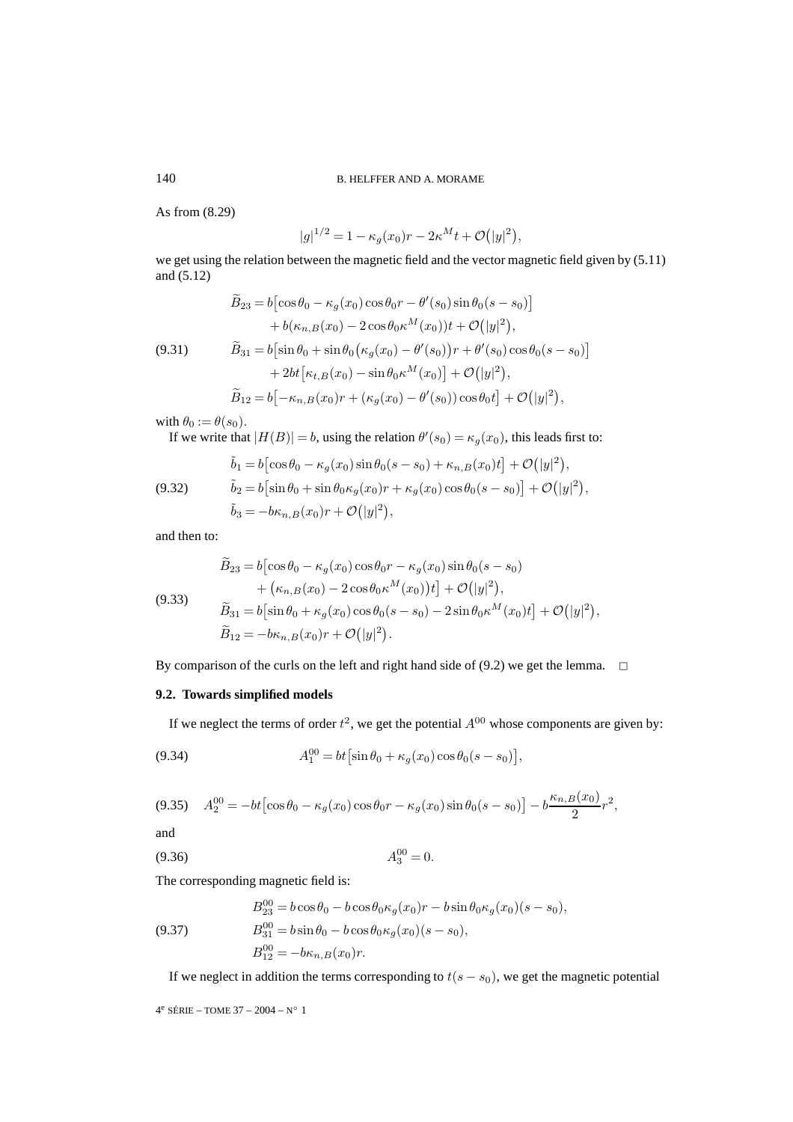As from (8.29)

$$
|g|^{1/2} = 1 - \kappa_g(x_0)r - 2\kappa^M t + \mathcal{O}(|y|^2)
$$

,

we get using the relation between the magnetic field and the vector magnetic field given by (5.11) and (5.12)

$$
\widetilde{B}_{23} = b \left[ \cos \theta_0 - \kappa_g(x_0) \cos \theta_0 r - \theta'(s_0) \sin \theta_0 (s - s_0) \right] \n+ b(\kappa_{n,B}(x_0) - 2 \cos \theta_0 \kappa^M(x_0)) t + \mathcal{O}(|y|^2), \n\widetilde{B}_{31} = b \left[ \sin \theta_0 + \sin \theta_0 \left( \kappa_g(x_0) - \theta'(s_0) \right) r + \theta'(s_0) \cos \theta_0 (s - s_0) \right] \n+ 2bt \left[ \kappa_{t,B}(x_0) - \sin \theta_0 \kappa^M(x_0) \right] + \mathcal{O}(|y|^2), \n\widetilde{B}_{12} = b \left[ -\kappa_{n,B}(x_0) r + (\kappa_g(x_0) - \theta'(s_0)) \cos \theta_0 t \right] + \mathcal{O}(|y|^2),
$$

with  $\theta_0 := \theta(s_0)$ .

If we write that  $|H(B)| = b$ , using the relation  $\theta'(s_0) = \kappa_g(x_0)$ , this leads first to:

(9.32) 
$$
\tilde{b}_1 = b \left[ \cos \theta_0 - \kappa_g(x_0) \sin \theta_0 (s - s_0) + \kappa_{n,B}(x_0) t \right] + \mathcal{O}(|y|^2), \n\tilde{b}_2 = b \left[ \sin \theta_0 + \sin \theta_0 \kappa_g(x_0) r + \kappa_g(x_0) \cos \theta_0 (s - s_0) \right] + \mathcal{O}(|y|^2), \n\tilde{b}_3 = -b \kappa_{n,B}(x_0) r + \mathcal{O}(|y|^2),
$$

and then to:

$$
\widetilde{B}_{23} = b \Big[ \cos \theta_0 - \kappa_g(x_0) \cos \theta_0 r - \kappa_g(x_0) \sin \theta_0 (s - s_0) \n+ (\kappa_{n,B}(x_0) - 2 \cos \theta_0 \kappa^M(x_0)) t \Big] + \mathcal{O}(|y|^2), \n\widetilde{B}_{31} = b \Big[ \sin \theta_0 + \kappa_g(x_0) \cos \theta_0 (s - s_0) - 2 \sin \theta_0 \kappa^M(x_0) t \Big] + \mathcal{O}(|y|^2), \n\widetilde{B}_{12} = -b \kappa_{n,B}(x_0) r + \mathcal{O}(|y|^2).
$$

By comparison of the curls on the left and right hand side of (9.2) we get the lemma.  $\Box$ 

## **9.2. Towards simplified models**

If we neglect the terms of order  $t^2$ , we get the potential  $A^{00}$  whose components are given by:

(9.34) 
$$
A_1^{00} = bt \left[ \sin \theta_0 + \kappa_g(x_0) \cos \theta_0 (s - s_0) \right],
$$

$$
(9.35) \quad A_2^{00} = -bt \left[ \cos \theta_0 - \kappa_g(x_0) \cos \theta_0 r - \kappa_g(x_0) \sin \theta_0 (s - s_0) \right] - b \frac{\kappa_{n,B}(x_0)}{2} r^2,
$$

and

$$
(9.36)\t\t A_3^{00} = 0.
$$

The corresponding magnetic field is:

(9.37) 
$$
B_{23}^{00} = b \cos \theta_0 - b \cos \theta_0 \kappa_g(x_0) r - b \sin \theta_0 \kappa_g(x_0) (s - s_0),
$$

$$
B_{31}^{00} = b \sin \theta_0 - b \cos \theta_0 \kappa_g(x_0) (s - s_0),
$$

$$
B_{12}^{00} = -b \kappa_{n,B}(x_0) r.
$$

If we neglect in addition the terms corresponding to  $t(s - s_0)$ , we get the magnetic potential

4<sup>e</sup> SÉRIE – TOME 37 – 2004 – N° 1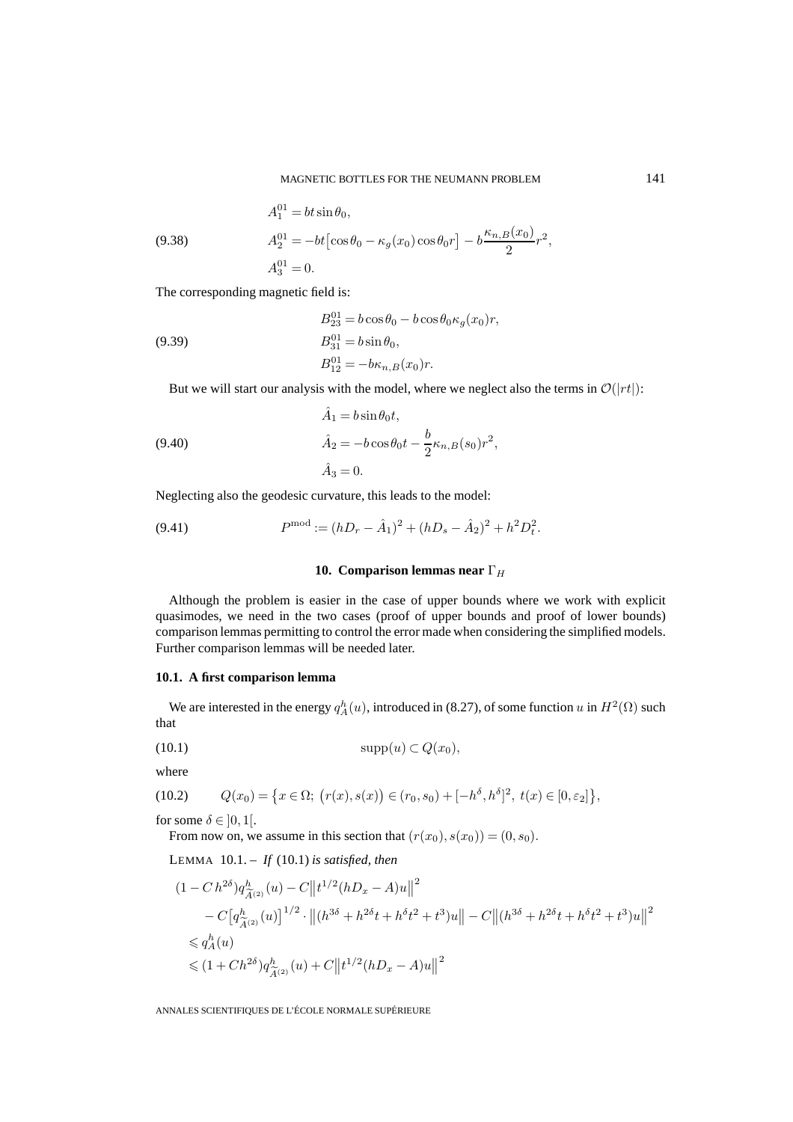(9.38) 
$$
A_1^{01} = bt \sin \theta_0,
$$

$$
A_2^{01} = -bt \left[ \cos \theta_0 - \kappa_g(x_0) \cos \theta_0 r \right] - b \frac{\kappa_{n,B}(x_0)}{2} r^2,
$$

$$
A_3^{01} = 0.
$$

The corresponding magnetic field is:

(9.39)  
\n
$$
B_{23}^{01} = b \cos \theta_0 - b \cos \theta_0 \kappa_g(x_0) r,
$$
\n
$$
B_{31}^{01} = b \sin \theta_0,
$$
\n
$$
B_{12}^{01} = -b \kappa_{n,B}(x_0) r.
$$

But we will start our analysis with the model, where we neglect also the terms in  $\mathcal{O}(|rt|)$ :

(9.40)  
\n
$$
\hat{A}_1 = b \sin \theta_0 t,
$$
\n
$$
\hat{A}_2 = -b \cos \theta_0 t - \frac{b}{2} \kappa_{n,B}(s_0) r^2,
$$
\n
$$
\hat{A}_3 = 0.
$$

Neglecting also the geodesic curvature, this leads to the model:

(9.41) 
$$
P^{\text{mod}} := (hD_r - \hat{A}_1)^2 + (hD_s - \hat{A}_2)^2 + h^2D_t^2.
$$

#### **10. Comparison lemmas near** Γ<sub>H</sub>

Although the problem is easier in the case of upper bounds where we work with explicit quasimodes, we need in the two cases (proof of upper bounds and proof of lower bounds) comparison lemmas permitting to control the error made when considering the simplified models. Further comparison lemmas will be needed later.

#### **10.1. A first comparison lemma**

We are interested in the energy  $q_A^h(u)$ , introduced in (8.27), of some function  $u$  in  $H^2(\Omega)$  such that

$$
(10.1) \t\t supp(u) \subset Q(x_0),
$$

where

(10.2) 
$$
Q(x_0) = \{x \in \Omega; (r(x), s(x)) \in (r_0, s_0) + [-h^{\delta}, h^{\delta}]^2, t(x) \in [0, \varepsilon_2] \},
$$

for some  $\delta \in ]0,1[$ .

From now on, we assume in this section that  $(r(x_0), s(x_0)) = (0, s_0)$ .

LEMMA 10.1. – *If* (10.1) *is satisfied, then*

$$
(1 - C h^{2\delta}) q^h_{\tilde{A}^{(2)}}(u) - C ||t^{1/2} (hD_x - A)u||^2
$$
  
\n
$$
- C [q^h_{\tilde{A}^{(2)}}(u)]^{1/2} \cdot ||(h^{3\delta} + h^{2\delta}t + h^{\delta}t^2 + t^3)u|| - C ||(h^{3\delta} + h^{2\delta}t + h^{\delta}t^2 + t^3)u||^2
$$
  
\n
$$
\leq q^h_A(u)
$$
  
\n
$$
\leq (1 + Ch^{2\delta}) q^h_{\tilde{A}^{(2)}}(u) + C ||t^{1/2}(hD_x - A)u||^2
$$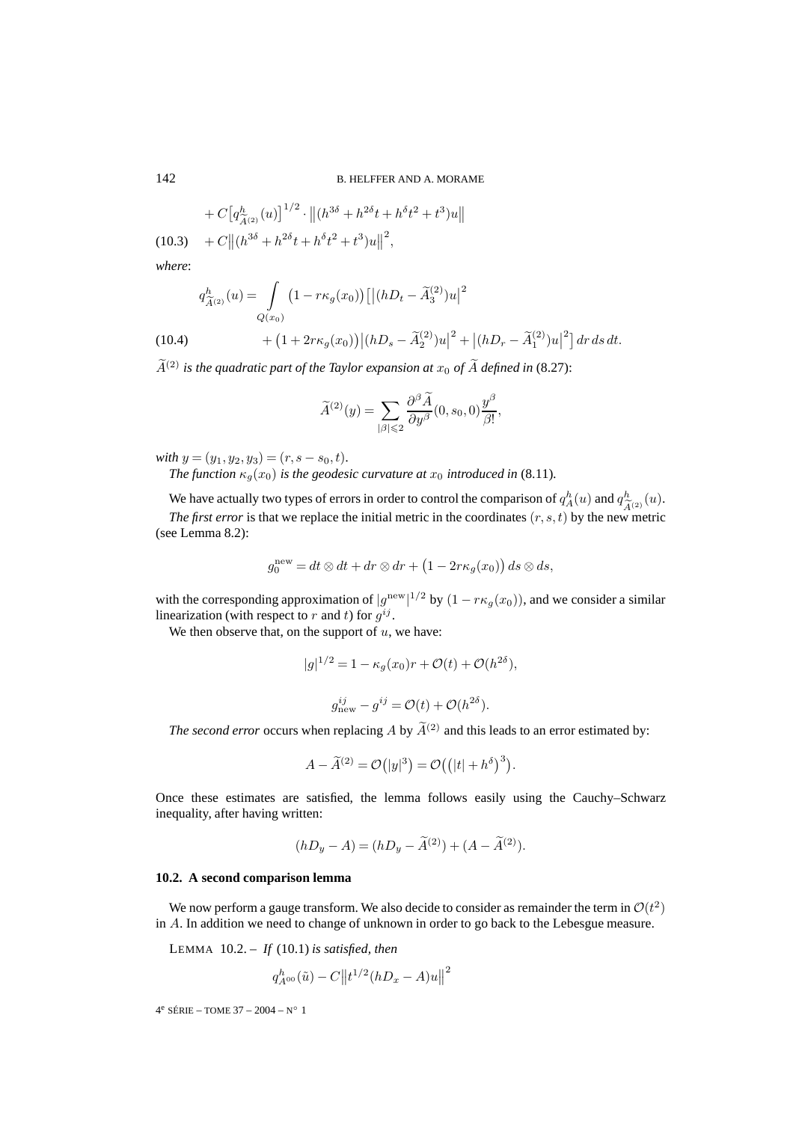$$
+ C \big[q_{\widetilde{A}^{(2)}}^{h}(u)\big]^{1/2} \cdot \big\| (h^{3\delta} + h^{2\delta}t + h^{\delta}t^{2} + t^{3})u \big\|
$$

(10.3)  $+ C || (h^{3\delta} + h^{2\delta}t + h^{\delta}t^2 + t^3)u||^2$ ,

*where*:

$$
q_{\widetilde{A}^{(2)}}^h(u) = \int_{Q(x_0)} (1 - r\kappa_g(x_0)) [|(hD_t - \widetilde{A}_3^{(2)})u|^2
$$
  
(10.4)
$$
+ (1 + 2r\kappa_g(x_0)) |(hD_s - \widetilde{A}_2^{(2)})u|^2 + |(hD_r - \widetilde{A}_1^{(2)})u|^2] dr ds dt.
$$

 $\widetilde{A}^{(2)}$  *is the quadratic part of the Taylor expansion at*  $x_0$  *of*  $\widetilde{A}$  *defined in* (8.27):

$$
\widetilde{A}^{(2)}(y) = \sum_{|\beta| \leq 2} \frac{\partial^{\beta} \widetilde{A}}{\partial y^{\beta}}(0, s_0, 0) \frac{y^{\beta}}{\beta!},
$$

*with*  $y = (y_1, y_2, y_3) = (r, s - s_0, t)$ *. The function*  $\kappa_a(x_0)$  *is the geodesic curvature at*  $x_0$  *introduced in* (8.11)*.* 

We have actually two types of errors in order to control the comparison of  $q_A^h(u)$  and  $q_{\widetilde{A}^{(2)}}^h(u)$ .<br>The first error is that we replace the initial metric in the coordinates  $(r, s, t)$  by the new metric *The first error* is that we replace the initial metric in the coordinates  $(r, s, t)$  by the new metric (see Lemma 8.2):

$$
g_0^{\text{new}} = dt \otimes dt + dr \otimes dr + \left(1 - 2r\kappa_g(x_0)\right) ds \otimes ds,
$$

with the corresponding approximation of  $|g^{new}|^{1/2}$  by  $(1 - r\kappa_g(x_0))$ , and we consider a similar linearization (with respect to r and t) for  $q^{ij}$ .

We then observe that, on the support of  $u$ , we have:

$$
|g|^{1/2} = 1 - \kappa_g(x_0)r + \mathcal{O}(t) + \mathcal{O}(h^{2\delta}),
$$
  

$$
g_{\text{new}}^{ij} - g^{ij} = \mathcal{O}(t) + \mathcal{O}(h^{2\delta}).
$$

*The second error* occurs when replacing A by  $\widetilde{A}^{(2)}$  and this leads to an error estimated by:

$$
A - \widetilde{A}^{(2)} = \mathcal{O}(|y|^3) = \mathcal{O}((|t| + h^{\delta})^3).
$$

Once these estimates are satisfied, the lemma follows easily using the Cauchy–Schwarz inequality, after having written:

$$
(hD_y - A) = (hD_y - \tilde{A}^{(2)}) + (A - \tilde{A}^{(2)}).
$$

#### **10.2. A second comparison lemma**

We now perform a gauge transform. We also decide to consider as remainder the term in  $\mathcal{O}(t^2)$ in A. In addition we need to change of unknown in order to go back to the Lebesgue measure.

LEMMA 10.2. – *If* (10.1) *is satisfied, then*

$$
q_{A^{00}}^h(\tilde{u}) - C ||t^{1/2}(hD_x - A)u||^2
$$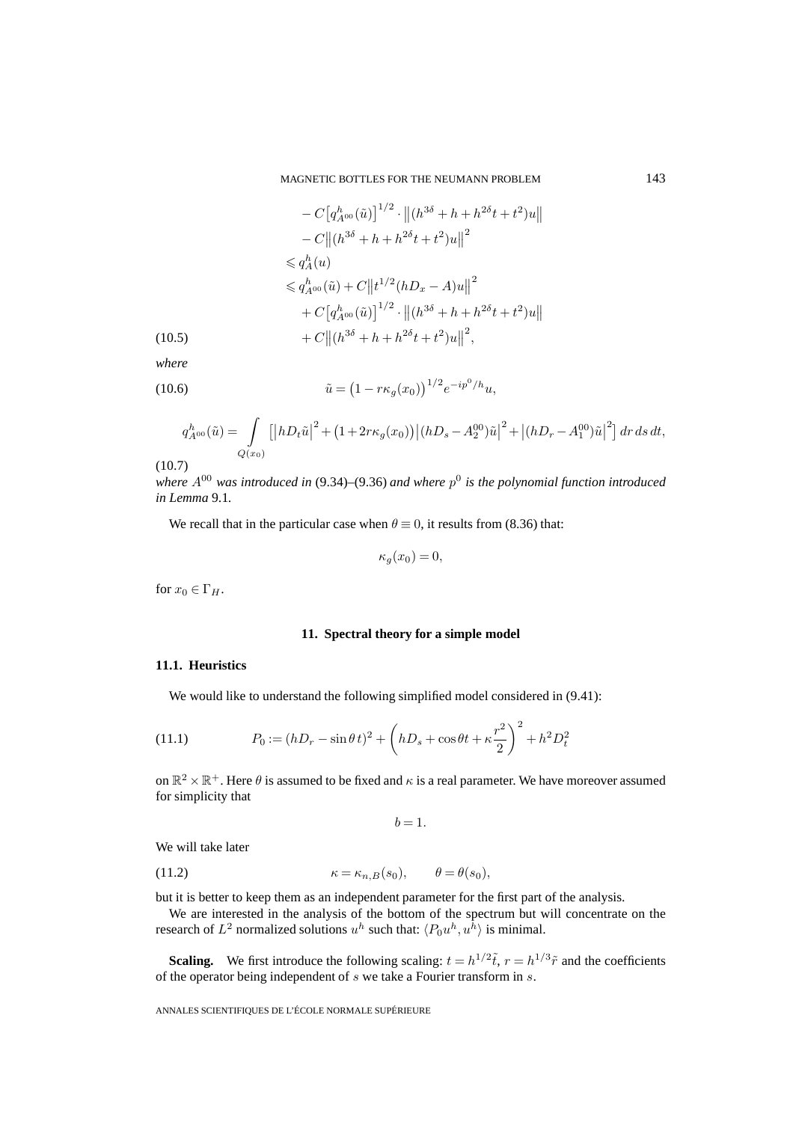MAGNETIC BOTTLES FOR THE NEUMANN PROBLEM 143

$$
-C\big[q_{A^{00}}^h(\tilde{u})\big]^{1/2} \cdot \big\| (h^{3\delta} + h + h^{2\delta}t + t^2)u \big\|
$$
  
\n
$$
-C\big\|(h^{3\delta} + h + h^{2\delta}t + t^2)u\big\|^2
$$
  
\n
$$
\leq q_A^h(u)
$$
  
\n
$$
\leq q_{A^{00}}^h(\tilde{u}) + C\big\| t^{1/2}(hD_x - A)u \big\|^2
$$
  
\n
$$
+ C\big[q_{A^{00}}^h(\tilde{u})\big]^{1/2} \cdot \big\|(h^{3\delta} + h + h^{2\delta}t + t^2)u\big\|
$$
  
\n(10.5)  
\n
$$
+ C\big\|(h^{3\delta} + h + h^{2\delta}t + t^2)u\big\|^2,
$$

*where*

(10.6) 
$$
\tilde{u} = (1 - r\kappa_g(x_0))^{1/2} e^{-ip^0/h} u,
$$

$$
q_{A^{00}}^h(\tilde{u}) = \int\limits_{Q(x_0)} \left[ \left| h D_t \tilde{u} \right|^2 + \left( 1 + 2r\kappa_g(x_0) \right) \left| (hD_s - A_2^{00}) \tilde{u} \right|^2 + \left| (hD_r - A_1^{00}) \tilde{u} \right|^2 \right] dr \, ds \, dt,
$$

 $(10.7)$ 

*where*  $A^{00}$  *was introduced in* (9.34)–(9.36) *and where*  $p^0$  *is the polynomial function introduced in Lemma* 9.1*.*

We recall that in the particular case when  $\theta \equiv 0$ , it results from (8.36) that:

$$
\kappa_g(x_0) = 0,
$$

for  $x_0 \in \Gamma_H$ .

#### **11. Spectral theory for a simple model**

## **11.1. Heuristics**

We would like to understand the following simplified model considered in  $(9.41)$ :

(11.1) 
$$
P_0 := (hD_r - \sin \theta t)^2 + \left(hD_s + \cos \theta t + \kappa \frac{r^2}{2}\right)^2 + h^2 D_t^2
$$

on  $\mathbb{R}^2 \times \mathbb{R}^+$ . Here  $\theta$  is assumed to be fixed and  $\kappa$  is a real parameter. We have moreover assumed for simplicity that

$$
b=1.
$$

We will take later

(11.2) 
$$
\kappa = \kappa_{n,B}(s_0), \qquad \theta = \theta(s_0),
$$

but it is better to keep them as an independent parameter for the first part of the analysis.

We are interested in the analysis of the bottom of the spectrum but will concentrate on the research of  $L^2$  normalized solutions  $u^h$  such that:  $\langle P_0u^h, u^h \rangle$  is minimal.

**Scaling.** We first introduce the following scaling:  $t = h^{1/2}\tilde{t}$ ,  $r = h^{1/3}\tilde{r}$  and the coefficients of the operator being independent of s we take a Fourier transform in s.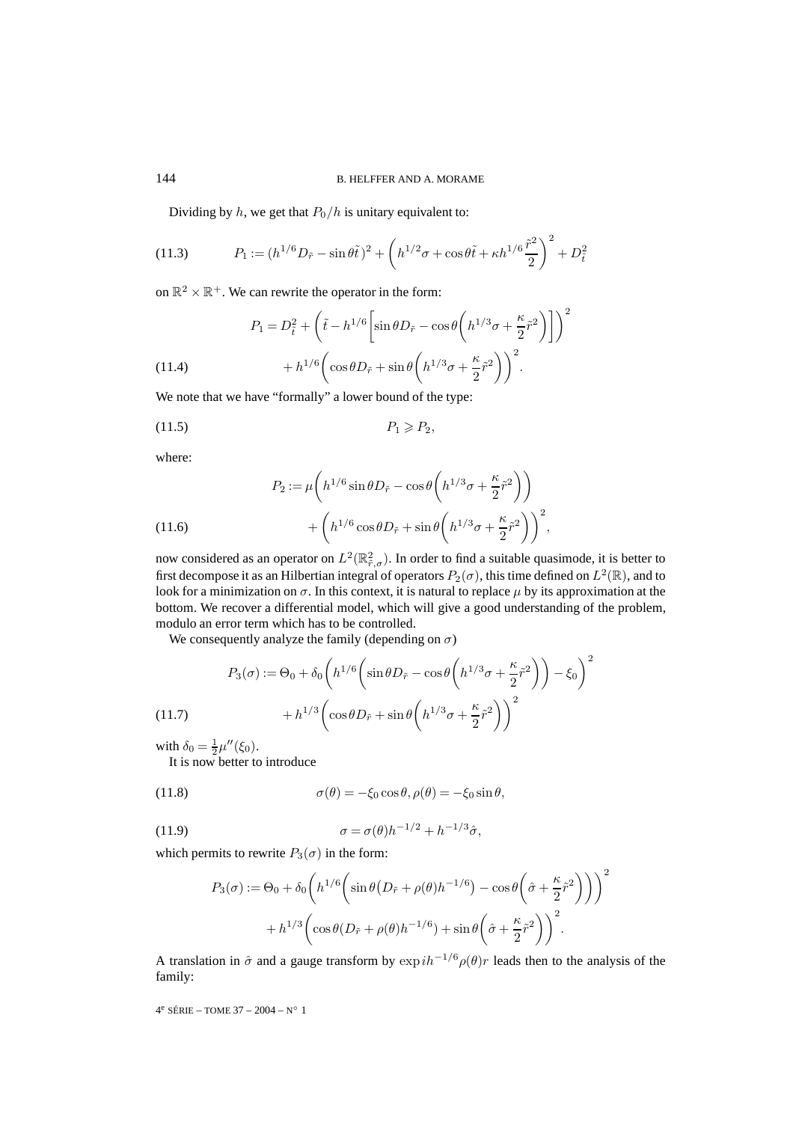Dividing by  $h$ , we get that  $P_0/h$  is unitary equivalent to:

(11.3) 
$$
P_1 := (h^{1/6}D_{\tilde{r}} - \sin\theta \tilde{t})^2 + \left(h^{1/2}\sigma + \cos\theta \tilde{t} + \kappa h^{1/6}\frac{\tilde{r}^2}{2}\right)^2 + D_{\tilde{t}}^2
$$

on  $\mathbb{R}^2 \times \mathbb{R}^+$ . We can rewrite the operator in the form:

(11.4)  
\n
$$
P_1 = D_{\tilde{t}}^2 + \left(\tilde{t} - h^{1/6} \left[ \sin \theta D_{\tilde{r}} - \cos \theta \left( h^{1/3} \sigma + \frac{\kappa}{2} \tilde{r}^2 \right) \right] \right)^2
$$
\n
$$
+ h^{1/6} \left( \cos \theta D_{\tilde{r}} + \sin \theta \left( h^{1/3} \sigma + \frac{\kappa}{2} \tilde{r}^2 \right) \right)^2.
$$

We note that we have "formally" a lower bound of the type:

$$
(11.5) \t\t P_1 \geqslant P_2,
$$

where:

(11.6)  
\n
$$
P_2 := \mu \left( h^{1/6} \sin \theta D_{\tilde{r}} - \cos \theta \left( h^{1/3} \sigma + \frac{\kappa}{2} \tilde{r}^2 \right) \right)
$$
\n
$$
+ \left( h^{1/6} \cos \theta D_{\tilde{r}} + \sin \theta \left( h^{1/3} \sigma + \frac{\kappa}{2} \tilde{r}^2 \right) \right)^2,
$$

now considered as an operator on  $L^2(\mathbb{R}^2_{\tilde{r},\sigma})$ . In order to find a suitable quasimode, it is better to first decompose it as an Hilbertian integral of operators  $P_2(\sigma)$ , this time defined on  $L^2(\mathbb{R})$ , and to look for a minimization on  $\sigma$ . In this context, it is natural to replace  $\mu$  by its approximation at the bottom. We recover a differential model, which will give a good understanding of the problem, modulo an error term which has to be controlled.

We consequently analyze the family (depending on  $\sigma$ )

(11.7) 
$$
P_3(\sigma) := \Theta_0 + \delta_0 \left( h^{1/6} \left( \sin \theta D_{\tilde{r}} - \cos \theta \left( h^{1/3} \sigma + \frac{\kappa}{2} \tilde{r}^2 \right) \right) - \xi_0 \right)^2
$$

$$
+ h^{1/3} \left( \cos \theta D_{\tilde{r}} + \sin \theta \left( h^{1/3} \sigma + \frac{\kappa}{2} \tilde{r}^2 \right) \right)^2
$$

with  $\delta_0 = \frac{1}{2}\mu''(\xi_0)$ .

It is now better to introduce

(11.8) 
$$
\sigma(\theta) = -\xi_0 \cos \theta, \rho(\theta) = -\xi_0 \sin \theta,
$$

(11.9) 
$$
\sigma = \sigma(\theta) h^{-1/2} + h^{-1/3} \hat{\sigma},
$$

which permits to rewrite  $P_3(\sigma)$  in the form:

$$
P_3(\sigma) := \Theta_0 + \delta_0 \left( h^{1/6} \left( \sin \theta \left( D_{\tilde{r}} + \rho(\theta) h^{-1/6} \right) - \cos \theta \left( \hat{\sigma} + \frac{\kappa}{2} \tilde{r}^2 \right) \right) \right)^2
$$

$$
+ h^{1/3} \left( \cos \theta (D_{\tilde{r}} + \rho(\theta) h^{-1/6}) + \sin \theta \left( \hat{\sigma} + \frac{\kappa}{2} \tilde{r}^2 \right) \right)^2.
$$

A translation in  $\hat{\sigma}$  and a gauge transform by  $\exp i h^{-1/6} \rho(\theta) r$  leads then to the analysis of the family: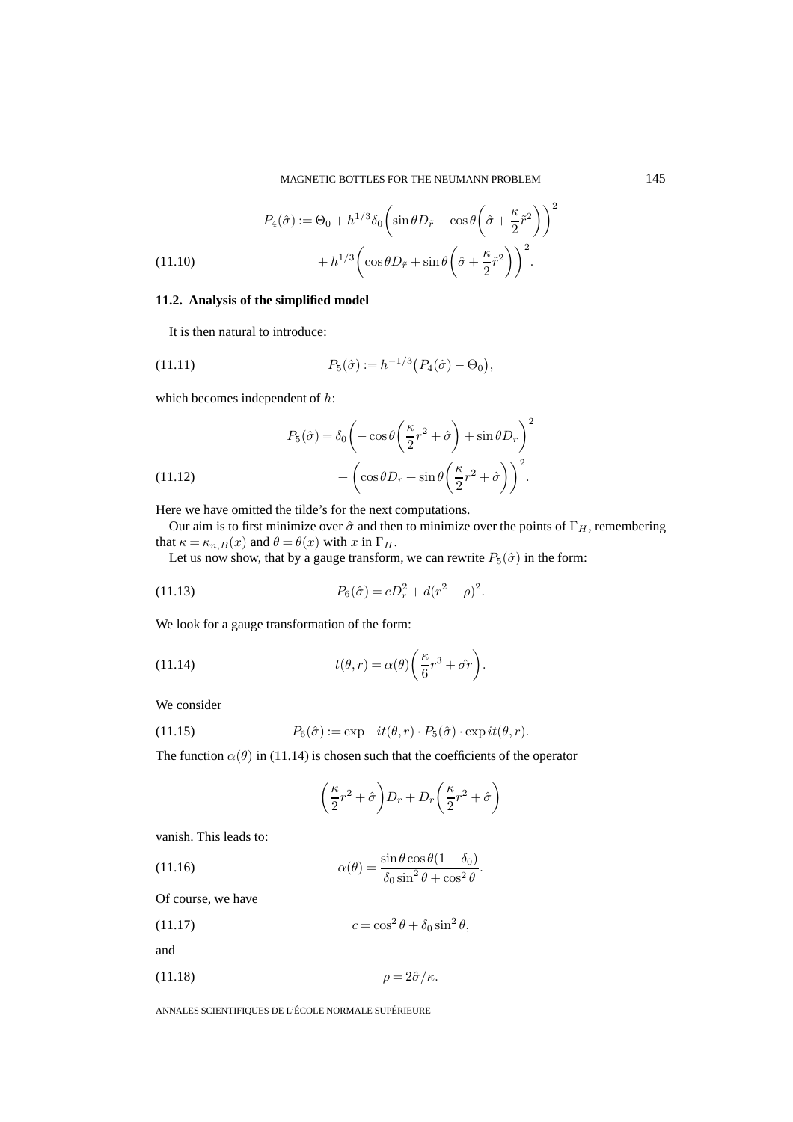(11.10)  
\n
$$
P_4(\hat{\sigma}) := \Theta_0 + h^{1/3} \delta_0 \left( \sin \theta D_{\tilde{r}} - \cos \theta \left( \hat{\sigma} + \frac{\kappa}{2} \tilde{r}^2 \right) \right)^2 + h^{1/3} \left( \cos \theta D_{\tilde{r}} + \sin \theta \left( \hat{\sigma} + \frac{\kappa}{2} \tilde{r}^2 \right) \right)^2.
$$

#### **11.2. Analysis of the simplified model**

It is then natural to introduce:

(11.11) 
$$
P_5(\hat{\sigma}) := h^{-1/3} (P_4(\hat{\sigma}) - \Theta_0),
$$

which becomes independent of  $h$ :

(11.12) 
$$
P_5(\hat{\sigma}) = \delta_0 \left( -\cos \theta \left( \frac{\kappa}{2} r^2 + \hat{\sigma} \right) + \sin \theta D_r \right)^2 + \left( \cos \theta D_r + \sin \theta \left( \frac{\kappa}{2} r^2 + \hat{\sigma} \right) \right)^2.
$$

Here we have omitted the tilde's for the next computations.

Our aim is to first minimize over  $\hat{\sigma}$  and then to minimize over the points of  $\Gamma_H$ , remembering that  $\kappa = \kappa_{n,B}(x)$  and  $\theta = \theta(x)$  with x in  $\Gamma_H$ .

Let us now show, that by a gauge transform, we can rewrite  $P_5(\hat{\sigma})$  in the form:

(11.13) 
$$
P_6(\hat{\sigma}) = cD_r^2 + d(r^2 - \rho)^2.
$$

We look for a gauge transformation of the form:

(11.14) 
$$
t(\theta, r) = \alpha(\theta) \left( \frac{\kappa}{6} r^3 + \hat{\sigma} r \right).
$$

We consider

(11.15) 
$$
P_6(\hat{\sigma}) := \exp{-it(\theta, r) \cdot P_5(\hat{\sigma}) \cdot \exp{it(\theta, r)}}.
$$

The function  $\alpha(\theta)$  in (11.14) is chosen such that the coefficients of the operator

$$
\left(\frac{\kappa}{2}r^2 + \hat{\sigma}\right)D_r + D_r\left(\frac{\kappa}{2}r^2 + \hat{\sigma}\right)
$$

vanish. This leads to:

(11.16) 
$$
\alpha(\theta) = \frac{\sin \theta \cos \theta (1 - \delta_0)}{\delta_0 \sin^2 \theta + \cos^2 \theta}.
$$

Of course, we have

(11.17) 
$$
c = \cos^2 \theta + \delta_0 \sin^2 \theta,
$$

and

$$
(11.18) \qquad \qquad \rho = 2\hat{\sigma}/\kappa.
$$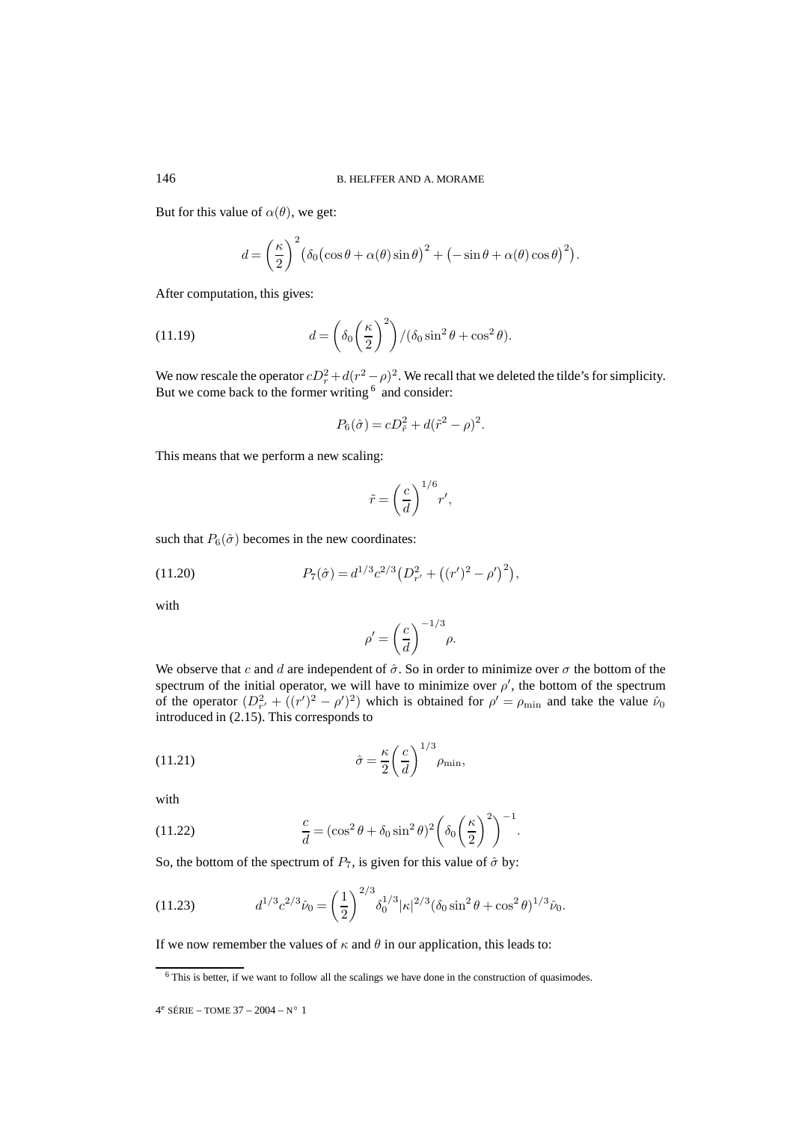But for this value of  $\alpha(\theta)$ , we get:

$$
d = \left(\frac{\kappa}{2}\right)^2 \left(\delta_0 \left(\cos \theta + \alpha(\theta)\sin \theta\right)^2 + \left(-\sin \theta + \alpha(\theta)\cos \theta\right)^2\right).
$$

After computation, this gives:

(11.19) 
$$
d = \left(\delta_0 \left(\frac{\kappa}{2}\right)^2\right) / (\delta_0 \sin^2 \theta + \cos^2 \theta).
$$

We now rescale the operator  $cD_r^2 + d(r^2 - \rho)^2$ . We recall that we deleted the tilde's for simplicity. But we come back to the former writing  $6 \text{ and }$  consider:

$$
P_6(\hat{\sigma}) = cD_{\tilde{r}}^2 + d(\tilde{r}^2 - \rho)^2.
$$

This means that we perform a new scaling:

$$
\tilde{r} = \left(\frac{c}{d}\right)^{1/6} r',
$$

such that  $P_6(\hat{\sigma})$  becomes in the new coordinates:

(11.20) 
$$
P_7(\hat{\sigma}) = d^{1/3} c^{2/3} \left( D_{r'}^2 + \left( (r')^2 - \rho' \right)^2 \right),
$$

with

$$
\rho' = \left(\frac{c}{d}\right)^{-1/3} \rho.
$$

We observe that c and d are independent of  $\hat{\sigma}$ . So in order to minimize over  $\sigma$  the bottom of the spectrum of the initial operator, we will have to minimize over  $\rho'$ , the bottom of the spectrum of the operator  $(D_{r'}^2 + ((r')^2 - \rho')^2)$  which is obtained for  $\rho' = \rho_{\min}$  and take the value  $\hat{\nu}_0$ introduced in (2.15). This corresponds to

(11.21) 
$$
\hat{\sigma} = \frac{\kappa}{2} \left( \frac{c}{d} \right)^{1/3} \rho_{\min},
$$

with

(11.22) 
$$
\frac{c}{d} = (\cos^2 \theta + \delta_0 \sin^2 \theta)^2 \left(\delta_0 \left(\frac{\kappa}{2}\right)^2\right)^{-1}.
$$

So, the bottom of the spectrum of  $P_7$ , is given for this value of  $\hat{\sigma}$  by:

(11.23) 
$$
d^{1/3}c^{2/3}\hat{\nu}_0 = \left(\frac{1}{2}\right)^{2/3}\delta_0^{1/3}|\kappa|^{2/3}(\delta_0\sin^2\theta + \cos^2\theta)^{1/3}\hat{\nu}_0.
$$

If we now remember the values of  $\kappa$  and  $\theta$  in our application, this leads to:

<sup>6</sup> This is better, if we want to follow all the scalings we have done in the construction of quasimodes.

 $4^e$  SÉRIE – TOME 37 – 2004 – N° 1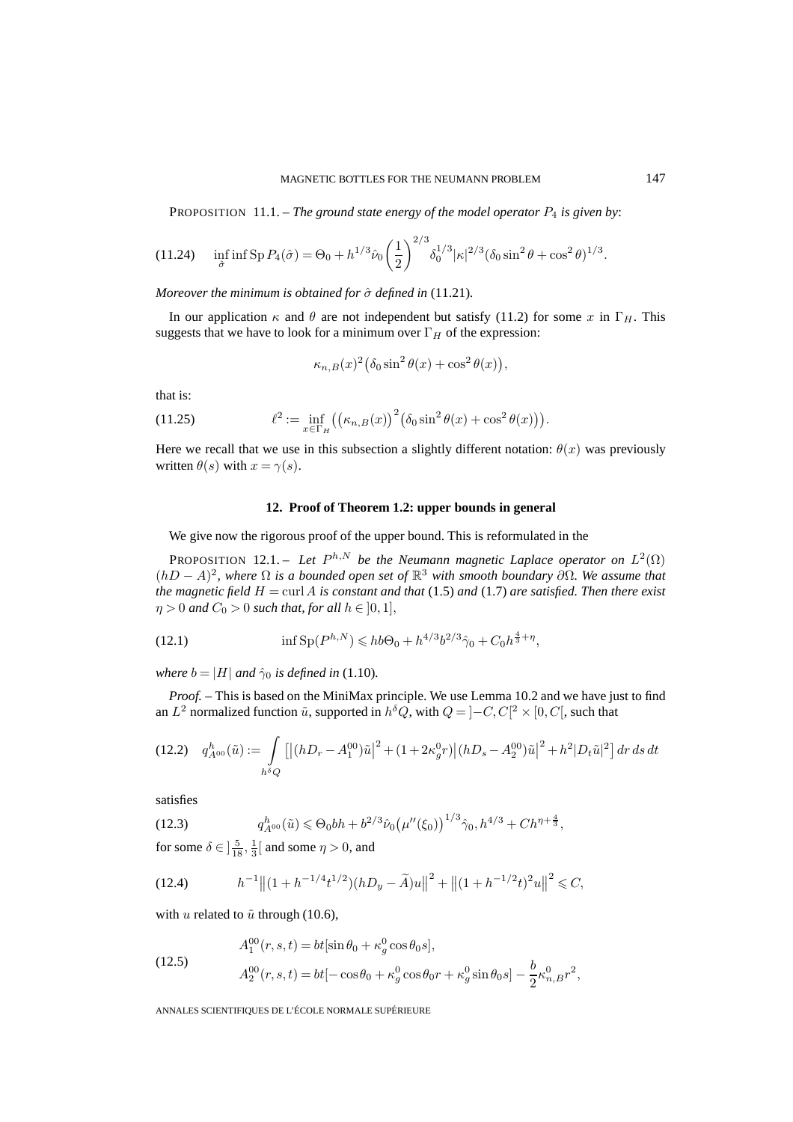PROPOSITION 11.1. – *The ground state energy of the model operator* P<sup>4</sup> *is given by*:

(11.24) 
$$
\inf_{\hat{\sigma}} \inf \text{Sp } P_4(\hat{\sigma}) = \Theta_0 + h^{1/3} \hat{\nu}_0 \left(\frac{1}{2}\right)^{2/3} \delta_0^{1/3} |\kappa|^{2/3} (\delta_0 \sin^2 \theta + \cos^2 \theta)^{1/3}.
$$

*Moreover the minimum is obtained for*  $\hat{\sigma}$  *defined in* (11.21).

In our application  $\kappa$  and  $\theta$  are not independent but satisfy (11.2) for some x in  $\Gamma_H$ . This suggests that we have to look for a minimum over  $\Gamma_H$  of the expression:

$$
\kappa_{n,B}(x)^2(\delta_0 \sin^2 \theta(x) + \cos^2 \theta(x)),
$$

that is:

(11.25) 
$$
\ell^2 := \inf_{x \in \Gamma_H} ((\kappa_{n,B}(x))^2 (\delta_0 \sin^2 \theta(x) + \cos^2 \theta(x))).
$$

Here we recall that we use in this subsection a slightly different notation:  $\theta(x)$  was previously written  $\theta(s)$  with  $x = \gamma(s)$ .

#### **12. Proof of Theorem 1.2: upper bounds in general**

We give now the rigorous proof of the upper bound. This is reformulated in the

PROPOSITION 12.1. – *Let*  $P^{h,N}$  *be the Neumann magnetic Laplace operator on*  $L^2(\Omega)$  $(hD - A)<sup>2</sup>$ *, where* Ω *is a bounded open set of*  $\mathbb{R}^3$  *with smooth boundary* ∂Ω*. We assume that the magnetic field*  $H = \text{curl } A$  *is constant and that* (1.5) *and* (1.7) *are satisfied. Then there exist*  $\eta > 0$  and  $C_0 > 0$  such that, for all  $h \in [0,1]$ ,

(12.1) 
$$
\inf \mathrm{Sp}(P^{h,N}) \leqslant h b \Theta_0 + h^{4/3} b^{2/3} \hat{\gamma}_0 + C_0 h^{\frac{4}{3} + \eta},
$$

*where*  $b = |H|$  *and*  $\hat{\gamma}_0$  *is defined in* (1.10)*.* 

*Proof. –* This is based on the MiniMax principle. We use Lemma 10.2 and we have just to find an  $L^2$  normalized function  $\tilde{u}$ , supported in  $h^{\delta}Q$ , with  $Q = ]-C, C[^2 \times [0, C[$ , such that

$$
(12.2) \quad q_{A^{00}}^h(\tilde{u}) := \int\limits_{h^{\delta}Q} \left[ \left| (hD_r - A_1^{00})\tilde{u} \right|^2 + (1 + 2\kappa_g^0 r) \left| (hD_s - A_2^{00})\tilde{u} \right|^2 + h^2 |D_t\tilde{u}|^2 \right] dr \, ds \, dt
$$

satisfies

(12.3) 
$$
q_{A^{00}}^h(\tilde{u}) \leq \Theta_0 bh + b^{2/3} \hat{\nu}_0 \left(\mu''(\xi_0)\right)^{1/3} \hat{\gamma}_0, h^{4/3} + Ch^{\eta + \frac{4}{3}},
$$

for some  $\delta \in \left] \frac{5}{18}, \frac{1}{3} \right[$  and some  $\eta > 0$ , and

$$
(12.4) \t\t\t h^{-1} \big( \|(1 + h^{-1/4} t^{1/2}) (hD_y - \widetilde{A})u \big\|^2 + \big( \|(1 + h^{-1/2} t)^2 u \big\|^2 \leq C,
$$

with u related to  $\tilde{u}$  through (10.6),

(12.5)  
\n
$$
A_1^{00}(r,s,t) = bt[\sin \theta_0 + \kappa_g^0 \cos \theta_0 s],
$$
\n
$$
A_2^{00}(r,s,t) = bt[-\cos \theta_0 + \kappa_g^0 \cos \theta_0 r + \kappa_g^0 \sin \theta_0 s] - \frac{b}{2} \kappa_{n,B}^0 r^2,
$$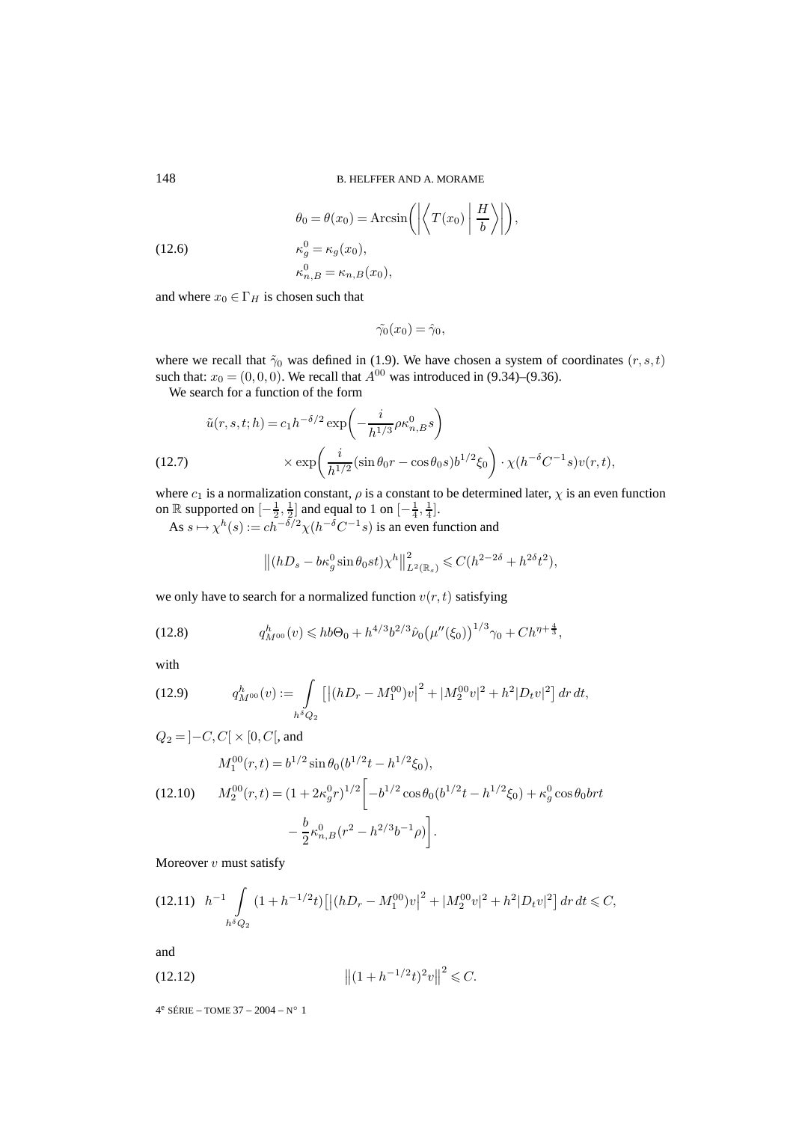(12.6) 
$$
\theta_0 = \theta(x_0) = \operatorname{Arcsin}\left(\left|\left\langle T(x_0) \middle| \frac{H}{b} \right\rangle\right|\right),
$$

$$
\kappa_g^0 = \kappa_g(x_0),
$$

$$
\kappa_{n,B}^0 = \kappa_{n,B}(x_0),
$$

and where  $x_0 \in \Gamma_H$  is chosen such that

$$
\tilde{\gamma_0}(x_0) = \hat{\gamma}_0,
$$

where we recall that  $\tilde{\gamma}_0$  was defined in (1.9). We have chosen a system of coordinates  $(r, s, t)$ such that:  $x_0 = (0, 0, 0)$ . We recall that  $A^{00}$  was introduced in (9.34)–(9.36).

We search for a function of the form

$$
\tilde{u}(r,s,t;h) = c_1 h^{-\delta/2} \exp\left(-\frac{i}{h^{1/3}} \rho \kappa_{n,B}^0 s\right)
$$
  
(12.7) 
$$
\times \exp\left(\frac{i}{h^{1/2}} (\sin \theta_0 r - \cos \theta_0 s) b^{1/2} \xi_0\right) \cdot \chi(h^{-\delta} C^{-1} s) v(r,t),
$$

where  $c_1$  is a normalization constant,  $\rho$  is a constant to be determined later,  $\chi$  is an even function on  $\mathbb R$  supported on  $\left[-\frac{1}{2},\frac{1}{2}\right]$  and equal to 1 on  $\left[-\frac{1}{4},\frac{1}{4}\right]$ .

As  $s \mapsto \chi^h(s) := ch^{-\delta/2} \chi(h^{-\delta} C^{-1} s)$  is an even function and

$$
\left\| (hD_s - b\kappa_g^0 \sin \theta_0 st) \chi^h \right\|_{L^2(\mathbb{R}_s)}^2 \leq C(h^{2-2\delta} + h^{2\delta} t^2),
$$

we only have to search for a normalized function  $v(r, t)$  satisfying

(12.8) 
$$
q_{M^{00}}^h(v) \leq h b \Theta_0 + h^{4/3} b^{2/3} \hat{\nu}_0 \left(\mu''(\xi_0)\right)^{1/3} \gamma_0 + C h^{\eta + \frac{4}{3}},
$$

with

(12.9) 
$$
q_{M^{00}}^h(v) := \int\limits_{h^{\delta}Q_2} \left[ \left| (hD_r - M_1^{00})v \right|^2 + |M_2^{00}v|^2 + h^2 |D_t v|^2 \right] dr dt,
$$

$$
Q_2 = \left] -C, C\right[ \times \left[ 0, C \right[ \text{, and}
$$

$$
M_1^{00}(r, t) = b^{1/2} \sin \theta_0 (b^{1/2} t - h^{1/2} \xi_0),
$$

$$
(12.10) \qquad M_2^{00}(r, t) = (1 + 2\kappa_g^0 r)^{1/2} \left[ -b^{1/2} \cos \theta_0 (b^{1/2} t - h^{1/2} \xi_0) + \kappa_g^0 \cos \theta_0 b r t - \frac{b}{2} \kappa_{n, B}^0 (r^2 - h^{2/3} b^{-1} \rho) \right].
$$

Moreover  $v$  must satisfy

$$
(12.11)\ \ h^{-1}\int\limits_{h^\delta Q_2} (1+h^{-1/2}t)\left[ \left| (hD_r-M_1^{00})v \right|^2 + |M_2^{00}v|^2 + h^2|D_t v|^2 \right] dr dt \leq C,
$$

and

$$
||(1+h^{-1/2}t)^2v||^2 \leq C.
$$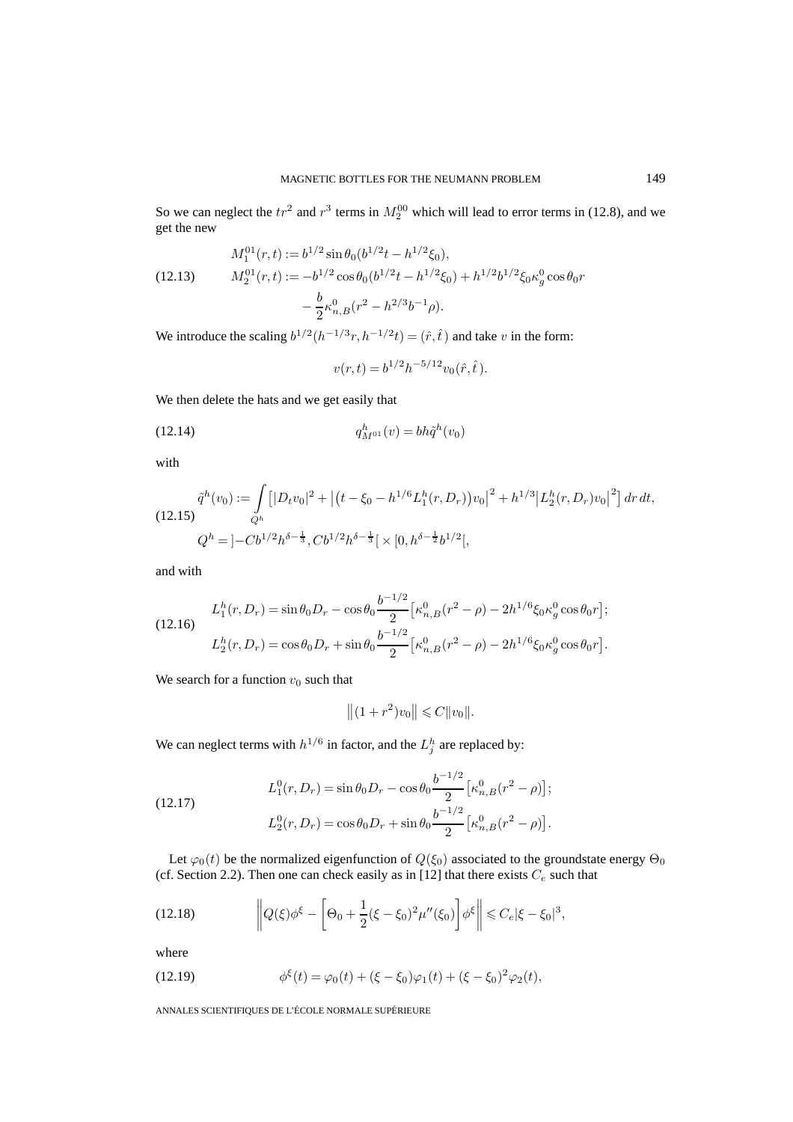So we can neglect the  $tr^2$  and  $r^3$  terms in  $M_2^{00}$  which will lead to error terms in (12.8), and we get the new

(12.13) 
$$
M_1^{01}(r,t) := b^{1/2} \sin \theta_0 (b^{1/2}t - h^{1/2}\xi_0),
$$

$$
M_2^{01}(r,t) := -b^{1/2} \cos \theta_0 (b^{1/2}t - h^{1/2}\xi_0) + h^{1/2}b^{1/2}\xi_0 \kappa_g^0 \cos \theta_0 r - \frac{b}{2} \kappa_{n,B}^0 (r^2 - h^{2/3}b^{-1}\rho).
$$

We introduce the scaling  $b^{1/2}(h^{-1/3}r, h^{-1/2}t) = (\hat{r}, \hat{t})$  and take v in the form:

 $v(r,t) = b^{1/2}h^{-5/12}v_0(\hat{r},\hat{t}).$ 

We then delete the hats and we get easily that

(12.14) 
$$
q_{M^{01}}^h(v) = bh\tilde{q}^h(v_0)
$$

with

$$
\tilde{q}^h(v_0) := \int_{Q^h} \left[ |D_t v_0|^2 + \left| (t - \xi_0 - h^{1/6} L_1^h(r, D_r)) v_0 \right|^2 + h^{1/3} \left| L_2^h(r, D_r) v_0 \right|^2 \right] dr \, dt,
$$
\n
$$
Q^h = \left| -Cb^{1/2} h^{\delta - \frac{1}{3}}, Cb^{1/2} h^{\delta - \frac{1}{3}} \right| \times [0, h^{\delta - \frac{1}{2}} b^{1/2}],
$$

and with

(12.16)  
\n
$$
L_1^h(r, D_r) = \sin \theta_0 D_r - \cos \theta_0 \frac{b^{-1/2}}{2} \left[ \kappa_{n,B}^0(r^2 - \rho) - 2h^{1/6} \xi_0 \kappa_g^0 \cos \theta_0 r \right];
$$
\n
$$
L_2^h(r, D_r) = \cos \theta_0 D_r + \sin \theta_0 \frac{b^{-1/2}}{2} \left[ \kappa_{n,B}^0(r^2 - \rho) - 2h^{1/6} \xi_0 \kappa_g^0 \cos \theta_0 r \right].
$$

We search for a function  $v_0$  such that

$$
||(1+r^2)v_0|| \leq C||v_0||.
$$

We can neglect terms with  $h^{1/6}$  in factor, and the  $L_j^h$  are replaced by:

(12.17) 
$$
L_1^0(r, D_r) = \sin \theta_0 D_r - \cos \theta_0 \frac{b^{-1/2}}{2} \left[ \kappa_{n,B}^0(r^2 - \rho) \right];
$$

$$
L_2^0(r, D_r) = \cos \theta_0 D_r + \sin \theta_0 \frac{b^{-1/2}}{2} \left[ \kappa_{n,B}^0(r^2 - \rho) \right].
$$

Let  $\varphi_0(t)$  be the normalized eigenfunction of  $Q(\xi_0)$  associated to the groundstate energy  $\Theta_0$ (cf. Section 2.2). Then one can check easily as in [12] that there exists  $C_e$  such that

(12.18) 
$$
\left\|Q(\xi)\phi^{\xi} - \left[\Theta_0 + \frac{1}{2}(\xi - \xi_0)^2 \mu''(\xi_0)\right] \phi^{\xi}\right\| \leq C_e |\xi - \xi_0|^3,
$$

where

(12.19) 
$$
\phi^{\xi}(t) = \varphi_0(t) + (\xi - \xi_0)\varphi_1(t) + (\xi - \xi_0)^2\varphi_2(t),
$$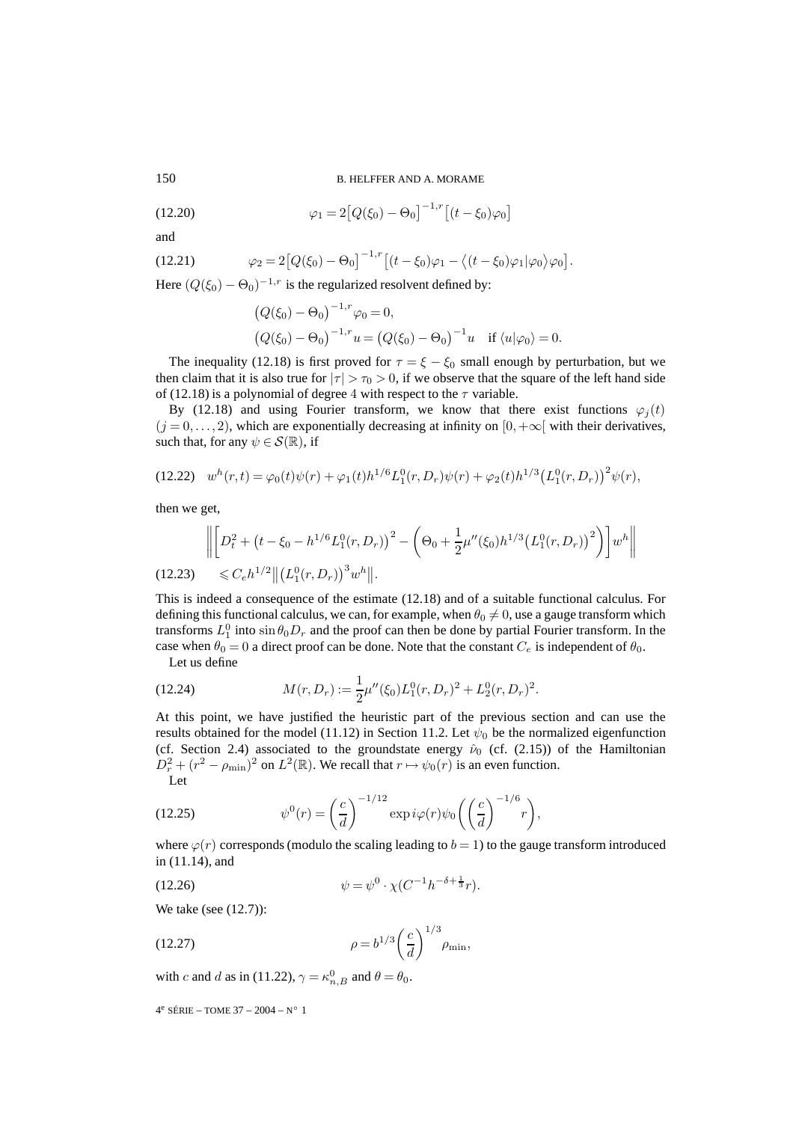150 B. HELFFER AND A. MORAME

(12.20) 
$$
\varphi_1 = 2 [Q(\xi_0) - \Theta_0]^{-1,r} [(t - \xi_0) \varphi_0]
$$

and

(12.21) 
$$
\varphi_2 = 2 [Q(\xi_0) - \Theta_0]^{-1,r} [(t - \xi_0) \varphi_1 - \langle (t - \xi_0) \varphi_1 | \varphi_0 \rangle \varphi_0].
$$

Here  $(Q(\xi_0) - \Theta_0)^{-1,r}$  is the regularized resolvent defined by:

$$
(Q(\xi_0) - \Theta_0)^{-1,r} \varphi_0 = 0,
$$
  
\n $(Q(\xi_0) - \Theta_0)^{-1,r} u = (Q(\xi_0) - \Theta_0)^{-1} u$  if  $\langle u | \varphi_0 \rangle = 0.$ 

The inequality (12.18) is first proved for  $\tau = \xi - \xi_0$  small enough by perturbation, but we then claim that it is also true for  $|\tau| > \tau_0 > 0$ , if we observe that the square of the left hand side of (12.18) is a polynomial of degree 4 with respect to the  $\tau$  variable.

By (12.18) and using Fourier transform, we know that there exist functions  $\varphi_j(t)$  $(j = 0, \ldots, 2)$ , which are exponentially decreasing at infinity on  $[0, +\infty]$  with their derivatives, such that, for any  $\psi \in \mathcal{S}(\mathbb{R})$ , if

$$
(12.22) \t wh(r,t) = \varphi_0(t)\psi(r) + \varphi_1(t)h^{1/6}L_1^0(r, D_r)\psi(r) + \varphi_2(t)h^{1/3}(L_1^0(r, D_r))^2\psi(r),
$$

then we get,

$$
\left\| \left[ D_t^2 + \left( t - \xi_0 - h^{1/6} L_1^0(r, D_r) \right)^2 - \left( \Theta_0 + \frac{1}{2} \mu''(\xi_0) h^{1/3} \left( L_1^0(r, D_r) \right)^2 \right) \right] w^h \right\|
$$
\n(12.23) 
$$
\leq C_e h^{1/2} \| \left( L_1^0(r, D_r) \right)^3 w^h \|.
$$

This is indeed a consequence of the estimate (12.18) and of a suitable functional calculus. For defining this functional calculus, we can, for example, when  $\theta_0 \neq 0$ , use a gauge transform which transforms  $L_1^0$  into  $\sin \theta_0 D_r$  and the proof can then be done by partial Fourier transform. In the case when  $\theta_0 = 0$  a direct proof can be done. Note that the constant  $C_e$  is independent of  $\theta_0$ .

Let us define

(12.24) 
$$
M(r, D_r) := \frac{1}{2}\mu''(\xi_0)L_1^0(r, D_r)^2 + L_2^0(r, D_r)^2.
$$

At this point, we have justified the heuristic part of the previous section and can use the results obtained for the model (11.12) in Section 11.2. Let  $\psi_0$  be the normalized eigenfunction (cf. Section 2.4) associated to the groundstate energy  $\hat{v}_0$  (cf. (2.15)) of the Hamiltonian  $D_r^2 + (r^2 - \rho_{\min})^2$  on  $L^2(\mathbb{R})$ . We recall that  $r \mapsto \psi_0(r)$  is an even function. Let

(12.25) 
$$
\psi^{0}(r) = \left(\frac{c}{d}\right)^{-1/12} \exp i\varphi(r)\psi_{0}\left(\left(\frac{c}{d}\right)^{-1/6}r\right),
$$

where  $\varphi(r)$  corresponds (modulo the scaling leading to  $b = 1$ ) to the gauge transform introduced in (11.14), and

(12.26) 
$$
\psi = \psi^0 \cdot \chi(C^{-1}h^{-\delta + \frac{1}{3}}r).
$$

We take (see (12.7)):

(12.27) 
$$
\rho = b^{1/3} \left(\frac{c}{d}\right)^{1/3} \rho_{\min},
$$

with c and d as in (11.22),  $\gamma = \kappa_{n,B}^0$  and  $\theta = \theta_0$ .

```
4^e SÉRIE – TOME 37 – 2004 – N° 1
```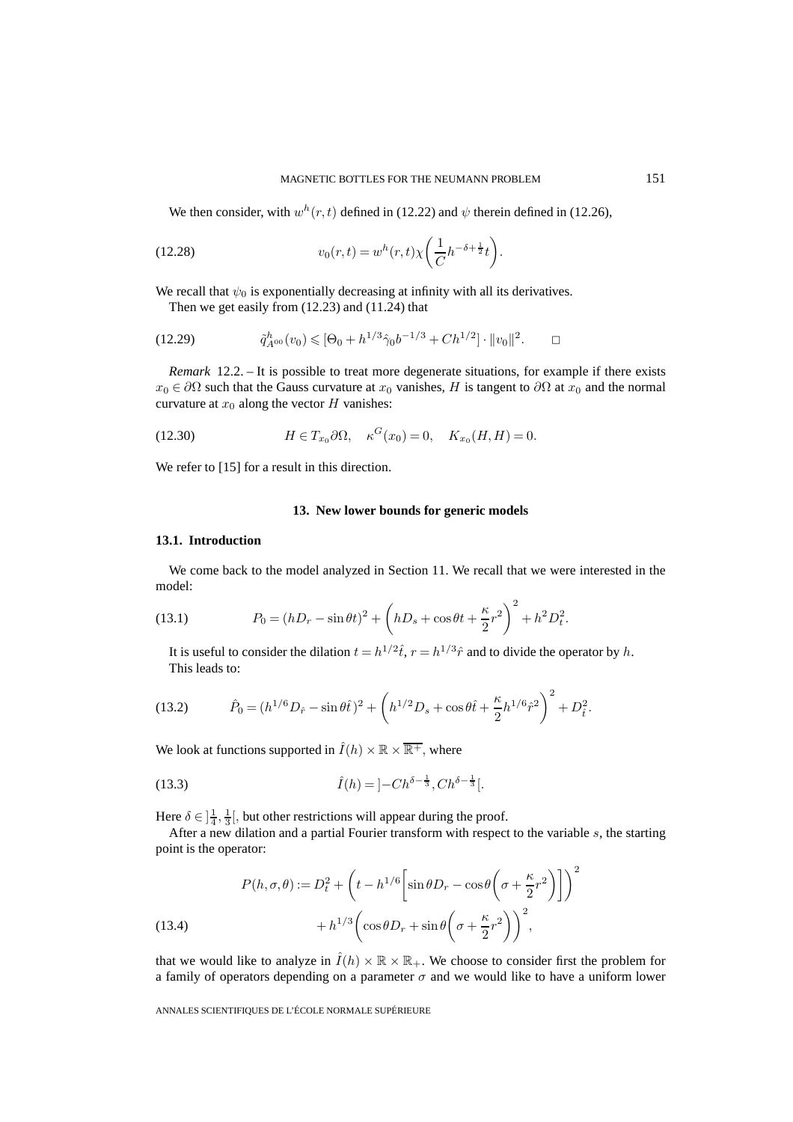We then consider, with  $w^h(r, t)$  defined in (12.22) and  $\psi$  therein defined in (12.26),

(12.28) 
$$
v_0(r,t) = w^h(r,t)\chi\left(\frac{1}{C}h^{-\delta+\frac{1}{2}}t\right).
$$

We recall that  $\psi_0$  is exponentially decreasing at infinity with all its derivatives.

Then we get easily from (12.23) and (11.24) that

$$
(12.29) \t\t \tilde{q}_{A^{00}}^h(v_0) \leqslant [\Theta_0 + h^{1/3} \hat{\gamma}_0 b^{-1/3} + Ch^{1/2}] \cdot ||v_0||^2. \square
$$

*Remark* 12.2. – It is possible to treat more degenerate situations, for example if there exists  $x_0 \in \partial\Omega$  such that the Gauss curvature at  $x_0$  vanishes, H is tangent to  $\partial\Omega$  at  $x_0$  and the normal curvature at  $x_0$  along the vector H vanishes:

(12.30) 
$$
H \in T_{x_0} \partial \Omega, \quad \kappa^G(x_0) = 0, \quad K_{x_0}(H, H) = 0.
$$

We refer to [15] for a result in this direction.

#### **13. New lower bounds for generic models**

#### **13.1. Introduction**

We come back to the model analyzed in Section 11. We recall that we were interested in the model:

(13.1) 
$$
P_0 = (hD_r - \sin \theta t)^2 + \left(hD_s + \cos \theta t + \frac{\kappa}{2}r^2\right)^2 + h^2 D_t^2.
$$

It is useful to consider the dilation  $t = h^{1/2}\hat{t}$ ,  $r = h^{1/3}\hat{r}$  and to divide the operator by h. This leads to:

(13.2) 
$$
\hat{P}_0 = (h^{1/6}D_{\hat{r}} - \sin\theta \hat{t})^2 + \left(h^{1/2}D_s + \cos\theta \hat{t} + \frac{\kappa}{2}h^{1/6}\hat{r}^2\right)^2 + D_{\hat{t}}^2.
$$

We look at functions supported in  $\hat{I}(h) \times \mathbb{R} \times \overline{\mathbb{R}^+}$ , where

(13.3) 
$$
\hat{I}(h) = \left] - Ch^{\delta - \frac{1}{3}}, Ch^{\delta - \frac{1}{3}} \right].
$$

Here  $\delta \in \left[\frac{1}{4}, \frac{1}{3}\right]$ , but other restrictions will appear during the proof.

After a new dilation and a partial Fourier transform with respect to the variable s, the starting point is the operator:

(13.4)  
\n
$$
P(h, \sigma, \theta) := D_t^2 + \left( t - h^{1/6} \left[ \sin \theta D_r - \cos \theta \left( \sigma + \frac{\kappa}{2} r^2 \right) \right] \right)^2 + h^{1/3} \left( \cos \theta D_r + \sin \theta \left( \sigma + \frac{\kappa}{2} r^2 \right) \right)^2,
$$

that we would like to analyze in  $\overline{I}(h) \times \mathbb{R} \times \mathbb{R}_+$ . We choose to consider first the problem for a family of operators depending on a parameter  $\sigma$  and we would like to have a uniform lower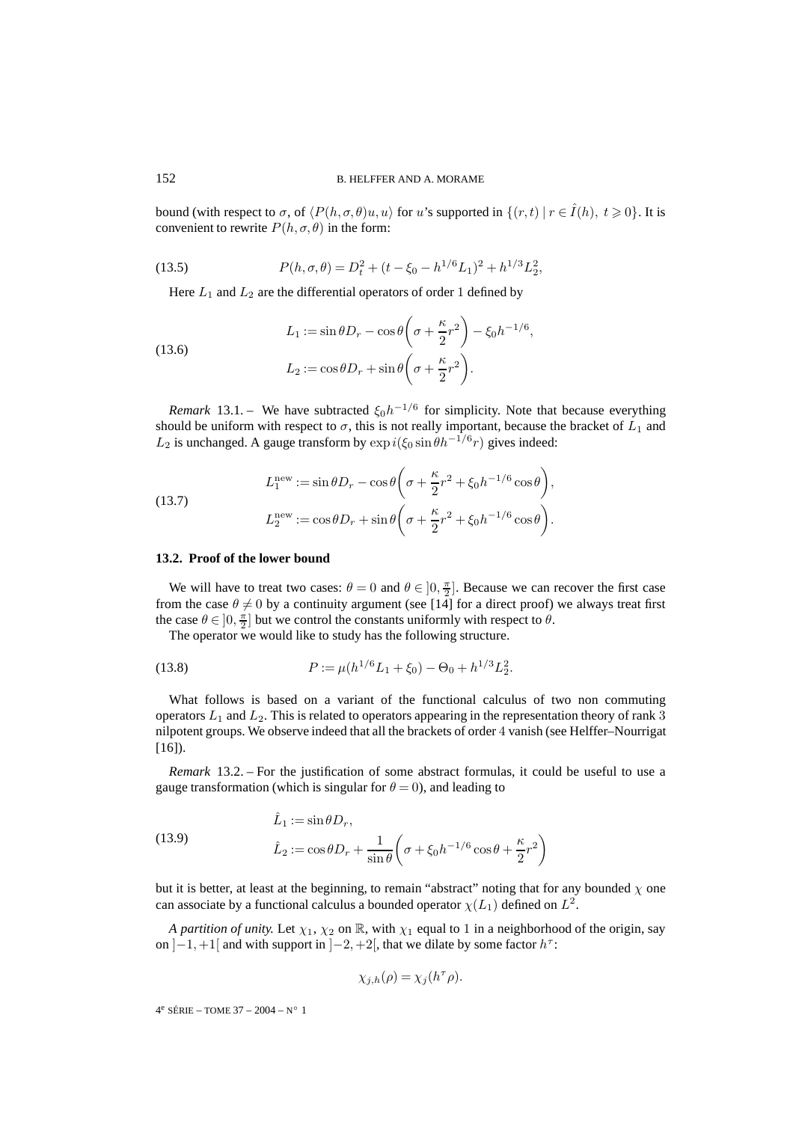bound (with respect to  $\sigma$ , of  $\langle P(h, \sigma, \theta)u, u \rangle$  for u's supported in  $\{(r, t) | r \in \hat{I}(h), t \geq 0\}$ . It is convenient to rewrite  $P(h, \sigma, \theta)$  in the form:

(13.5) 
$$
P(h, \sigma, \theta) = D_t^2 + (t - \xi_0 - h^{1/6} L_1)^2 + h^{1/3} L_2^2,
$$

Here  $L_1$  and  $L_2$  are the differential operators of order 1 defined by

(13.6)  

$$
L_1 := \sin \theta D_r - \cos \theta \left(\sigma + \frac{\kappa}{2}r^2\right) - \xi_0 h^{-1/6},
$$

$$
L_2 := \cos \theta D_r + \sin \theta \left(\sigma + \frac{\kappa}{2}r^2\right).
$$

*Remark* 13.1. – We have subtracted  $\xi_0 h^{-1/6}$  for simplicity. Note that because everything should be uniform with respect to  $\sigma$ , this is not really important, because the bracket of  $L_1$  and  $L_2$  is unchanged. A gauge transform by  $\exp i(\xi_0 \sin \theta h^{-1/6}r)$  gives indeed:

(13.7)  
\n
$$
L_1^{\text{new}} := \sin \theta D_r - \cos \theta \left( \sigma + \frac{\kappa}{2} r^2 + \xi_0 h^{-1/6} \cos \theta \right),
$$
\n
$$
L_2^{\text{new}} := \cos \theta D_r + \sin \theta \left( \sigma + \frac{\kappa}{2} r^2 + \xi_0 h^{-1/6} \cos \theta \right).
$$

#### **13.2. Proof of the lower bound**

We will have to treat two cases:  $\theta = 0$  and  $\theta \in ]0, \frac{\pi}{2}]$ . Because we can recover the first case from the case  $\theta \neq 0$  by a continuity argument (see [14] for a direct proof) we always treat first the case  $\theta \in ]0, \frac{\pi}{2}]$  but we control the constants uniformly with respect to  $\theta$ .

The operator we would like to study has the following structure.

(13.8) 
$$
P := \mu(h^{1/6}L_1 + \xi_0) - \Theta_0 + h^{1/3}L_2^2.
$$

What follows is based on a variant of the functional calculus of two non commuting operators  $L_1$  and  $L_2$ . This is related to operators appearing in the representation theory of rank 3 nilpotent groups. We observe indeed that all the brackets of order 4 vanish (see Helffer–Nourrigat  $[16]$ ).

*Remark* 13.2. – For the justification of some abstract formulas, it could be useful to use a gauge transformation (which is singular for  $\theta = 0$ ), and leading to

(13.9) 
$$
\hat{L}_1 := \sin \theta D_r, \n\hat{L}_2 := \cos \theta D_r + \frac{1}{\sin \theta} \left( \sigma + \xi_0 h^{-1/6} \cos \theta + \frac{\kappa}{2} r^2 \right)
$$

but it is better, at least at the beginning, to remain "abstract" noting that for any bounded  $\chi$  one can associate by a functional calculus a bounded operator  $\chi(L_1)$  defined on  $L^2$ .

*A partition of unity.* Let  $\chi_1$ ,  $\chi_2$  on R, with  $\chi_1$  equal to 1 in a neighborhood of the origin, say on  $]-1,+1[$  and with support in  $[-2,+2[$ , that we dilate by some factor  $h^{\tau}$ :

$$
\chi_{j,h}(\rho) = \chi_j(h^\tau \rho).
$$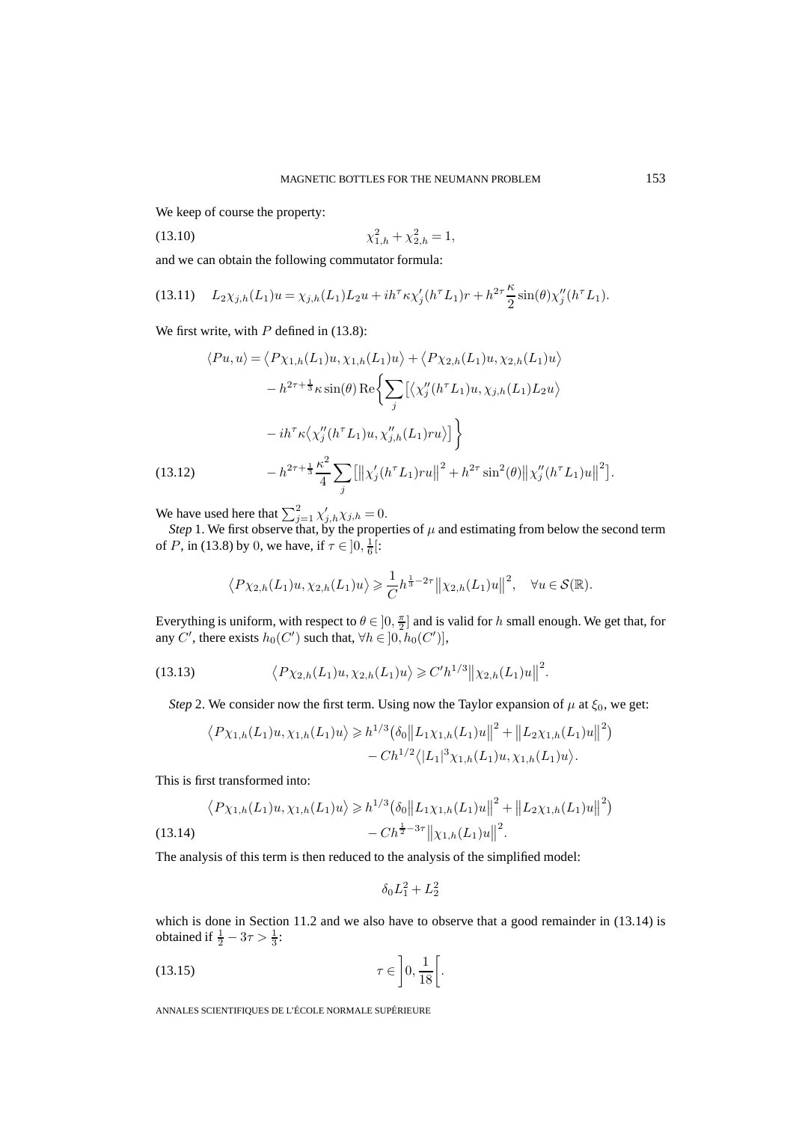We keep of course the property:

$$
\chi_{1,h}^2 + \chi_{2,h}^2 = 1,
$$

and we can obtain the following commutator formula:

(13.11) 
$$
L_2 \chi_{j,h}(L_1)u = \chi_{j,h}(L_1)L_2 u + i h^{\tau} \kappa \chi'_j (h^{\tau} L_1) r + h^{2\tau} \frac{\kappa}{2} \sin(\theta) \chi''_j (h^{\tau} L_1).
$$

We first write, with  $P$  defined in (13.8):

$$
\langle Pu, u \rangle = \langle P \chi_{1,h}(L_1)u, \chi_{1,h}(L_1)u \rangle + \langle P \chi_{2,h}(L_1)u, \chi_{2,h}(L_1)u \rangle
$$
  

$$
- h^{2\tau + \frac{1}{3}} \kappa \sin(\theta) \operatorname{Re} \left\{ \sum_j \left[ \langle \chi_j''(h^\tau L_1)u, \chi_{j,h}(L_1) L_2 u \rangle \right.\right.
$$
  

$$
- ih^\tau \kappa \langle \chi_j''(h^\tau L_1)u, \chi_{j,h}''(L_1)ru \rangle \right] \}
$$
  
(13.12)  

$$
- h^{2\tau + \frac{1}{3}} \frac{\kappa^2}{4} \sum_j \left[ \left\| \chi_j'(h^\tau L_1)ru \right\|^2 + h^{2\tau} \sin^2(\theta) \left\| \chi_j''(h^\tau L_1)u \right\|^2 \right].
$$

We have used here that  $\sum_{j=1}^{2} \chi'_{j,h} \chi_{j,h} = 0$ .

*Step* 1. We first observe that, by the properties of  $\mu$  and estimating from below the second term of *P*, in (13.8) by 0, we have, if  $\tau \in ]0, \frac{1}{6}[:$ 

$$
\langle P\chi_{2,h}(L_1)u,\chi_{2,h}(L_1)u\rangle \geq \frac{1}{C}h^{\frac{1}{3}-2\tau}\|\chi_{2,h}(L_1)u\|^2, \quad \forall u \in \mathcal{S}(\mathbb{R}).
$$

Everything is uniform, with respect to  $\theta \in ]0, \frac{\pi}{2}]$  and is valid for h small enough. We get that, for any C', there exists  $h_0(C')$  such that,  $\forall h \in ]0, h_0(C')]$ ,

(13.13) 
$$
\langle P \chi_{2,h}(L_1)u, \chi_{2,h}(L_1)u \rangle \geq C'h^{1/3} \| \chi_{2,h}(L_1)u \|^2.
$$

*Step* 2. We consider now the first term. Using now the Taylor expansion of  $\mu$  at  $\xi_0$ , we get:

$$
\langle P\chi_{1,h}(L_1)u, \chi_{1,h}(L_1)u \rangle \geq h^{1/3}(\delta_0 \|L_1\chi_{1,h}(L_1)u\|^2 + \|L_2\chi_{1,h}(L_1)u\|^2) - Ch^{1/2} \langle |L_1|^3 \chi_{1,h}(L_1)u, \chi_{1,h}(L_1)u \rangle.
$$

This is first transformed into:

$$
\langle P\chi_{1,h}(L_1)u, \chi_{1,h}(L_1)u \rangle \geq h^{1/3}(\delta_0 \|L_1 \chi_{1,h}(L_1)u\|^2 + \|L_2 \chi_{1,h}(L_1)u\|^2)
$$
  
(13.14) 
$$
- Ch^{\frac{1}{2}-3\tau} \| \chi_{1,h}(L_1)u\|^2.
$$

The analysis of this term is then reduced to the analysis of the simplified model:

$$
\delta_0 L_1^2 + L_2^2
$$

which is done in Section 11.2 and we also have to observe that a good remainder in (13.14) is obtained if  $\frac{1}{2} - 3\tau > \frac{1}{3}$ :

$$
\tau \in \left]0, \frac{1}{18}\right[.
$$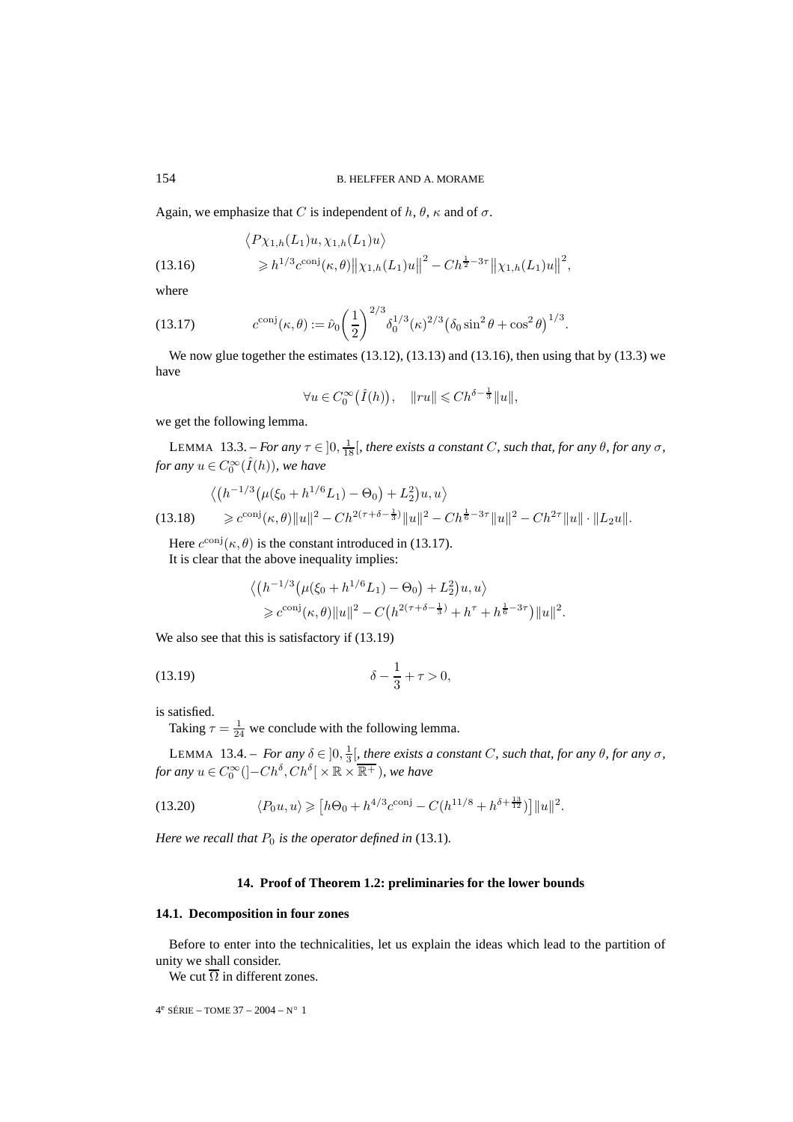Again, we emphasize that C is independent of h,  $\theta$ ,  $\kappa$  and of  $\sigma$ .

(13.16) 
$$
\langle P \chi_{1,h}(L_1)u, \chi_{1,h}(L_1)u \rangle \n\geq h^{1/3} c^{\text{conj}}(\kappa, \theta) ||\chi_{1,h}(L_1)u||^2 - Ch^{\frac{1}{2}-3\tau} ||\chi_{1,h}(L_1)u||^2,
$$

where

(13.17) 
$$
c^{\text{conj}}(\kappa,\theta) := \hat{\nu}_0 \left(\frac{1}{2}\right)^{2/3} \delta_0^{1/3}(\kappa)^{2/3} \left(\delta_0 \sin^2 \theta + \cos^2 \theta\right)^{1/3}.
$$

We now glue together the estimates  $(13.12)$ ,  $(13.13)$  and  $(13.16)$ , then using that by  $(13.3)$  we have

$$
\forall u \in C_0^{\infty}(\hat{I}(h)), \quad ||ru|| \leq C h^{\delta - \frac{1}{3}} ||u||,
$$

we get the following lemma.

LEMMA 13.3. – *For any*  $\tau \in ]0, \frac{1}{18}[\$ , there exists a constant C, such that, for any  $\theta$ , for any  $\sigma$ , *for any*  $u \in C_0^{\infty}(\hat{I}(h))$ *, we have* 

$$
\langle (h^{-1/3}(\mu(\xi_0 + h^{1/6}L_1) - \Theta_0) + L_2^2)u, u \rangle
$$
  
(13.18) 
$$
\geq c^{\text{conj}}(\kappa, \theta) \|u\|^2 - Ch^{2(\tau + \delta - \frac{1}{3})} \|u\|^2 - Ch^{\frac{1}{6} - 3\tau} \|u\|^2 - Ch^{2\tau} \|u\| \cdot \|L_2 u\|.
$$

Here  $c^{\text{conj}}(\kappa, \theta)$  is the constant introduced in (13.17). It is clear that the above inequality implies:

$$
\langle (h^{-1/3}(\mu(\xi_0 + h^{1/6}L_1) - \Theta_0) + L_2^2)u, u \rangle
$$
  
\n
$$
\geq c^{\text{conj}}(\kappa, \theta) \|u\|^2 - C\left(h^{2(\tau + \delta - \frac{1}{3})} + h^{\tau} + h^{\frac{1}{6} - 3\tau}\right) \|u\|^2.
$$

We also see that this is satisfactory if (13.19)

(13.19) 
$$
\delta - \frac{1}{3} + \tau > 0,
$$

is satisfied.

Taking  $\tau = \frac{1}{24}$  we conclude with the following lemma.

LEMMA 13.4. – *For any*  $\delta \in ]0, \frac{1}{3} [$ , there exists a constant C, such that, for any  $\theta$ , for any  $\sigma$ , *for any*  $u \in C_0^{\infty}([-Ch^{\delta}, Ch^{\delta}] \times \mathbb{R} \times \overline{\mathbb{R}^+})$ *, we have* 

(13.20) 
$$
\langle P_0 u, u \rangle \geq [h\Theta_0 + h^{4/3} c^{\text{conj}} - C(h^{11/8} + h^{\delta + \frac{13}{12}})] ||u||^2.
$$

*Here we recall that*  $P_0$  *is the operator defined in* (13.1)*.* 

#### **14. Proof of Theorem 1.2: preliminaries for the lower bounds**

#### **14.1. Decomposition in four zones**

Before to enter into the technicalities, let us explain the ideas which lead to the partition of unity we shall consider.

We cut  $\overline{\Omega}$  in different zones.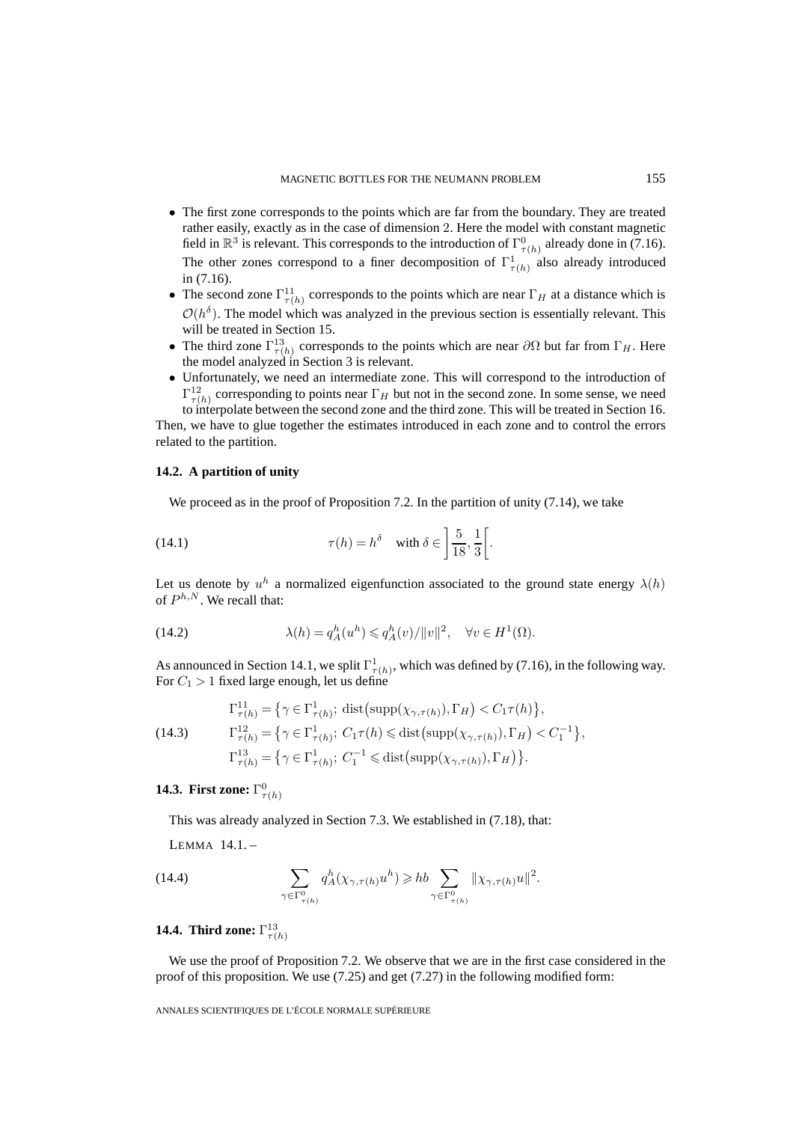- The first zone corresponds to the points which are far from the boundary. They are treated rather easily, exactly as in the case of dimension 2. Here the model with constant magnetic field in  $\mathbb{R}^3$  is relevant. This corresponds to the introduction of  $\Gamma^0_{\tau(h)}$  already done in (7.16). The other zones correspond to a finer decomposition of  $\Gamma^1_{\tau(h)}$  also already introduced in (7.16).
- The second zone  $\Gamma_{\tau(h)}^{11}$  corresponds to the points which are near  $\Gamma_H$  at a distance which is  $\mathcal{O}(h^{\delta})$ . The model which was analyzed in the previous section is essentially relevant. This will be treated in Section 15.
- The third zone  $\Gamma_{\tau(h)}^{13}$  corresponds to the points which are near  $\partial\Omega$  but far from  $\Gamma_H$ . Here the model analyzed in Section 3 is relevant.
- Unfortunately, we need an intermediate zone. This will correspond to the introduction of  $\Gamma^{12}_{\tau(h)}$  corresponding to points near  $\Gamma_H$  but not in the second zone. In some sense, we need to interpolate between the second zone and the third zone. This will be treated in Section 16.

Then, we have to glue together the estimates introduced in each zone and to control the errors related to the partition.

### **14.2. A partition of unity**

We proceed as in the proof of Proposition 7.2. In the partition of unity (7.14), we take

(14.1) 
$$
\tau(h) = h^{\delta} \quad \text{with } \delta \in \left] \frac{5}{18}, \frac{1}{3} \right[.
$$

Let us denote by  $u^h$  a normalized eigenfunction associated to the ground state energy  $\lambda(h)$ of  $P^{h,N}$ . We recall that:

(14.2) 
$$
\lambda(h) = q_A^h(u^h) \leqslant q_A^h(v) / \|v\|^2, \quad \forall v \in H^1(\Omega).
$$

As announced in Section 14.1, we split  $\Gamma^1_{\tau(h)}$ , which was defined by (7.16), in the following way. For  $C_1 > 1$  fixed large enough, let us define

(14.3) 
$$
\Gamma_{\tau(h)}^{11} = \left\{ \gamma \in \Gamma_{\tau(h)}^{1}; \text{ dist}\left(\text{supp}(\chi_{\gamma,\tau(h)}), \Gamma_H\right) < C_1 \tau(h) \right\},
$$

$$
\Gamma_{\tau(h)}^{12} = \left\{ \gamma \in \Gamma_{\tau(h)}^{1}; \ C_1 \tau(h) \leq \text{dist}\left(\text{supp}(\chi_{\gamma,\tau(h)}), \Gamma_H\right) < C_1^{-1} \right\},
$$

$$
\Gamma_{\tau(h)}^{13} = \left\{ \gamma \in \Gamma_{\tau(h)}^{1}; \ C_1^{-1} \leq \text{dist}\left(\text{supp}(\chi_{\gamma,\tau(h)}), \Gamma_H\right) \right\}.
$$

## **14.3. First zone:**  $\Gamma^0_{\tau(h)}$

This was already analyzed in Section 7.3. We established in (7.18), that:

LEMMA 14.1. –

(14.4) 
$$
\sum_{\gamma \in \Gamma^0_{\tau(h)}} q^h_A(\chi_{\gamma, \tau(h)} u^h) \geqslant h b \sum_{\gamma \in \Gamma^0_{\tau(h)}} ||\chi_{\gamma, \tau(h)} u||^2.
$$

## **14.4. Third zone:**  $\Gamma^{13}_{\tau(h)}$

We use the proof of Proposition 7.2. We observe that we are in the first case considered in the proof of this proposition. We use (7.25) and get (7.27) in the following modified form: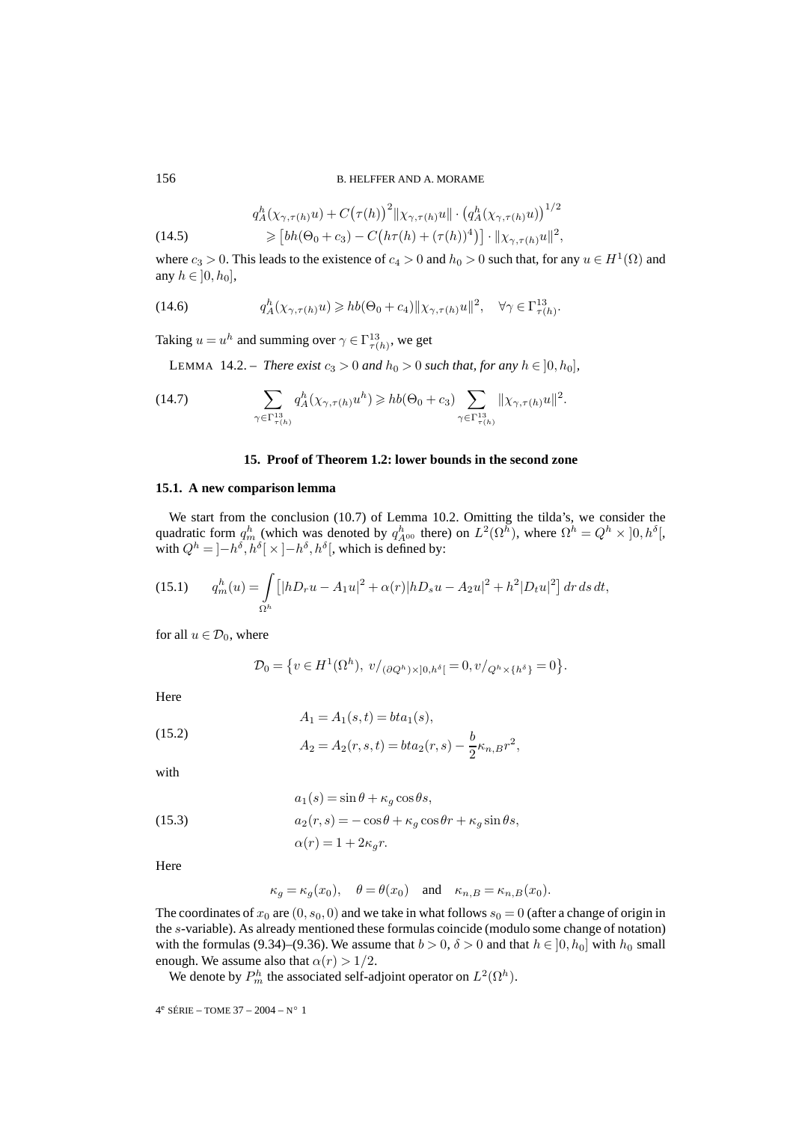#### 156 B. HELFFER AND A. MORAME

 $1/2$ 

.

(14.5) 
$$
q_A^h(\chi_{\gamma,\tau(h)}u) + C(\tau(h))^{2} || \chi_{\gamma,\tau(h)}u || \cdot (q_A^h(\chi_{\gamma,\tau(h)}u))^{1/2}
$$

$$
\geq [bh(\Theta_0 + c_3) - C(h\tau(h) + (\tau(h))^{4})] \cdot || \chi_{\gamma,\tau(h)}u ||^{2},
$$

where  $c_3 > 0$ . This leads to the existence of  $c_4 > 0$  and  $h_0 > 0$  such that, for any  $u \in H^1(\Omega)$  and any  $h \in [0, h_0]$ ,

(14.6) 
$$
q_A^h(\chi_{\gamma,\tau(h)}u) \geq h b(\Theta_0 + c_4) \|\chi_{\gamma,\tau(h)}u\|^2, \quad \forall \gamma \in \Gamma_{\tau(h)}^{13}.
$$

Taking  $u = u^h$  and summing over  $\gamma \in \Gamma^{13}_{\tau(h)}$ , we get

LEMMA 14.2. – *There exist*  $c_3 > 0$  *and*  $h_0 > 0$  *such that, for any*  $h \in [0, h_0]$ *,* 

(14.7) 
$$
\sum_{\gamma \in \Gamma^{13}_{\tau(h)}} q^h_A(\chi_{\gamma, \tau(h)} u^h) \geqslant h b(\Theta_0 + c_3) \sum_{\gamma \in \Gamma^{13}_{\tau(h)}} \|\chi_{\gamma, \tau(h)} u\|^2.
$$

#### **15. Proof of Theorem 1.2: lower bounds in the second zone**

#### **15.1. A new comparison lemma**

We start from the conclusion (10.7) of Lemma 10.2. Omitting the tilda's, we consider the quadratic form  $q_m^h$  (which was denoted by  $q_{A^{00}}^h$  there) on  $L^2(\Omega^h)$ , where  $\Omega^h = Q^h \times ]0, h^{\delta}[,$ with  $Q^h = [-h^{\delta}, h^{\delta}] \times [-h^{\delta}, h^{\delta}]$ , which is defined by:

(15.1) 
$$
q_m^h(u) = \int_{\Omega^h} \left[ |hD_r u - A_1 u|^2 + \alpha(r) |hD_s u - A_2 u|^2 + h^2 |D_t u|^2 \right] dr ds dt,
$$

for all  $u \in \mathcal{D}_0$ , where

$$
\mathcal{D}_0=\left\{v\in H^1(\Omega^h),\;v/_{(\partial Q^h)\times ]0,h^\delta[}=0,v/_{Q^h\times \{h^\delta\}}=0\right\}
$$

Here

(15.2) 
$$
A_1 = A_1(s,t) = bta_1(s),
$$

$$
A_2 = A_2(r,s,t) = bta_2(r,s) - \frac{b}{2}\kappa_{n,B}r^2,
$$

with

(15.3)  
\n
$$
a_1(s) = \sin \theta + \kappa_g \cos \theta s,
$$
\n
$$
a_2(r, s) = -\cos \theta + \kappa_g \cos \theta r + \kappa_g \sin \theta s,
$$
\n
$$
\alpha(r) = 1 + 2\kappa_g r.
$$

Here

$$
\kappa_g = \kappa_g(x_0), \quad \theta = \theta(x_0)
$$
 and  $\kappa_{n,B} = \kappa_{n,B}(x_0).$ 

The coordinates of  $x_0$  are  $(0, s_0, 0)$  and we take in what follows  $s_0 = 0$  (after a change of origin in the s-variable). As already mentioned these formulas coincide (modulo some change of notation) with the formulas (9.34)–(9.36). We assume that  $b > 0$ ,  $\delta > 0$  and that  $h \in [0, h_0]$  with  $h_0$  small enough. We assume also that  $\alpha(r) > 1/2$ .

We denote by  $P_m^h$  the associated self-adjoint operator on  $L^2(\Omega^h)$ .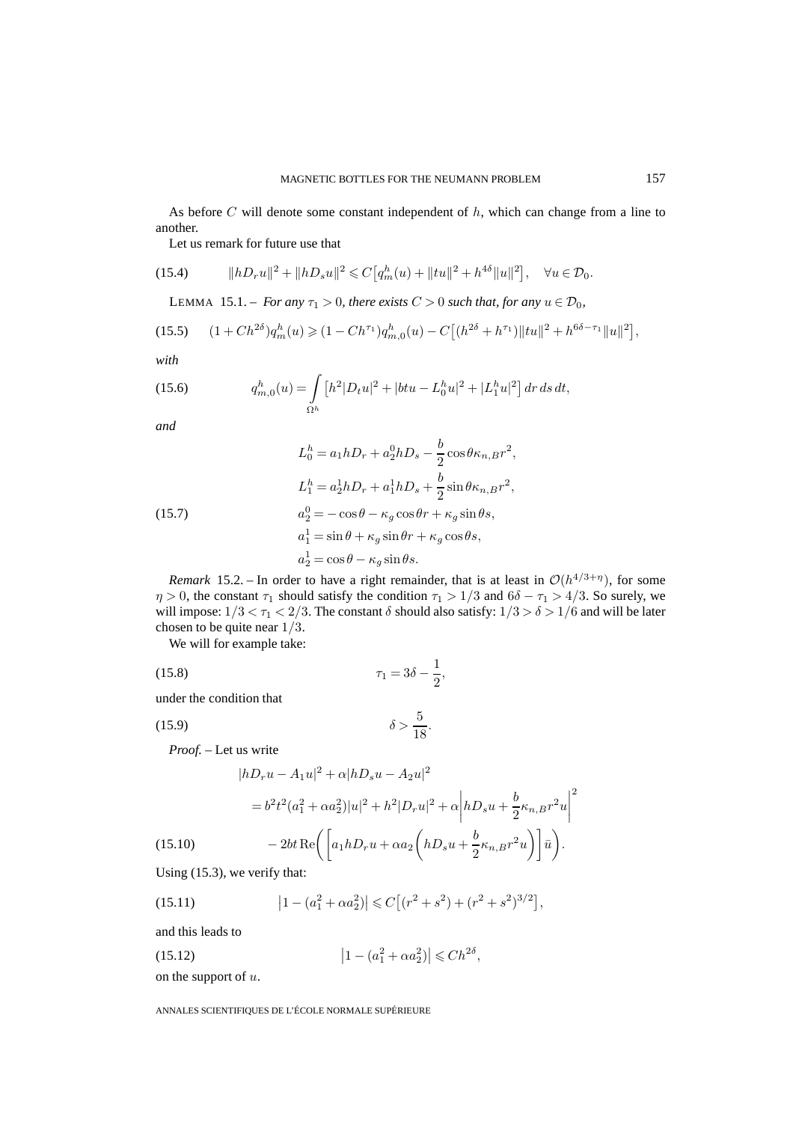As before C will denote some constant independent of  $h$ , which can change from a line to another.

Let us remark for future use that

(15.4) 
$$
||hD_r u||^2 + ||hD_s u||^2 \leq C \left[ q_m^h(u) + ||tu||^2 + h^{4\delta} ||u||^2 \right], \quad \forall u \in \mathcal{D}_0.
$$

LEMMA 15.1. – *For any*  $\tau_1 > 0$ *, there exists*  $C > 0$  *such that, for any*  $u \in \mathcal{D}_0$ *,* 

$$
(15.5) \t(1 + Ch^{2\delta})q_m^h(u) \geq (1 - Ch^{\tau_1})q_{m,0}^h(u) - C\big[(h^{2\delta} + h^{\tau_1})\|tu\|^2 + h^{6\delta - \tau_1}\|u\|^2\big],
$$

*with*

(15.6) 
$$
q_{m,0}^h(u) = \int_{\Omega^h} \left[ h^2 |D_t u|^2 + |b t u - L_0^h u|^2 + |L_1^h u|^2 \right] dr ds dt,
$$

*and*

(15.7)  
\n
$$
L_0^h = a_1 h D_r + a_2^0 h D_s - \frac{b}{2} \cos \theta \kappa_{n,B} r^2,
$$
\n
$$
L_1^h = a_2^1 h D_r + a_1^1 h D_s + \frac{b}{2} \sin \theta \kappa_{n,B} r^2,
$$
\n
$$
a_2^0 = -\cos \theta - \kappa_g \cos \theta r + \kappa_g \sin \theta s,
$$
\n
$$
a_1^1 = \sin \theta + \kappa_g \sin \theta r + \kappa_g \cos \theta s,
$$
\n
$$
a_2^1 = \cos \theta - \kappa_g \sin \theta s.
$$

*Remark* 15.2. – In order to have a right remainder, that is at least in  $O(h^{4/3+\eta})$ , for some  $\eta > 0$ , the constant  $\tau_1$  should satisfy the condition  $\tau_1 > 1/3$  and  $6\delta - \tau_1 > 4/3$ . So surely, we will impose:  $1/3 < \tau_1 < 2/3$ . The constant  $\delta$  should also satisfy:  $1/3 > \delta > 1/6$  and will be later chosen to be quite near 1/3.

We will for example take:

(15.8) 
$$
\tau_1 = 3\delta - \frac{1}{2},
$$

under the condition that

(15.9)  $\delta > \frac{5}{18}$ .

*Proof. –* Let us write

$$
|hD_r u - A_1 u|^2 + \alpha |hD_s u - A_2 u|^2
$$
  
=  $b^2 t^2 (a_1^2 + \alpha a_2^2) |u|^2 + h^2 |D_r u|^2 + \alpha \left| hD_s u + \frac{b}{2} \kappa_{n,B} r^2 u \right|^2$   
(15.10)  $- 2bt \operatorname{Re} \left( \left[ a_1 hD_r u + \alpha a_2 \left( hD_s u + \frac{b}{2} \kappa_{n,B} r^2 u \right) \right] \bar{u} \right).$ 

Using (15.3), we verify that:

(15.11) 
$$
\left|1-(a_1^2+\alpha a_2^2)\right| \leq C\left[(r^2+s^2)+(r^2+s^2)^{3/2}\right],
$$

and this leads to

(15.12)  $\left|1 - (a_1^2 + \alpha a_2^2)\right| \leq C h^{2\delta},$ 

on the support of  $u$ .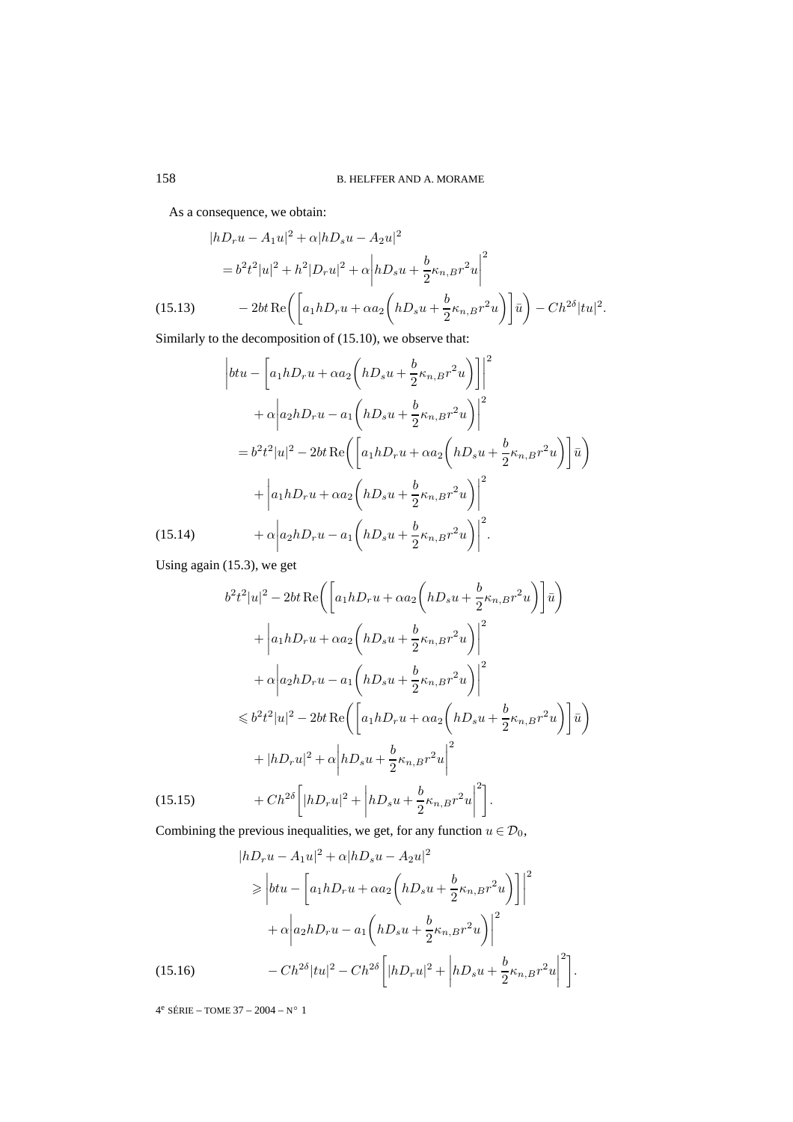As a consequence, we obtain:

$$
|hD_r u - A_1 u|^2 + \alpha |hD_s u - A_2 u|^2
$$
  
=  $b^2 t^2 |u|^2 + h^2 |D_r u|^2 + \alpha \left| hD_s u + \frac{b}{2} \kappa_{n,B} r^2 u \right|^2$   
(15.13) 
$$
- 2bt \operatorname{Re} \left( \left[ a_1 h D_r u + \alpha a_2 \left( h D_s u + \frac{b}{2} \kappa_{n,B} r^2 u \right) \right] \bar{u} \right) - Ch^{2\delta} |tu|^2.
$$

Similarly to the decomposition of (15.10), we observe that:

$$
\begin{split}\n\left| btu - \left[ a_1hD_r u + \alpha a_2 \left( hD_s u + \frac{b}{2} \kappa_{n,B} r^2 u \right) \right] \right|^2 \\
&+ \alpha \left| a_2hD_r u - a_1 \left( hD_s u + \frac{b}{2} \kappa_{n,B} r^2 u \right) \right|^2 \\
&= b^2 t^2 |u|^2 - 2bt \operatorname{Re} \left( \left[ a_1hD_r u + \alpha a_2 \left( hD_s u + \frac{b}{2} \kappa_{n,B} r^2 u \right) \right] \bar{u} \right) \\
&+ \left| a_1hD_r u + \alpha a_2 \left( hD_s u + \frac{b}{2} \kappa_{n,B} r^2 u \right) \right|^2 \\
&+ \alpha \left| a_2hD_r u - a_1 \left( hD_s u + \frac{b}{2} \kappa_{n,B} r^2 u \right) \right|^2.\n\end{split}
$$
\n(15.14)

Using again (15.3), we get

$$
b^{2}t^{2}|u|^{2} - 2bt \operatorname{Re}\left(\left[a_{1}hD_{r}u + \alpha a_{2}\left(hD_{s}u + \frac{b}{2}\kappa_{n,B}r^{2}u\right)\right]\bar{u}\right)
$$

$$
+ \left|a_{1}hD_{r}u + \alpha a_{2}\left(hD_{s}u + \frac{b}{2}\kappa_{n,B}r^{2}u\right)\right|^{2}
$$

$$
+ \alpha\left|a_{2}hD_{r}u - a_{1}\left(hD_{s}u + \frac{b}{2}\kappa_{n,B}r^{2}u\right)\right|^{2}
$$

$$
\leq b^{2}t^{2}|u|^{2} - 2bt \operatorname{Re}\left(\left[a_{1}hD_{r}u + \alpha a_{2}\left(hD_{s}u + \frac{b}{2}\kappa_{n,B}r^{2}u\right)\right]\bar{u}\right)
$$

$$
+ |hD_{r}u|^{2} + \alpha\left|hD_{s}u + \frac{b}{2}\kappa_{n,B}r^{2}u\right|^{2}
$$

$$
(15.15) \qquad + Ch^{2\delta}\left[|hD_{r}u|^{2} + \left|hD_{s}u + \frac{b}{2}\kappa_{n,B}r^{2}u\right|^{2}\right].
$$

Combining the previous inequalities, we get, for any function  $u \in \mathcal{D}_0$ ,

$$
|hD_r u - A_1 u|^2 + \alpha |hD_s u - A_2 u|^2
$$
  
\n
$$
\geq |b t u - [a_1 h D_r u + \alpha a_2 (h D_s u + \frac{b}{2} \kappa_{n,B} r^2 u)]|^2
$$
  
\n
$$
+ \alpha |a_2 h D_r u - a_1 (h D_s u + \frac{b}{2} \kappa_{n,B} r^2 u)|^2
$$
  
\n(15.16) 
$$
- C h^{2\delta} |t u|^2 - C h^{2\delta} [ |h D_r u|^2 + |h D_s u + \frac{b}{2} \kappa_{n,B} r^2 u |^2].
$$

 $4^e$  SÉRIE – TOME  $37 - 2004 - N^{\circ}$  1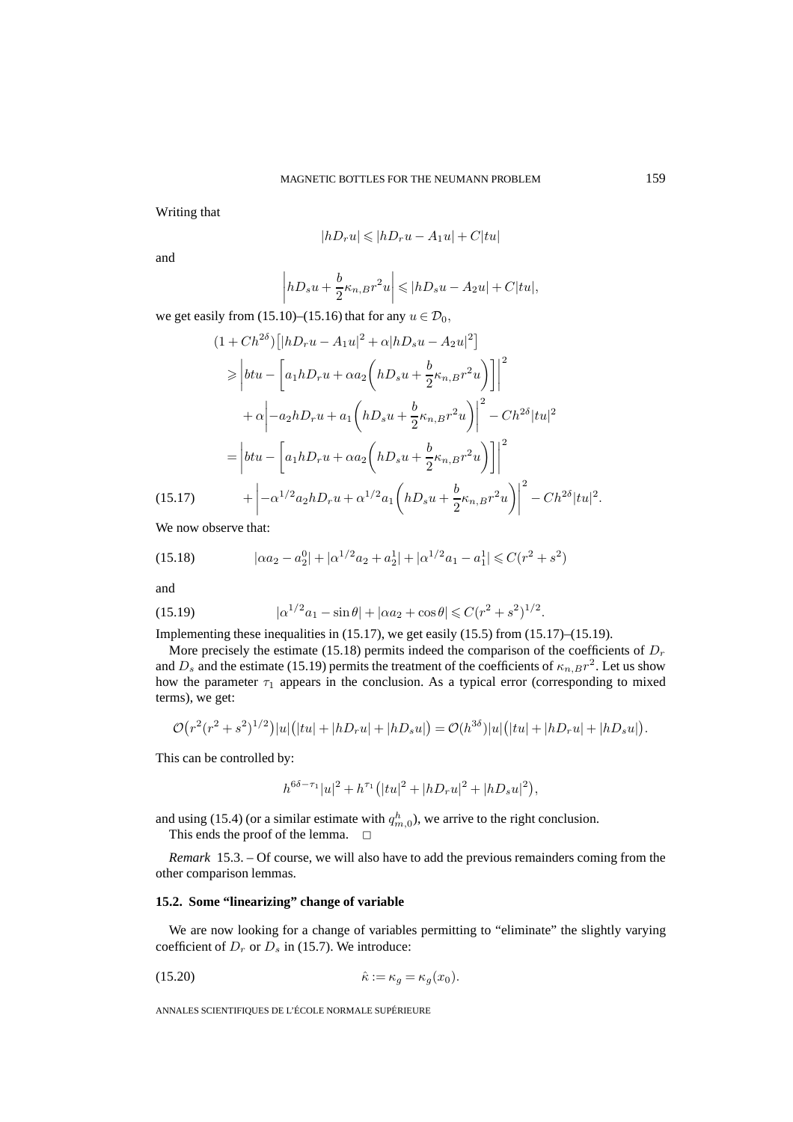Writing that

$$
|hD_r u| \leqslant |hD_r u - A_1 u| + C|tu|
$$

and

$$
\left| hD_s u + \frac{b}{2} \kappa_{n,B} r^2 u \right| \leqslant |hD_s u - A_2 u| + C|tu|,
$$

we get easily from (15.10)–(15.16) that for any  $u \in \mathcal{D}_0$ ,

 $\mathbf{r}$ 

$$
(1 + Ch^{2\delta}) \left[ |hD_r u - A_1 u|^2 + \alpha |hD_s u - A_2 u|^2 \right]
$$
  
\n
$$
\geq \left| btu - \left[ a_1 hD_r u + \alpha a_2 \left( hD_s u + \frac{b}{2} \kappa_{n,B} r^2 u \right) \right] \right|^2
$$
  
\n
$$
+ \alpha \left| -a_2 hD_r u + a_1 \left( hD_s u + \frac{b}{2} \kappa_{n,B} r^2 u \right) \right|^2 - Ch^{2\delta} |tu|^2
$$
  
\n
$$
= \left| btu - \left[ a_1 hD_r u + \alpha a_2 \left( hD_s u + \frac{b}{2} \kappa_{n,B} r^2 u \right) \right] \right|^2
$$
  
\n(15.17) 
$$
+ \left| -\alpha^{1/2} a_2 hD_r u + \alpha^{1/2} a_1 \left( hD_s u + \frac{b}{2} \kappa_{n,B} r^2 u \right) \right|^2 - Ch^{2\delta} |tu|^2.
$$

We now observe that:

(15.18) 
$$
|\alpha a_2 - a_2^0| + |\alpha^{1/2} a_2 + a_2^1| + |\alpha^{1/2} a_1 - a_1^1| \leq C(r^2 + s^2)
$$

and

(15.19) 
$$
|\alpha^{1/2}a_1 - \sin \theta| + |\alpha a_2 + \cos \theta| \leq C(r^2 + s^2)^{1/2}.
$$

Implementing these inequalities in (15.17), we get easily (15.5) from (15.17)–(15.19).

More precisely the estimate (15.18) permits indeed the comparison of the coefficients of  $D<sub>r</sub>$ and  $D_s$  and the estimate (15.19) permits the treatment of the coefficients of  $\kappa_{n,B}r^2$ . Let us show how the parameter  $\tau_1$  appears in the conclusion. As a typical error (corresponding to mixed terms), we get:

$$
\mathcal{O}(r^2(r^2+s^2)^{1/2})|u|\big(|tu|+|hD_r u|+|hD_s u|\big)=\mathcal{O}(h^{3\delta})|u|\big(|tu|+|hD_r u|+|hD_s u|\big).
$$

This can be controlled by:

$$
h^{6\delta - \tau_1}|u|^2 + h^{\tau_1}(|tu|^2 + |hD_r u|^2 + |hD_s u|^2),
$$

and using (15.4) (or a similar estimate with  $q_{m,0}^h$ ), we arrive to the right conclusion.

This ends the proof of the lemma.  $\Box$ 

*Remark* 15.3. – Of course, we will also have to add the previous remainders coming from the other comparison lemmas.

## **15.2. Some "linearizing" change of variable**

We are now looking for a change of variables permitting to "eliminate" the slightly varying coefficient of  $D_r$  or  $D_s$  in (15.7). We introduce:

$$
(15.20) \qquad \hat{\kappa} := \kappa_g = \kappa_g(x_0).
$$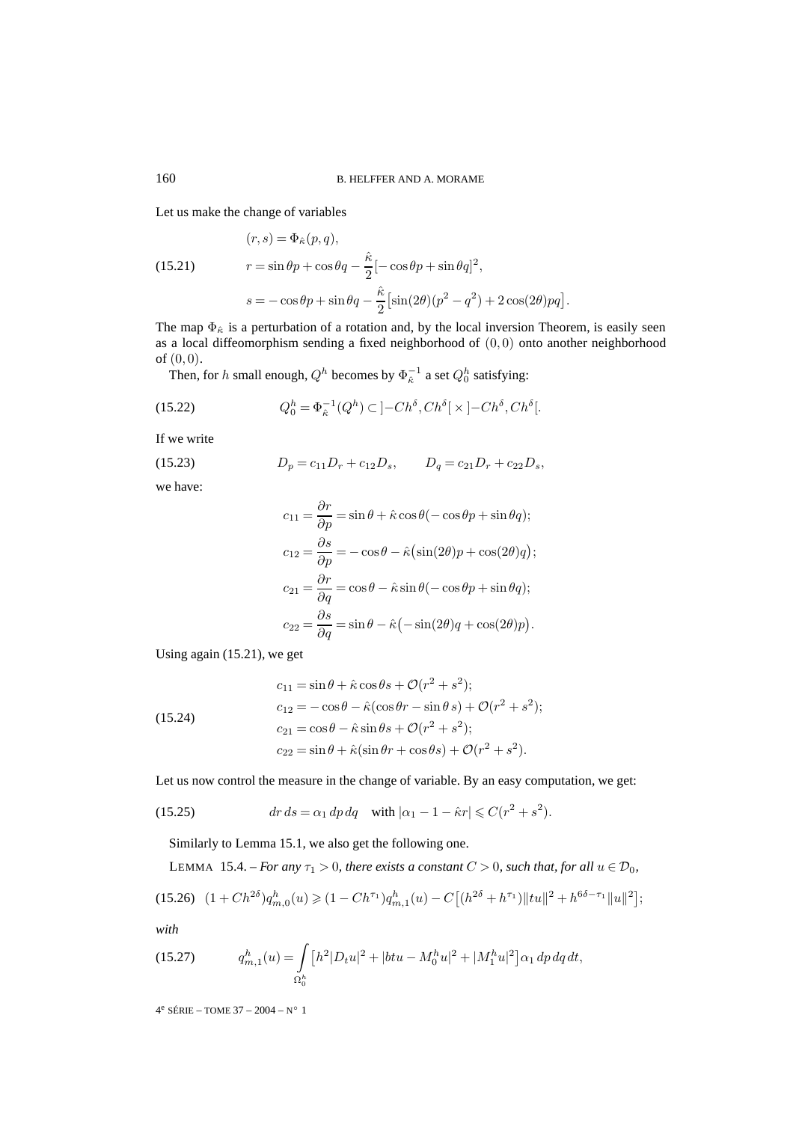Let us make the change of variables

(15.21) 
$$
(r,s) = \Phi_{\hat{\kappa}}(p,q),
$$

$$
r = \sin \theta p + \cos \theta q - \frac{\hat{\kappa}}{2} [-\cos \theta p + \sin \theta q]^2,
$$

$$
s = -\cos \theta p + \sin \theta q - \frac{\hat{\kappa}}{2} [\sin(2\theta)(p^2 - q^2) + 2\cos(2\theta)pq].
$$

The map  $\Phi_{\hat{\kappa}}$  is a perturbation of a rotation and, by the local inversion Theorem, is easily seen as a local diffeomorphism sending a fixed neighborhood of (0, 0) onto another neighborhood of  $(0, 0)$ .

Then, for h small enough,  $Q^h$  becomes by  $\Phi_{\hat{\kappa}}^{-1}$  a set  $Q_0^h$  satisfying:

(15.22) 
$$
Q_0^h = \Phi_{\hat{\kappa}}^{-1}(Q^h) \subset [-Ch^{\delta}, Ch^{\delta}] \times [-Ch^{\delta}, Ch^{\delta}].
$$

If we write

$$
(15.23) \t\t Dp = c11Dr + c12Ds, \t Dq = c21Dr + c22Ds,
$$

we have:

$$
c_{11} = \frac{\partial r}{\partial p} = \sin \theta + \hat{\kappa} \cos \theta (-\cos \theta p + \sin \theta q);
$$
  
\n
$$
c_{12} = \frac{\partial s}{\partial p} = -\cos \theta - \hat{\kappa} (\sin(2\theta)p + \cos(2\theta)q);
$$
  
\n
$$
c_{21} = \frac{\partial r}{\partial q} = \cos \theta - \hat{\kappa} \sin \theta (-\cos \theta p + \sin \theta q);
$$
  
\n
$$
c_{22} = \frac{\partial s}{\partial q} = \sin \theta - \hat{\kappa} (-\sin(2\theta)q + \cos(2\theta)p).
$$

Using again (15.21), we get

(15.24)  
\n
$$
c_{11} = \sin \theta + \hat{\kappa} \cos \theta s + \mathcal{O}(r^2 + s^2);
$$
\n
$$
c_{12} = -\cos \theta - \hat{\kappa} (\cos \theta r - \sin \theta s) + \mathcal{O}(r^2 + s^2);
$$
\n
$$
c_{21} = \cos \theta - \hat{\kappa} \sin \theta s + \mathcal{O}(r^2 + s^2);
$$
\n
$$
c_{22} = \sin \theta + \hat{\kappa} (\sin \theta r + \cos \theta s) + \mathcal{O}(r^2 + s^2).
$$

Let us now control the measure in the change of variable. By an easy computation, we get:

(15.25) 
$$
dr ds = \alpha_1 dp dq \quad \text{with } |\alpha_1 - 1 - \hat{\kappa}r| \leq C(r^2 + s^2).
$$

Similarly to Lemma 15.1, we also get the following one.

LEMMA 15.4. – *For any* 
$$
\tau_1
$$
 > 0*, there exists a constant*  $C$  > 0*, such that, for all*  $u \in \mathcal{D}_0$ *,*

$$
(15.26)\ \ (1 + Ch^{2\delta})q_{m,0}^h(u) \geq (1 - Ch^{\tau_1})q_{m,1}^h(u) - C\big[(h^{2\delta} + h^{\tau_1})\|tu\|^2 + h^{6\delta - \tau_1}\|u\|^2\big];
$$

*with*

(15.27) 
$$
q_{m,1}^h(u) = \int_{\Omega_0^h} \left[ h^2 |D_t u|^2 + |b t u - M_0^h u|^2 + |M_1^h u|^2 \right] \alpha_1 \, dp \, dq \, dt,
$$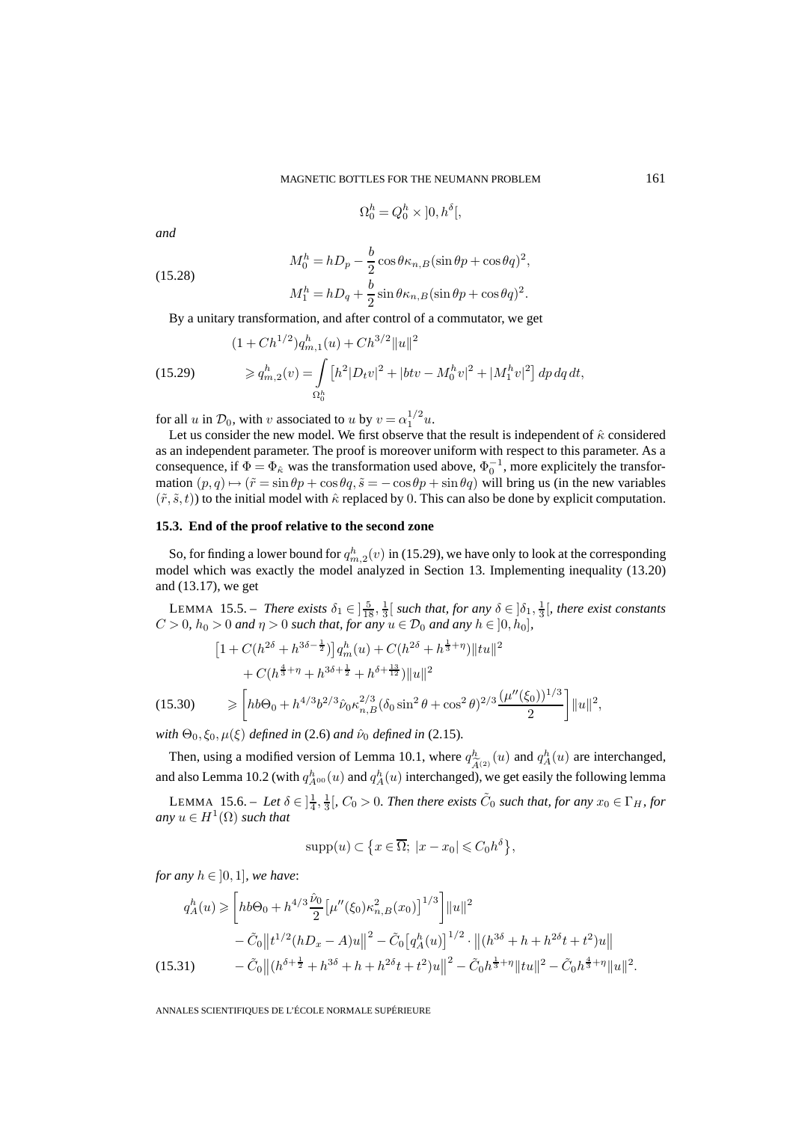$$
\Omega_0^h = Q_0^h \times ]0, h^{\delta}[
$$

*and*

(15.28)  
\n
$$
M_0^h = hD_p - \frac{b}{2}\cos\theta\kappa_{n,B}(\sin\theta p + \cos\theta q)^2,
$$
\n
$$
M_1^h = hD_q + \frac{b}{2}\sin\theta\kappa_{n,B}(\sin\theta p + \cos\theta q)^2.
$$

By a unitary transformation, and after control of a commutator, we get

(15.29) 
$$
(1 + Ch^{1/2})q_{m,1}^{h}(u) + Ch^{3/2}||u||^{2}
$$

$$
\geqslant q_{m,2}^{h}(v) = \int_{\Omega_0^h} [h^2|D_t v|^2 + |btv - M_0^h v|^2 + |M_1^h v|^2] dp dq dt,
$$

for all u in  $\mathcal{D}_0$ , with v associated to u by  $v = \alpha_1^{1/2} u$ .

Let us consider the new model. We first observe that the result is independent of  $\hat{\kappa}$  considered as an independent parameter. The proof is moreover uniform with respect to this parameter. As a consequence, if  $\Phi = \Phi_{\hat{\kappa}}$  was the transformation used above,  $\Phi_0^{-1}$ , more explicitely the transformation  $(p, q) \mapsto (\tilde{r} = \sin \theta p + \cos \theta q, \tilde{s} = -\cos \theta p + \sin \theta q)$  will bring us (in the new variables  $(\tilde{r}, \tilde{s}, t)$  to the initial model with  $\hat{\kappa}$  replaced by 0. This can also be done by explicit computation.

#### **15.3. End of the proof relative to the second zone**

So, for finding a lower bound for  $q_{m,2}^h(v)$  in (15.29), we have only to look at the corresponding model which was exactly the model analyzed in Section 13. Implementing inequality (13.20) and (13.17), we get

LEMMA 15.5. – *There exists*  $\delta_1 \in \left[\frac{5}{18}, \frac{1}{3}\right[$  such that, for any  $\delta \in \left[\delta_1, \frac{1}{3}\right[$ , there exist constants  $C > 0$ ,  $h_0 > 0$  and  $\eta > 0$  such that, for any  $u \in \mathcal{D}_0$  and any  $h \in [0, h_0]$ ,

$$
\begin{aligned}\n\left[1 + C(h^{2\delta} + h^{3\delta - \frac{1}{2}})\right] q_m^h(u) + C(h^{2\delta} + h^{\frac{1}{3} + \eta}) \|tu\|^2 \\
&+ C(h^{\frac{4}{3} + \eta} + h^{3\delta + \frac{1}{2}} + h^{\delta + \frac{13}{12}}) \|u\|^2 \\
\geq \left[ hb\Theta_0 + h^{4/3} b^{2/3} \hat{\nu}_0 \kappa_{n,B}^{2/3} (\delta_0 \sin^2 \theta + \cos^2 \theta)^{2/3} \frac{(\mu''(\xi_0))^{1/3}}{2}\right] \|u\|^2,\n\end{aligned}
$$

*with*  $\Theta_0$ ,  $\xi_0$ ,  $\mu(\xi)$  *defined in* (2.6) *and*  $\hat{\nu}_0$  *defined in* (2.15)*.* 

Then, using a modified version of Lemma 10.1, where  $q_{\widetilde{A}^{(2)}}^h(u)$  and  $q_A^h(u)$  are interchanged,<br>d also Lemma 10.2 (with  $q_h^h(u)$  and  $q_h^h(u)$  interchanged), we get easily the following lemma and also Lemma 10.2 (with  $q_{A^{00}}^h(u)$  and  $q_A^h(u)$  interchanged), we get easily the following lemma

LEMMA 15.6. – Let  $\delta \in \frac{1}{4}$ ,  $\frac{1}{3}$ ,  $C_0 > 0$ . Then there exists  $\tilde{C}_0$  such that, for any  $x_0 \in \Gamma_H$ , for *any*  $u \in H^1(\Omega)$  *such that* 

$$
supp(u) \subset \left\{ x \in \overline{\Omega}; \ |x - x_0| \leq C_0 h^{\delta} \right\},\
$$

*for any*  $h \in [0, 1]$ *, we have:* 

$$
q_A^h(u) \ge \left[ hb\Theta_0 + h^{4/3} \frac{\hat{\nu}_0}{2} \left[ \mu''(\xi_0) \kappa_{n,B}^2(x_0) \right]^{1/3} \right] ||u||^2
$$
  
 
$$
- \tilde{C}_0 ||t^{1/2} (hD_x - A)u||^2 - \tilde{C}_0 \left[ q_A^h(u) \right]^{1/2} \cdot ||(h^{3\delta} + h + h^{2\delta}t + t^2)u||
$$
  
(15.31) 
$$
- \tilde{C}_0 ||(h^{\delta + \frac{1}{2}} + h^{3\delta} + h + h^{2\delta}t + t^2)u||^2 - \tilde{C}_0 h^{\frac{1}{3} + \eta} ||tu||^2 - \tilde{C}_0 h^{\frac{4}{3} + \eta} ||u||^2.
$$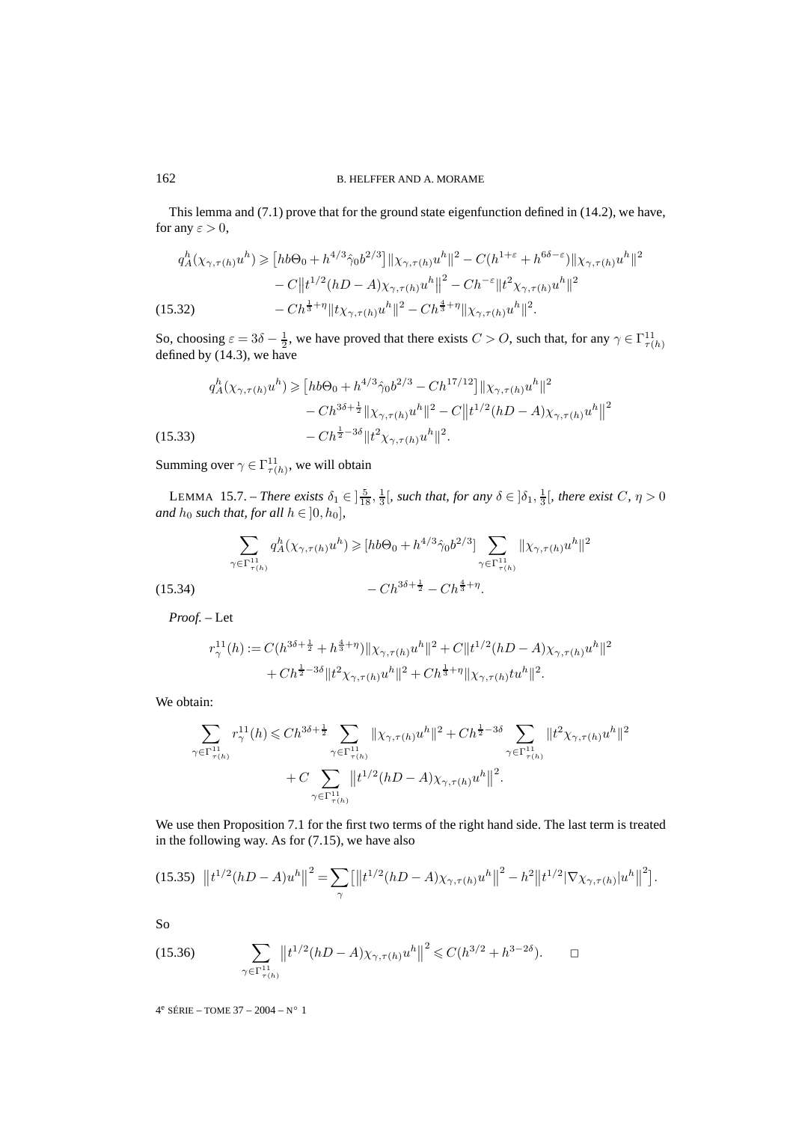This lemma and (7.1) prove that for the ground state eigenfunction defined in (14.2), we have, for any  $\varepsilon > 0$ ,

$$
q_A^h(\chi_{\gamma,\tau(h)}u^h) \geq [hb\Theta_0 + h^{4/3}\hat{\gamma}_0 b^{2/3}] \|\chi_{\gamma,\tau(h)}u^h\|^2 - C(h^{1+\varepsilon} + h^{6\delta-\varepsilon})\|\chi_{\gamma,\tau(h)}u^h\|^2 - C\|t^{1/2}(hD-A)\chi_{\gamma,\tau(h)}u^h\|^2 - Ch^{-\varepsilon}\|t^2\chi_{\gamma,\tau(h)}u^h\|^2 - Ch^{\frac{1}{3}+\eta}\|t\chi_{\gamma,\tau(h)}u^h\|^2.
$$
\n(15.32)

So, choosing  $\varepsilon = 3\delta - \frac{1}{2}$ , we have proved that there exists  $C > 0$ , such that, for any  $\gamma \in \Gamma^{11}_{\tau(h)}$ defined by (14.3), we have

$$
q_A^h(\chi_{\gamma,\tau(h)}u^h) \geq [hb\Theta_0 + h^{4/3}\hat{\gamma}_0 b^{2/3} - Ch^{17/12}] ||\chi_{\gamma,\tau(h)}u^h||^2
$$
  

$$
- Ch^{3\delta + \frac{1}{2}} ||\chi_{\gamma,\tau(h)}u^h||^2 - C||t^{1/2}(hD - A)\chi_{\gamma,\tau(h)}u^h||^2
$$
  
(15.33) 
$$
- Ch^{\frac{1}{2}-3\delta}||t^2\chi_{\gamma,\tau(h)}u^h||^2.
$$

Summing over  $\gamma \in \Gamma^{11}_{\tau(h)}$ , we will obtain

LEMMA 15.7. – *There exists*  $\delta_1 \in \left[\frac{5}{18}, \frac{1}{3}\right[$ *, such that, for any*  $\delta \in \left[\delta_1, \frac{1}{3}\right[$ *, there exist*  $C, \eta > 0$ *and*  $h_0$  *such that, for all*  $h \in [0, h_0]$ *,* 

$$
\sum_{\gamma \in \Gamma_{\tau(h)}^{11}} q_A^h(\chi_{\gamma, \tau(h)} u^h) \geq [hb\Theta_0 + h^{4/3} \hat{\gamma}_0 b^{2/3}] \sum_{\gamma \in \Gamma_{\tau(h)}^{11}} ||\chi_{\gamma, \tau(h)} u^h||^2
$$
  
-  $Ch^{3\delta + \frac{1}{2}} - Ch^{\frac{4}{3} + \eta}$ .

*Proof. –* Let

 $(15.34)$ 

$$
\begin{split} r_\gamma^{11}(h) := & \ C(h^{3\delta+\frac{1}{2}}+h^{\frac{4}{3}+\eta})\|\chi_{\gamma,\tau(h)}u^h\|^2 + C\|t^{1/2}(hD-A)\chi_{\gamma,\tau(h)}u^h\|^2 \\ & \ + Ch^{\frac{1}{2}-3\delta}\|t^2\chi_{\gamma,\tau(h)}u^h\|^2 + Ch^{\frac{1}{3}+\eta}\|\chi_{\gamma,\tau(h)}t u^h\|^2. \end{split}
$$

We obtain:

$$
\sum_{\gamma \in \Gamma_{\tau(h)}^{11}} r_{\gamma}^{11}(h) \leq C h^{3\delta + \frac{1}{2}} \sum_{\gamma \in \Gamma_{\tau(h)}^{11}} \| \chi_{\gamma, \tau(h)} u^{h} \|^{2} + C h^{\frac{1}{2} - 3\delta} \sum_{\gamma \in \Gamma_{\tau(h)}^{11}} \| t^{2} \chi_{\gamma, \tau(h)} u^{h} \|^{2} + C \sum_{\gamma \in \Gamma_{\tau(h)}^{11}} \| t^{1/2} (hD - A) \chi_{\gamma, \tau(h)} u^{h} \|^{2}.
$$

We use then Proposition 7.1 for the first two terms of the right hand side. The last term is treated in the following way. As for (7.15), we have also

$$
(15.35) \ \left\|t^{1/2}(hD-A)u^h\right\|^2 = \sum_{\gamma} \left[\left\|t^{1/2}(hD-A)\chi_{\gamma,\tau(h)}u^h\right\|^2 - h^2\left\|t^{1/2}|\nabla\chi_{\gamma,\tau(h)}|u^h\right\|^2\right].
$$

So

(15.36) 
$$
\sum_{\gamma \in \Gamma_{\tau(h)}^{11}} ||t^{1/2} (hD - A) \chi_{\gamma, \tau(h)} u^h||^2 \leq C(h^{3/2} + h^{3-2\delta}). \qquad \Box
$$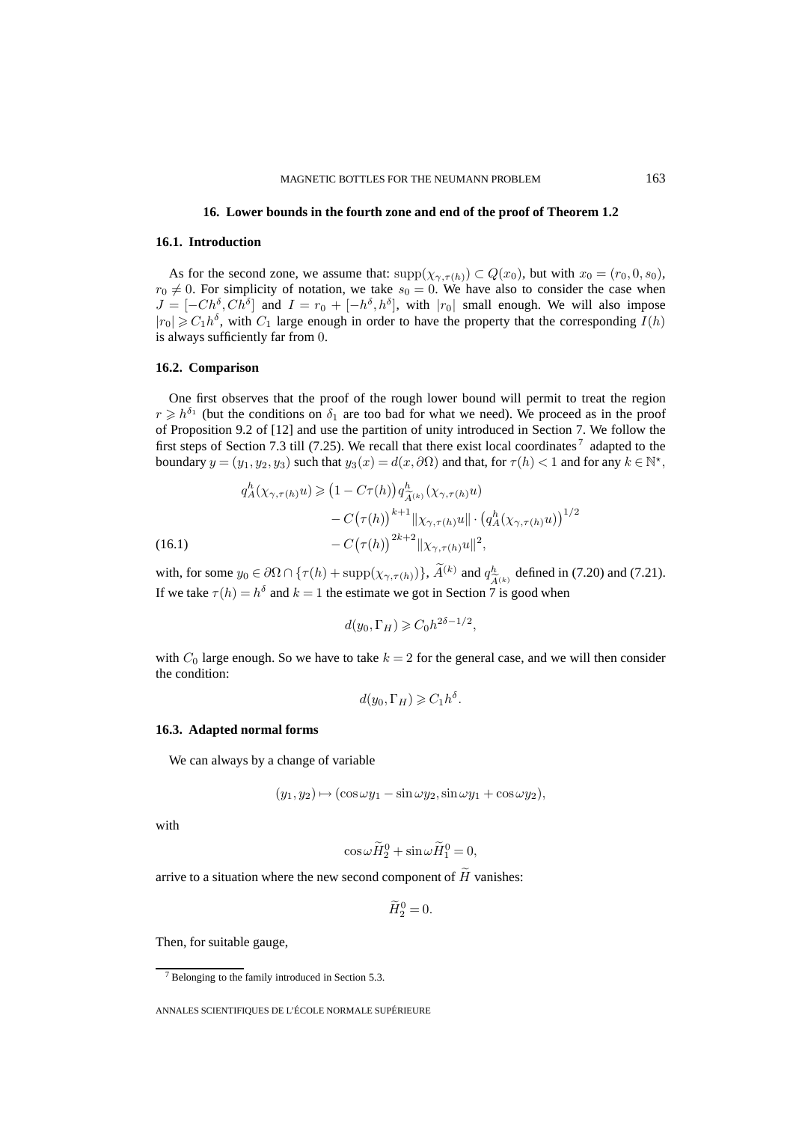#### **16. Lower bounds in the fourth zone and end of the proof of Theorem 1.2**

#### **16.1. Introduction**

As for the second zone, we assume that:  $\text{supp}(\chi_{\gamma,\tau(h)}) \subset Q(x_0)$ , but with  $x_0 = (r_0, 0, s_0)$ ,  $r_0 \neq 0$ . For simplicity of notation, we take  $s_0 = 0$ . We have also to consider the case when  $J = [-Ch^{\delta}, Ch^{\delta}]$  and  $I = r_0 + [-h^{\delta}, h^{\delta}]$ , with  $|r_0|$  small enough. We will also impose  $|r_0| \geq C_1h^{\delta}$ , with  $C_1$  large enough in order to have the property that the corresponding  $I(h)$ is always sufficiently far from 0.

#### **16.2. Comparison**

One first observes that the proof of the rough lower bound will permit to treat the region  $r \geq b^{\delta_1}$  (but the conditions on  $\delta_1$  are too bad for what we need). We proceed as in the proof of Proposition 9.2 of [12] and use the partition of unity introduced in Section 7. We follow the first steps of Section 7.3 till (7.25). We recall that there exist local coordinates<sup>7</sup> adapted to the boundary  $y = (y_1, y_2, y_3)$  such that  $y_3(x) = d(x, \partial \Omega)$  and that, for  $\tau(h) < 1$  and for any  $k \in \mathbb{N}^*$ ,

(16.1)  
\n
$$
q_A^h(\chi_{\gamma,\tau(h)}u) \geq (1 - C\tau(h))q_{\widetilde{A}^{(k)}}^h(\chi_{\gamma,\tau(h)}u)
$$
\n
$$
- C(\tau(h))^{k+1} ||\chi_{\gamma,\tau(h)}u|| \cdot (q_A^h(\chi_{\gamma,\tau(h)}u))^{1/2}
$$
\n
$$
- C(\tau(h))^{2k+2} ||\chi_{\gamma,\tau(h)}u||^2,
$$

with, for some  $y_0 \in \partial\Omega \cap {\{\tau(h) + \text{supp}(\chi_{\gamma, \tau(h)})\}}$ ,  $\tilde{A}^{(k)}$  and  $q^h_{\tilde{A}^{(k)}}$  defined in (7.20) and (7.21).<br>If we take  $\tau(h) = h^{\delta}$  and  $k - 1$  the estimate we got in Section 7 is good when If we take  $\tau(h) = h^{\delta}$  and  $k = 1$  the estimate we got in Section 7 is good when

$$
d(y_0, \Gamma_H) \geqslant C_0 h^{2\delta - 1/2},
$$

with  $C_0$  large enough. So we have to take  $k = 2$  for the general case, and we will then consider the condition:

$$
d(y_0, \Gamma_H) \geqslant C_1 h^{\delta}.
$$

## **16.3. Adapted normal forms**

We can always by a change of variable

$$
(y_1, y_2) \mapsto (\cos \omega y_1 - \sin \omega y_2, \sin \omega y_1 + \cos \omega y_2),
$$

with

$$
\cos \omega \widetilde{H}_2^0 + \sin \omega \widetilde{H}_1^0 = 0,
$$

arrive to a situation where the new second component of  $\tilde{H}$  vanishes:

$$
\widetilde{H}_2^0 = 0.
$$

Then, for suitable gauge,

 $7$  Belonging to the family introduced in Section 5.3.

ANNALES SCIENTIFIQUES DE L'ÉCOLE NORMALE SUPÉRIEURE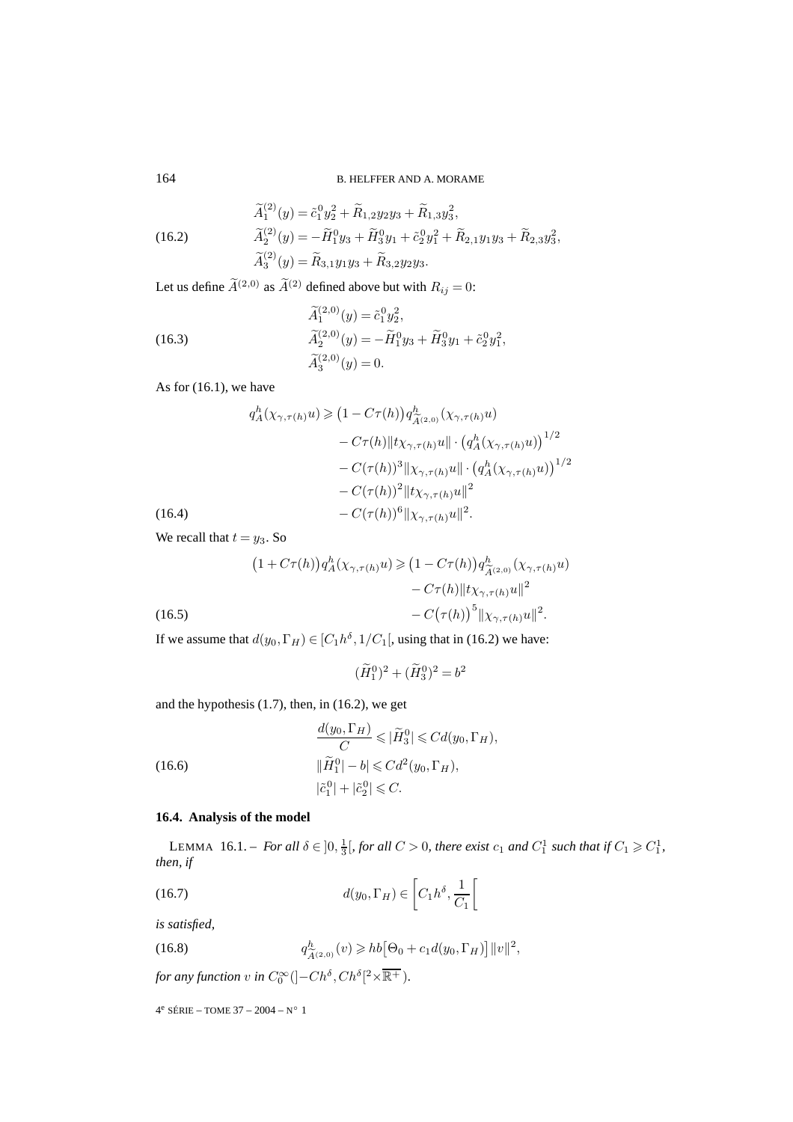(16.2)  
\n
$$
\widetilde{A}_1^{(2)}(y) = \widetilde{c}_1^0 y_2^2 + \widetilde{R}_{1,2} y_2 y_3 + \widetilde{R}_{1,3} y_3^2,
$$
\n
$$
\widetilde{A}_2^{(2)}(y) = -\widetilde{H}_1^0 y_3 + \widetilde{H}_3^0 y_1 + \widetilde{c}_2^0 y_1^2 + \widetilde{R}_{2,1} y_1 y_3 + \widetilde{R}_{2,3} y_3^2,
$$
\n
$$
\widetilde{A}_3^{(2)}(y) = \widetilde{R}_{3,1} y_1 y_3 + \widetilde{R}_{3,2} y_2 y_3.
$$

Let us define  $\widetilde{A}^{(2,0)}$  as  $\widetilde{A}^{(2)}$  defined above but with  $R_{ij} = 0$ :

(16.3)  
\n
$$
\widetilde{A}_1^{(2,0)}(y) = \widetilde{c}_1^0 y_2^2,
$$
\n
$$
\widetilde{A}_2^{(2,0)}(y) = -\widetilde{H}_1^0 y_3 + \widetilde{H}_3^0 y_1 + \widetilde{c}_2^0 y_1^2,
$$
\n
$$
\widetilde{A}_3^{(2,0)}(y) = 0.
$$

As for (16.1), we have

(16.4)  
\n
$$
q_A^h(\chi_{\gamma,\tau(h)} u) \geq (1 - C\tau(h)) q_{\tilde{A}^{(2,0)}}^h(\chi_{\gamma,\tau(h)} u) - C\tau(h) ||t\chi_{\gamma,\tau(h)} u|| \cdot (q_A^h(\chi_{\gamma,\tau(h)} u))^{1/2} - C(\tau(h))^3 ||\chi_{\gamma,\tau(h)} u|| \cdot (q_A^h(\chi_{\gamma,\tau(h)} u))^{1/2} - C(\tau(h))^2 ||t\chi_{\gamma,\tau(h)} u||^2 - C(\tau(h))^6 ||\chi_{\gamma,\tau(h)} u||^2.
$$

We recall that  $t = y_3$ . So

 1 + Cτ(h) qh <sup>A</sup>(χγ,τ(h)u) 1 − Cτ(h) qh <sup>A</sup>(2,0) (χγ,τ(h)u) − Cτ(h)tχγ,τ(h)u<sup>2</sup> − C τ(h) 5 χγ,τ(h)u<sup>2</sup> (16.5) .

If we assume that  $d(y_0, \Gamma_H) \in [C_1 h^{\delta}, 1/C_1]$ , using that in (16.2) we have:

$$
(\widetilde{H}_1^0)^2 + (\widetilde{H}_3^0)^2 = b^2
$$

and the hypothesis (1.7), then, in (16.2), we get

(16.6)  
\n
$$
\frac{d(y_0, \Gamma_H)}{C} \leqslant |\widetilde{H}_3^0| \leqslant C d(y_0, \Gamma_H),
$$
\n
$$
\|\widetilde{H}_1^0| - b| \leqslant C d^2(y_0, \Gamma_H),
$$
\n
$$
|\widetilde{c}_1^0| + |\widetilde{c}_2^0| \leqslant C.
$$

## **16.4. Analysis of the model**

LEMMA 16.1. – For all  $\delta \in ]0, \frac{1}{3}[$ , for all  $C > 0$ , there exist  $c_1$  and  $C_1^1$  such that if  $C_1 \geq C_1^1$ , *then, if*

(16.7) 
$$
d(y_0, \Gamma_H) \in \left[ C_1 h^{\delta}, \frac{1}{C_1} \right[
$$

*is satisfied,*

(16.8) 
$$
q_{\widetilde{A}^{(2,0)}}^h(v) \geqslant hb\big[\Theta_0 + c_1 d(y_0, \Gamma_H)\big] \|v\|^2,
$$

for any function v in  $C_0^{\infty}$  ( $]-Ch^{\delta}, Ch^{\delta}[{}^2\times\overline{\mathbb{R}^+})$ .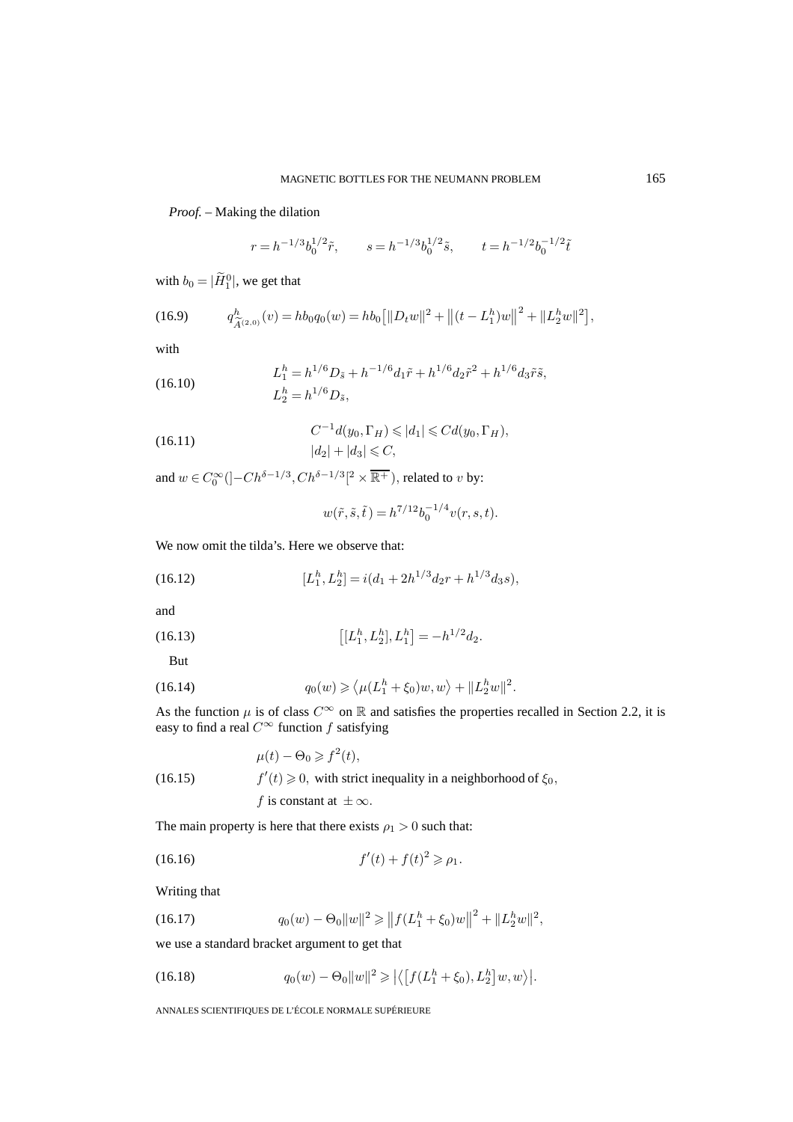## *Proof. –* Making the dilation

$$
r = h^{-1/3} b_0^{1/2} \tilde{r}, \qquad s = h^{-1/3} b_0^{1/2} \tilde{s}, \qquad t = h^{-1/2} b_0^{-1/2} \tilde{t}
$$

with  $b_0 = |\tilde{H}_1^0|$ , we get that

(16.9) 
$$
q_{\widetilde{A}^{(2,0)}}^h(v) = hb_0q_0(w) = hb_0 [||D_t w||^2 + ||(t - L_1^h)w||^2 + ||L_2^h w||^2],
$$

with

(16.10) 
$$
L_1^h = h^{1/6} D_{\tilde{s}} + h^{-1/6} d_1 \tilde{r} + h^{1/6} d_2 \tilde{r}^2 + h^{1/6} d_3 \tilde{r} \tilde{s},
$$

$$
L_2^h = h^{1/6} D_{\tilde{s}},
$$

(16.11) 
$$
C^{-1}d(y_0, \Gamma_H) \leqslant |d_1| \leqslant C d(y_0, \Gamma_H),
$$

$$
|d_2| + |d_3| \leqslant C,
$$

and  $w \in C_0^{\infty}([-Ch^{\delta-1/3}, Ch^{\delta-1/3}]^2 \times \overline{\mathbb{R}^+})$ , related to v by:

$$
w(\tilde{r}, \tilde{s}, \tilde{t}) = h^{7/12} b_0^{-1/4} v(r, s, t).
$$

We now omit the tilda's. Here we observe that:

(16.12) 
$$
[L_1^h, L_2^h] = i(d_1 + 2h^{1/3}d_2r + h^{1/3}d_3s),
$$

and

(16.13) 
$$
\left[[L_1^h, L_2^h], L_1^h\right] = -h^{1/2}d_2.
$$

But

(16.14) 
$$
q_0(w) \geq \langle \mu(L_1^h + \xi_0)w, w \rangle + ||L_2^h w||^2.
$$

As the function  $\mu$  is of class  $C^{\infty}$  on  $\mathbb R$  and satisfies the properties recalled in Section 2.2, it is easy to find a real  $C^\infty$  function  $f$  satisfying

 $\mu(t) - \Theta_0 \geqslant f^2(t),$ (16.15)  $f'(t) \geq 0$ , with strict inequality in a neighborhood of  $\xi_0$ , f is constant at  $\pm \infty$ .

The main property is here that there exists  $\rho_1 > 0$  such that:

(16.16) 
$$
f'(t) + f(t)^2 \ge \rho_1.
$$

Writing that

(16.17) 
$$
q_0(w) - \Theta_0 \|w\|^2 \ge \|f(L_1^h + \xi_0)w\|^2 + \|L_2^h w\|^2,
$$

we use a standard bracket argument to get that

(16.18) 
$$
q_0(w) - \Theta_0 \|w\|^2 \geqslant \left| \left\langle \left[ f(L_1^h + \xi_0), L_2^h \right] w, w \right\rangle \right|.
$$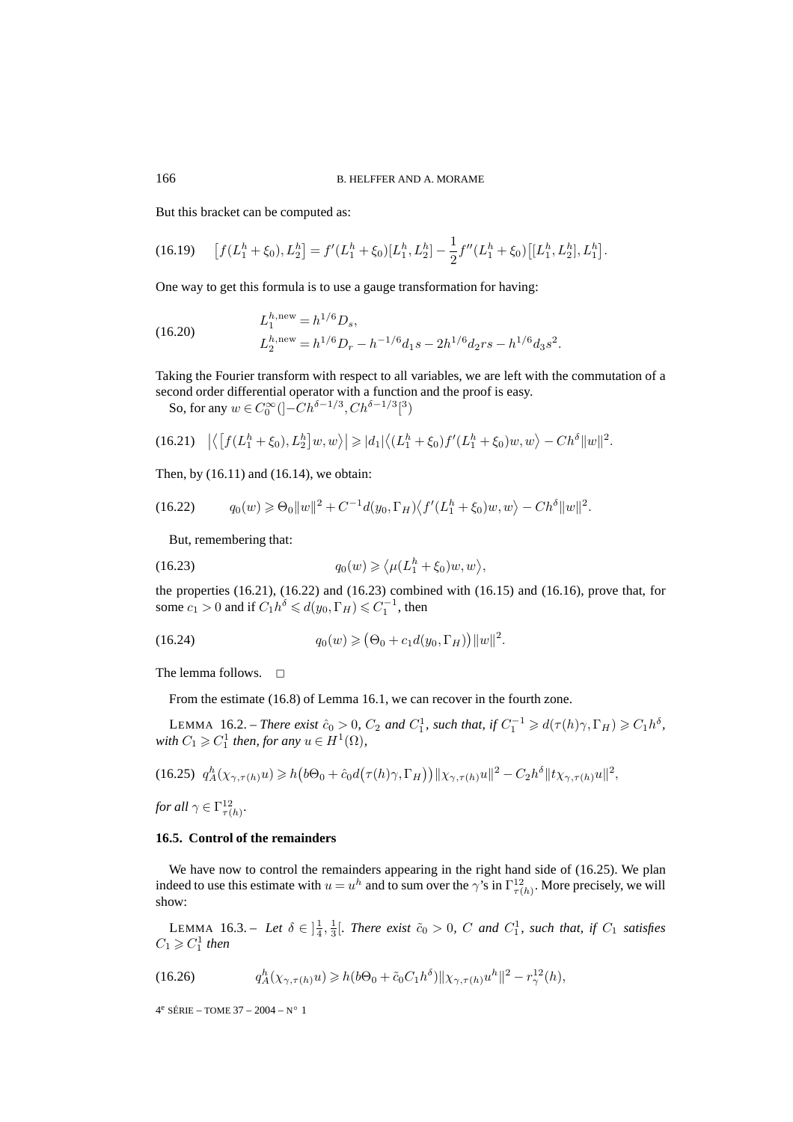But this bracket can be computed as:

$$
(16.19) \qquad [f(L_1^h + \xi_0), L_2^h] = f'(L_1^h + \xi_0)[L_1^h, L_2^h] - \frac{1}{2}f''(L_1^h + \xi_0)[[L_1^h, L_2^h], L_1^h].
$$

One way to get this formula is to use a gauge transformation for having:

(16.20) 
$$
L_1^{h,\text{new}} = h^{1/6} D_s,
$$

$$
L_2^{h,\text{new}} = h^{1/6} D_r - h^{-1/6} d_1 s - 2h^{1/6} d_2 r s - h^{1/6} d_3 s^2.
$$

Taking the Fourier transform with respect to all variables, we are left with the commutation of a second order differential operator with a function and the proof is easy.

So, for any  $w \in C_0^{\infty}([-Ch^{\delta-1/3}, Ch^{\delta-1/3}[^3])$ 

$$
(16.21) \quad \left| \left\langle \left[ f(L_1^h + \xi_0), L_2^h \right] w, w \right\rangle \right| \geqslant |d_1| \left\langle (L_1^h + \xi_0) f'(L_1^h + \xi_0) w, w \right\rangle - C h^{\delta} \|w\|^2.
$$

Then, by (16.11) and (16.14), we obtain:

$$
(16.22) \tq_0(w) \geq \Theta_0 \|w\|^2 + C^{-1} d(y_0, \Gamma_H) \langle f'(L_1^h + \xi_0)w, w \rangle - Ch^{\delta} \|w\|^2.
$$

But, remembering that:

(16.23) 
$$
q_0(w) \geq \langle \mu(L_1^h + \xi_0)w, w \rangle,
$$

the properties  $(16.21)$ ,  $(16.22)$  and  $(16.23)$  combined with  $(16.15)$  and  $(16.16)$ , prove that, for some  $c_1 > 0$  and if  $C_1 h^{\delta} \le d(y_0, \Gamma_H) \le C_1^{-1}$ , then

(16.24) 
$$
q_0(w) \geq (\Theta_0 + c_1 d(y_0, \Gamma_H)) ||w||^2.
$$

The lemma follows.  $\Box$ 

From the estimate (16.8) of Lemma 16.1, we can recover in the fourth zone.

LEMMA 16.2. – *There exist*  $\hat{c}_0 > 0$ ,  $C_2$  *and*  $C_1^1$ , *such that, if*  $C_1^{-1} \ge d(\tau(h)\gamma, \Gamma_H) \ge C_1 h^{\delta}$ , *with*  $C_1 \geqslant C_1^1$  *then, for any*  $u \in H^1(\Omega)$ *,* 

$$
(16.25) \ \ q_A^h(\chi_{\gamma,\tau(h)}u) \geq h\big(b\Theta_0 + \hat{c}_0d\big(\tau(h)\gamma,\Gamma_H\big)\big)\|\chi_{\gamma,\tau(h)}u\|^2 - C_2h^{\delta}\|t\chi_{\gamma,\tau(h)}u\|^2,
$$

*for all*  $\gamma \in \Gamma^{12}_{\tau(h)}$ *.* 

#### **16.5. Control of the remainders**

We have now to control the remainders appearing in the right hand side of  $(16.25)$ . We plan indeed to use this estimate with  $u = u^h$  and to sum over the  $\gamma$ 's in  $\Gamma_{\tau(h)}^{12}$ . More precisely, we will show:

LEMMA 16.3. – Let  $\delta \in \left[\frac{1}{4}, \frac{1}{3}\right]$ . There exist  $\tilde{c}_0 > 0$ , C and  $C_1^1$ , such that, if  $C_1$  satisfies  $C_1 \geqslant C_1^1$  then

(16.26) 
$$
q_A^h(\chi_{\gamma,\tau(h)}u) \geq h(b\Theta_0 + \tilde{c}_0C_1h^{\delta})\|\chi_{\gamma,\tau(h)}u^h\|^2 - r_{\gamma}^{12}(h),
$$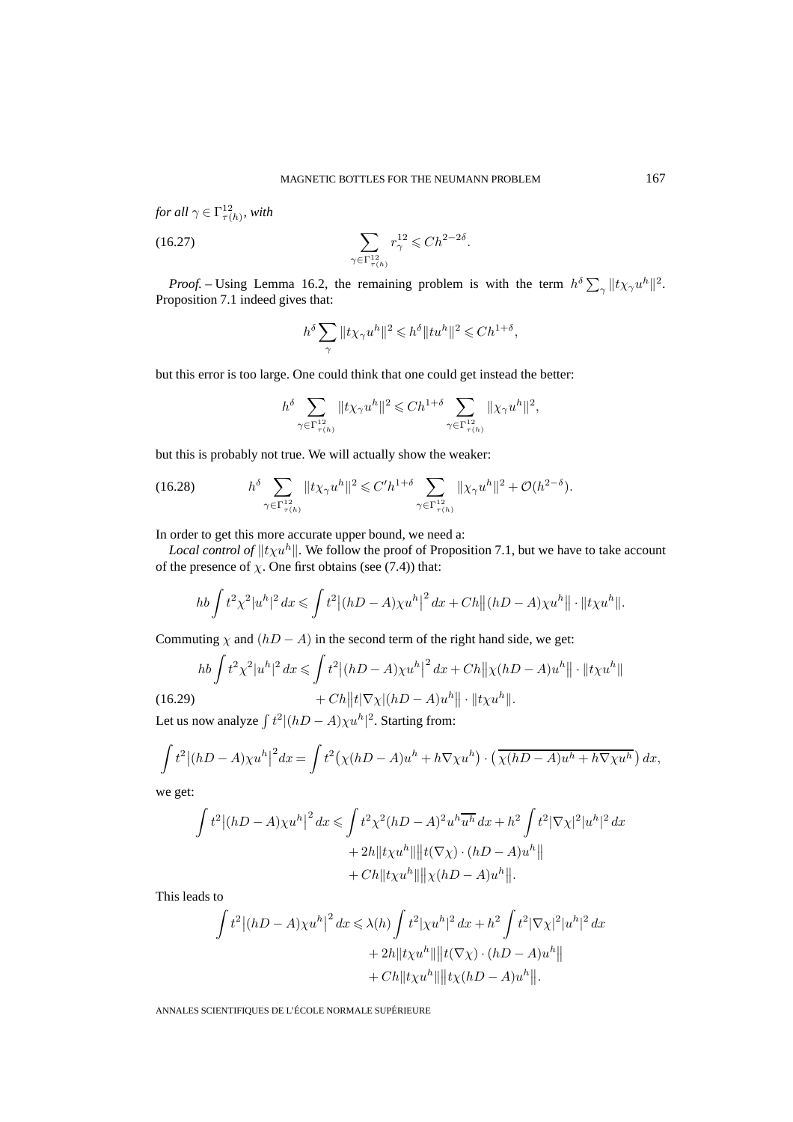for all 
$$
\gamma \in \Gamma^{12}_{\tau(h)}
$$
, with  
(16.27) 
$$
\sum_{\gamma \in \Gamma^{12}_{\tau(h)}} r_{\gamma}^{12} \leq C h^{2-2\delta}.
$$

*Proof.* – Using Lemma 16.2, the remaining problem is with the term  $h^{\delta} \sum_{\gamma} ||t \chi_{\gamma} u^{h}||^{2}$ . Proposition 7.1 indeed gives that:

$$
h^{\delta}\sum_{\gamma}\|t\chi_{\gamma}u^h\|^2\leqslant h^{\delta}\|tu^h\|^2\leqslant Ch^{1+\delta},
$$

but this error is too large. One could think that one could get instead the better:

$$
h^{\delta}\sum_{\gamma\in \Gamma^{12}_{\tau(h)}}\|t\chi_{\gamma}u^h\|^2\leqslant Ch^{1+\delta}\sum_{\gamma\in \Gamma^{12}_{\tau(h)}}\|\chi_{\gamma}u^h\|^2,
$$

but this is probably not true. We will actually show the weaker:

(16.28) 
$$
h^{\delta} \sum_{\gamma \in \Gamma^{12}_{\tau(h)}} ||t \chi_{\gamma} u^{h}||^{2} \leq C' h^{1+\delta} \sum_{\gamma \in \Gamma^{12}_{\tau(h)}} ||\chi_{\gamma} u^{h}||^{2} + \mathcal{O}(h^{2-\delta}).
$$

In order to get this more accurate upper bound, we need a:

*Local control of*  $||t\chi u^h||$ . We follow the proof of Proposition 7.1, but we have to take account of the presence of  $\chi$ . One first obtains (see (7.4)) that:

$$
hb\int t^2\chi^2|u^h|^2\,dx \leqslant \int t^2\big|(hD-A)\chi u^h\big|^2\,dx + Ch \big\|(hD-A)\chi u^h\big\| \cdot \|t\chi u^h\|.
$$

Commuting  $\chi$  and  $(hD - A)$  in the second term of the right hand side, we get:

$$
hb \int t^2 \chi^2 |u^h|^2 dx \le \int t^2 |(hD - A)\chi u^h|^2 dx + Ch ||\chi(hD - A)u^h|| \cdot ||t\chi u^h||
$$
  
(16.29)  

$$
+ Ch ||t |\nabla \chi|(hD - A)u^h|| \cdot ||t\chi u^h||.
$$

Let us now analyze  $\int t^2 |(hD - A)\chi u^h|^2$ . Starting from:

$$
\int t^2 |(hD-A)\chi u^h|^2 dx = \int t^2 (\chi(hD-A)u^h + h\nabla \chi u^h) \cdot (\overline{\chi(hD-A)u^h + h\nabla \chi u^h}) dx,
$$

we get:

$$
\int t^2 |(hD-A)\chi u^h|^2 dx \le \int t^2 \chi^2 (hD-A)^2 u^h \overline{u^h} dx + h^2 \int t^2 |\nabla \chi|^2 |u^h|^2 dx
$$
  
+ 2h ||t\chi u^h|| ||t(\nabla \chi) \cdot (hD-A) u^h||  
+ Ch ||t\chi u^h|| ||\chi(hD-A) u^h||.

This leads to

$$
\int t^2 |(hD - A)\chi u^h|^2 dx \leq \lambda(h) \int t^2 |\chi u^h|^2 dx + h^2 \int t^2 |\nabla \chi|^2 |u^h|^2 dx
$$
  
+ 2h ||t\chi u^h|| ||t(\nabla \chi) \cdot (hD - A)u^h||  
+ Ch ||t\chi u^h|| ||t\chi(hD - A)u^h||.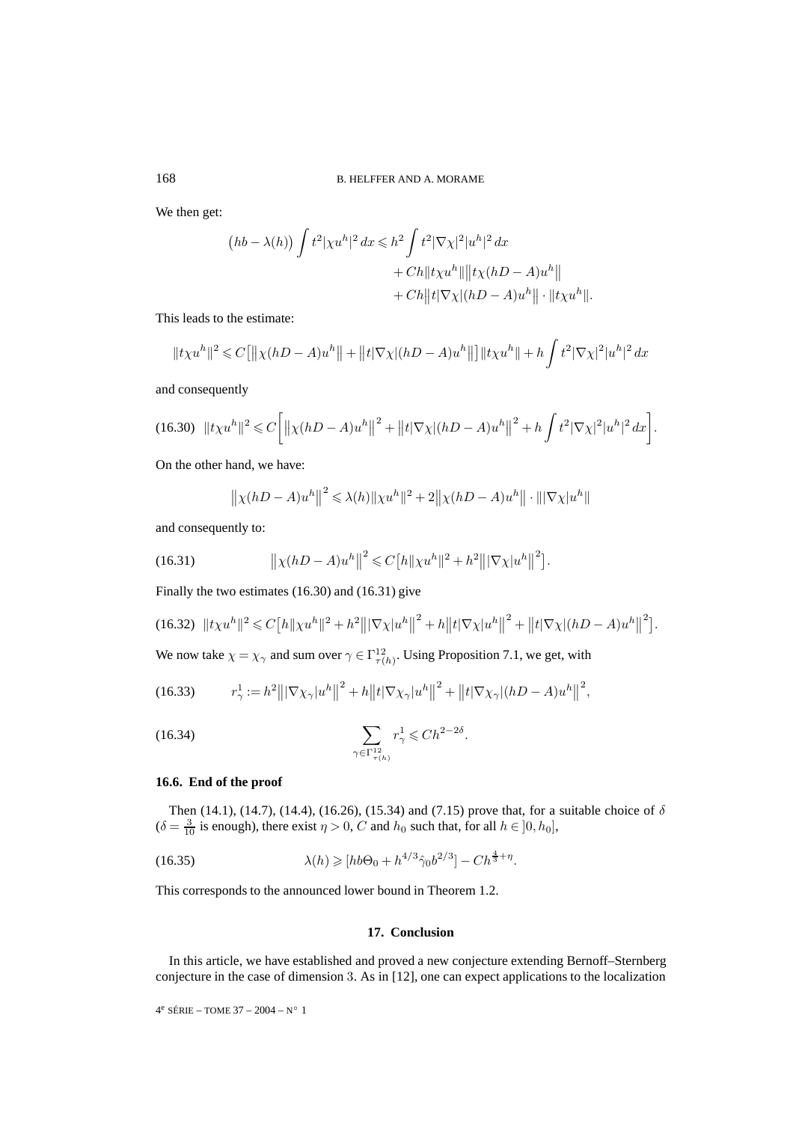We then get:

$$
(hb - \lambda(h)) \int t^2 |\chi u^h|^2 dx \leq h^2 \int t^2 |\nabla \chi|^2 |u^h|^2 dx
$$
  
+ Ch  $||t \chi u^h|| ||t \chi(hD - A)u^h||$   
+ Ch  $||t|\nabla \chi|(hD - A)u^h|| \cdot ||t \chi u^h||$ .

This leads to the estimate:

$$
||txu^{h}||^{2} \leq C[||\chi(hD-A)u^{h}|| + ||t|\nabla \chi|(hD-A)u^{h}||] ||txu^{h}|| + h \int t^{2}|\nabla \chi|^{2}|u^{h}|^{2} dx
$$

and consequently

$$
(16.30) \quad \|t\chi u^h\|^2 \leq C \bigg[ \big\|\chi(hD-A)u^h\big\|^2 + \big\|t|\nabla \chi|(hD-A)u^h\big\|^2 + h \int t^2 |\nabla \chi|^2|u^h|^2\,dx\bigg].
$$

On the other hand, we have:

$$
\|\chi(hD - A)u^{h}\|^2 \leq \lambda(h)\|\chi u^{h}\|^2 + 2\|\chi(hD - A)u^{h}\| \cdot \|\nabla \chi|u^{h}\|
$$

and consequently to:

(16.31) 
$$
\left\| \chi(hD - A)u^{h} \right\|^{2} \leq C\left[h\|\chi u^{h}\|^{2} + h^{2}\right] \left\| \nabla \chi|u^{h} \right\|^{2}.
$$

Finally the two estimates (16.30) and (16.31) give

$$
(16.32) \ \ \|t\chi u^h\|^2 \leq C\big[h\|\chi u^h\|^2 + h^2\big|\|\nabla\chi|u^h\|^2 + h\big\|t|\nabla\chi|u^h\big\|^2 + \big\|t|\nabla\chi|(hD-A)u^h\big\|^2\big].
$$

We now take  $\chi = \chi_{\gamma}$  and sum over  $\gamma \in \Gamma_{\tau(h)}^{12}$ . Using Proposition 7.1, we get, with

(16.33) 
$$
r_{\gamma}^{1} := h^{2} |||\nabla \chi_{\gamma}| u^{h}||^{2} + h ||t| \nabla \chi_{\gamma}| u^{h}||^{2} + ||t| \nabla \chi_{\gamma}| (hD - A) u^{h}||^{2},
$$

$$
\sum_{\gamma \in \Gamma_{\tau(h)}^{12}} r_{\gamma}^1 \leq C h^{2 - 2\delta}.
$$

## **16.6. End of the proof**

Then (14.1), (14.7), (14.4), (16.26), (15.34) and (7.15) prove that, for a suitable choice of  $\delta$  $(\delta = \frac{3}{10}$  is enough), there exist  $\eta > 0$ , C and  $h_0$  such that, for all  $h \in [0, h_0]$ ,

(16.35) 
$$
\lambda(h) \geq [hb\Theta_0 + h^{4/3} \hat{\gamma}_0 b^{2/3}] - C h^{\frac{4}{3} + \eta}.
$$

This corresponds to the announced lower bound in Theorem 1.2.

## **17. Conclusion**

In this article, we have established and proved a new conjecture extending Bernoff–Sternberg conjecture in the case of dimension 3. As in [12], one can expect applications to the localization

$$
4^e\ \text{SÉRIE} -\text{TOME 37} - 2004 - N^\circ\ 1
$$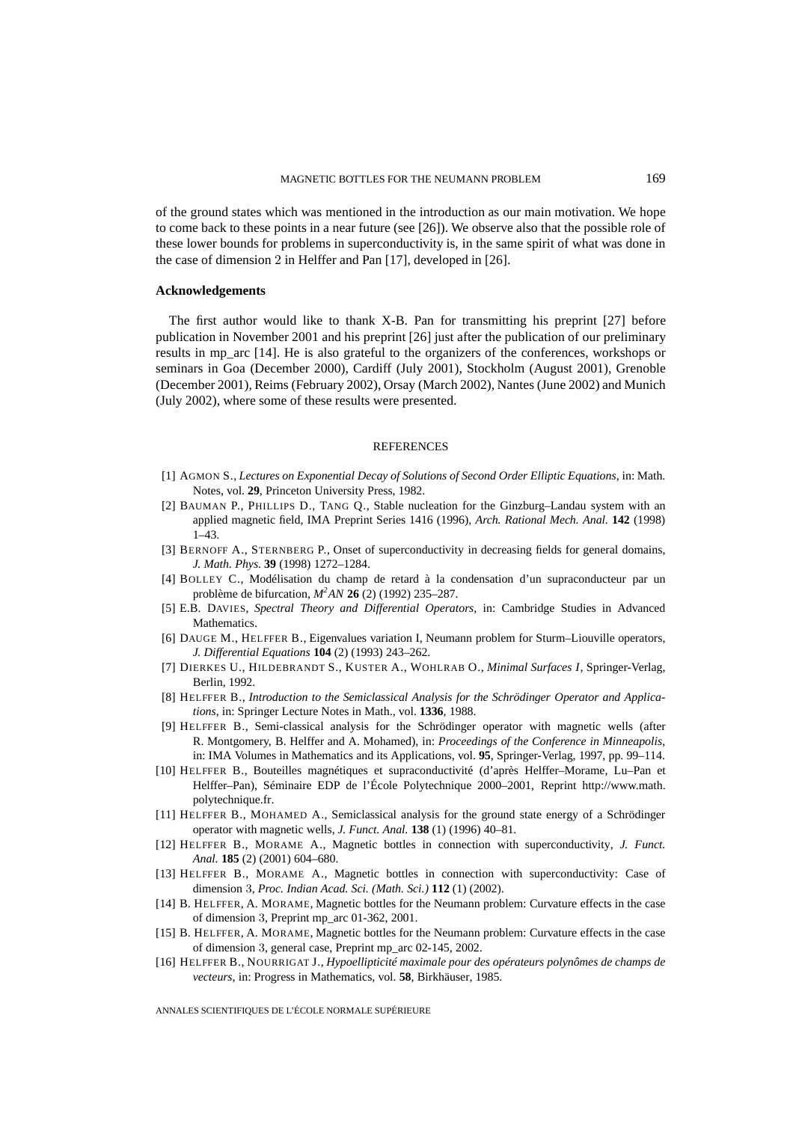of the ground states which was mentioned in the introduction as our main motivation. We hope to come back to these points in a near future (see [26]). We observe also that the possible role of these lower bounds for problems in superconductivity is, in the same spirit of what was done in the case of dimension 2 in Helffer and Pan [17], developed in [26].

#### **Acknowledgements**

The first author would like to thank X-B. Pan for transmitting his preprint [27] before publication in November 2001 and his preprint [26] just after the publication of our preliminary results in mp\_arc [14]. He is also grateful to the organizers of the conferences, workshops or seminars in Goa (December 2000), Cardiff (July 2001), Stockholm (August 2001), Grenoble (December 2001), Reims (February 2002), Orsay (March 2002), Nantes (June 2002) and Munich (July 2002), where some of these results were presented.

#### **REFERENCES**

- [1] AGMON S., *Lectures on Exponential Decay of Solutions of Second Order Elliptic Equations*, in: Math. Notes, vol. **29**, Princeton University Press, 1982.
- [2] BAUMAN P., PHILLIPS D., TANG Q., Stable nucleation for the Ginzburg–Landau system with an applied magnetic field, IMA Preprint Series 1416 (1996), *Arch. Rational Mech. Anal.* **142** (1998) 1–43.
- [3] BERNOFF A., STERNBERG P., Onset of superconductivity in decreasing fields for general domains, *J. Math. Phys.* **39** (1998) 1272–1284.
- [4] BOLLEY C., Modélisation du champ de retard à la condensation d'un supraconducteur par un problème de bifurcation, *M2 AN* **26** (2) (1992) 235–287.
- [5] E.B. DAVIES, *Spectral Theory and Differential Operators*, in: Cambridge Studies in Advanced Mathematics.
- [6] DAUGE M., HELFFER B., Eigenvalues variation I, Neumann problem for Sturm–Liouville operators, *J. Differential Equations* **104** (2) (1993) 243–262.
- [7] DIERKES U., HILDEBRANDT S., KUSTER A., WOHLRAB O., *Minimal Surfaces I*, Springer-Verlag, Berlin, 1992.
- [8] HELFFER B., *Introduction to the Semiclassical Analysis for the Schrödinger Operator and Applications*, in: Springer Lecture Notes in Math., vol. **1336**, 1988.
- [9] HELFFER B., Semi-classical analysis for the Schrödinger operator with magnetic wells (after R. Montgomery, B. Helffer and A. Mohamed), in: *Proceedings of the Conference in Minneapolis*, in: IMA Volumes in Mathematics and its Applications, vol. **95**, Springer-Verlag, 1997, pp. 99–114.
- [10] HELFFER B., Bouteilles magnétiques et supraconductivité (d'après Helffer–Morame, Lu–Pan et Helffer–Pan), Séminaire EDP de l'École Polytechnique 2000–2001, Reprint http://www.math. polytechnique.fr.
- [11] HELFFER B., MOHAMED A., Semiclassical analysis for the ground state energy of a Schrödinger operator with magnetic wells, *J. Funct. Anal.* **138** (1) (1996) 40–81.
- [12] HELFFER B., MORAME A., Magnetic bottles in connection with superconductivity, *J. Funct. Anal.* **185** (2) (2001) 604–680.
- [13] HELFFER B., MORAME A., Magnetic bottles in connection with superconductivity: Case of dimension 3, *Proc. Indian Acad. Sci. (Math. Sci.)* **112** (1) (2002).
- [14] B. HELFFER, A. MORAME, Magnetic bottles for the Neumann problem: Curvature effects in the case of dimension 3, Preprint mp\_arc 01-362, 2001.
- [15] B. HELFFER, A. MORAME, Magnetic bottles for the Neumann problem: Curvature effects in the case of dimension 3, general case, Preprint mp\_arc 02-145, 2002.
- [16] HELFFER B., NOURRIGAT J., *Hypoellipticité maximale pour des opérateurs polynômes de champs de vecteurs*, in: Progress in Mathematics, vol. **58**, Birkhäuser, 1985.